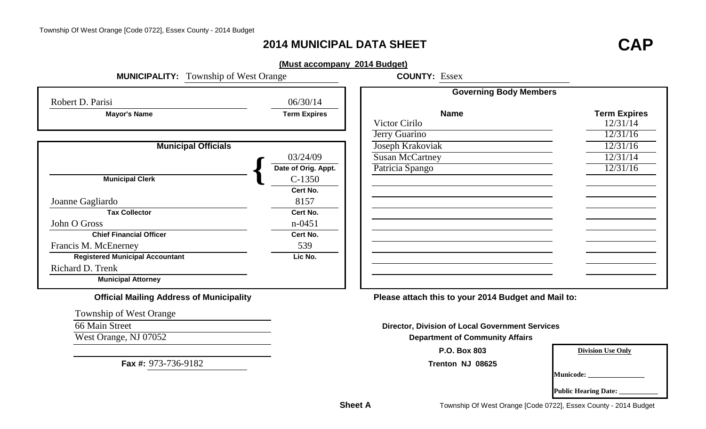## **2014 MUNICIPAL DATA SHEET**

# **CAP**

#### **(Must accompany 2014 Budget)**

| <b>MUNICIPALITY:</b> Township of West Orange | <b>COUNTY:</b>      |                       |
|----------------------------------------------|---------------------|-----------------------|
| Robert D. Parisi                             | 06/30/14            |                       |
| <b>Mayor's Name</b>                          | <b>Term Expires</b> |                       |
|                                              |                     | Victor Cirilo         |
|                                              |                     | <b>Jerry Guarino</b>  |
| <b>Municipal Officials</b>                   |                     | Joseph Krakovia       |
|                                              | 03/24/09            | <b>Susan McCartne</b> |
|                                              | Date of Orig. Appt. | Patricia Spango       |
| <b>Municipal Clerk</b>                       | $C-1350$            |                       |
|                                              | Cert No.            |                       |
| Joanne Gagliardo                             | 8157                |                       |
| <b>Tax Collector</b>                         | Cert No.            |                       |
| John O Gross                                 | $n - 0451$          |                       |
| <b>Chief Financial Officer</b>               | Cert No.            |                       |
| Francis M. McEnerney                         | 539                 |                       |
| <b>Registered Municipal Accountant</b>       | Lic No.             |                       |
| Richard D. Trenk                             |                     |                       |
| <b>Municipal Attorney</b>                    |                     |                       |

**COUNTY: Essex** 

|                            |                     | <b>Governing Body Members</b> |                     |
|----------------------------|---------------------|-------------------------------|---------------------|
| S1                         | 06/30/14            |                               |                     |
| Mayor's Name               | <b>Term Expires</b> | <b>Name</b>                   | <b>Term Expires</b> |
|                            |                     | Victor Cirilo                 | 12/31/14            |
|                            |                     | Jerry Guarino                 | 12/31/16            |
| <b>Municipal Officials</b> |                     | Joseph Krakoviak              | 12/31/16            |
|                            | 03/24/09            | <b>Susan McCartney</b>        | 12/31/14            |
|                            | Date of Orig. Appt. | Patricia Spango               | 12/31/16            |
| <b>Aunicipal Clerk</b>     | $C-1350$            |                               |                     |
|                            | Cert No.            |                               |                     |
| rdo                        | 8157                |                               |                     |
| <b>Tax Collector</b>       | Cert No.            |                               |                     |
|                            | $n - 0451$          |                               |                     |
| f Financial Officer        | Cert No.            |                               |                     |
| Enerney                    | 539                 |                               |                     |
| d Municipal Accountant     | Lic No.             |                               |                     |
| enk                        |                     |                               |                     |
| <b>Inicipal Attorney</b>   |                     |                               |                     |
|                            |                     |                               |                     |

**Official Mailing Address of Municipality Please attach this to your 2014 Budget and Mail to:**

**Director, Division of Local Government Services**

**P.O. Box 803**

**Trenton NJ 08625**

**Division Use Only**

**Municode: \_\_\_\_\_\_\_\_\_\_\_\_\_\_\_\_**

**Public Hearing Date:** 

Township of West Orange

66 Main Street

West Orange, NJ 07052 **Department of Community Affairs** 

**Fax #:** 973-736-9182

**Sheet A**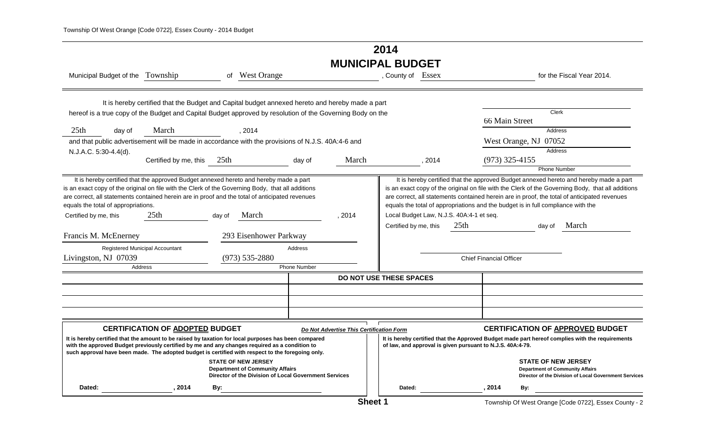## **2014 MUNICIPAL BUDGET**

| Municipal Budget of the Township                                                                                                                                                                                                            |                                        | οf               | <b>West Orange</b>                                                                                                                                                                                                                                                                                          |                                          | , County of                                                | Essex  |                                          |                                |                                                                                  | for the Fiscal Year 2014.                                                                                                                                                                                                                                                                  |
|---------------------------------------------------------------------------------------------------------------------------------------------------------------------------------------------------------------------------------------------|----------------------------------------|------------------|-------------------------------------------------------------------------------------------------------------------------------------------------------------------------------------------------------------------------------------------------------------------------------------------------------------|------------------------------------------|------------------------------------------------------------|--------|------------------------------------------|--------------------------------|----------------------------------------------------------------------------------|--------------------------------------------------------------------------------------------------------------------------------------------------------------------------------------------------------------------------------------------------------------------------------------------|
|                                                                                                                                                                                                                                             |                                        |                  | It is hereby certified that the Budget and Capital budget annexed hereto and hereby made a part<br>hereof is a true copy of the Budget and Capital Budget approved by resolution of the Governing Body on the                                                                                               |                                          |                                                            |        |                                          | 66 Main Street                 | <b>Clerk</b>                                                                     |                                                                                                                                                                                                                                                                                            |
| 25 <sub>th</sub><br>day of                                                                                                                                                                                                                  | March                                  |                  | , 2014                                                                                                                                                                                                                                                                                                      |                                          |                                                            |        |                                          |                                | Address                                                                          |                                                                                                                                                                                                                                                                                            |
|                                                                                                                                                                                                                                             |                                        |                  | and that public advertisement will be made in accordance with the provisions of N.J.S. 40A:4-6 and                                                                                                                                                                                                          |                                          |                                                            |        |                                          |                                | West Orange, NJ 07052                                                            |                                                                                                                                                                                                                                                                                            |
| N.J.A.C. 5:30-4.4(d).                                                                                                                                                                                                                       |                                        |                  |                                                                                                                                                                                                                                                                                                             |                                          |                                                            |        |                                          |                                | Address                                                                          |                                                                                                                                                                                                                                                                                            |
|                                                                                                                                                                                                                                             | Certified by me, this                  | 25 <sub>th</sub> | day of                                                                                                                                                                                                                                                                                                      | March                                    |                                                            | , 2014 |                                          | $(973)$ 325-4155               |                                                                                  |                                                                                                                                                                                                                                                                                            |
|                                                                                                                                                                                                                                             |                                        |                  |                                                                                                                                                                                                                                                                                                             |                                          |                                                            |        |                                          |                                | <b>Phone Number</b>                                                              |                                                                                                                                                                                                                                                                                            |
| is an exact copy of the original on file with the Clerk of the Governing Body, that all additions<br>are correct, all statements contained herein are in proof and the total of anticipated revenues<br>equals the total of appropriations. |                                        |                  | It is hereby certified that the approved Budget annexed hereto and hereby made a part                                                                                                                                                                                                                       |                                          |                                                            |        |                                          |                                | equals the total of appropriations and the budget is in full compliance with the | It is hereby certified that the approved Budget annexed hereto and hereby made a part<br>is an exact copy of the original on file with the Clerk of the Governing Body, that all additions<br>are correct, all statements contained herein are in proof, the total of anticipated revenues |
| Certified by me, this                                                                                                                                                                                                                       | 25 <sub>th</sub>                       | day of           | March                                                                                                                                                                                                                                                                                                       | , 2014                                   |                                                            |        | Local Budget Law, N.J.S. 40A:4-1 et seq. |                                |                                                                                  |                                                                                                                                                                                                                                                                                            |
|                                                                                                                                                                                                                                             |                                        |                  |                                                                                                                                                                                                                                                                                                             |                                          | Certified by me, this                                      |        | 25 <sup>th</sup>                         |                                | day of                                                                           | March                                                                                                                                                                                                                                                                                      |
| Francis M. McEnerney                                                                                                                                                                                                                        |                                        |                  | 293 Eisenhower Parkway                                                                                                                                                                                                                                                                                      |                                          |                                                            |        |                                          |                                |                                                                                  |                                                                                                                                                                                                                                                                                            |
|                                                                                                                                                                                                                                             | Registered Municipal Accountant        |                  | Address                                                                                                                                                                                                                                                                                                     |                                          |                                                            |        |                                          |                                |                                                                                  |                                                                                                                                                                                                                                                                                            |
| Livingston, NJ 07039                                                                                                                                                                                                                        |                                        |                  | $(973) 535 - 2880$                                                                                                                                                                                                                                                                                          |                                          |                                                            |        |                                          | <b>Chief Financial Officer</b> |                                                                                  |                                                                                                                                                                                                                                                                                            |
|                                                                                                                                                                                                                                             | Address                                |                  | Phone Number                                                                                                                                                                                                                                                                                                |                                          |                                                            |        |                                          |                                |                                                                                  |                                                                                                                                                                                                                                                                                            |
|                                                                                                                                                                                                                                             |                                        |                  |                                                                                                                                                                                                                                                                                                             |                                          | DO NOT USE THESE SPACES                                    |        |                                          |                                |                                                                                  |                                                                                                                                                                                                                                                                                            |
|                                                                                                                                                                                                                                             |                                        |                  |                                                                                                                                                                                                                                                                                                             |                                          |                                                            |        |                                          |                                |                                                                                  |                                                                                                                                                                                                                                                                                            |
|                                                                                                                                                                                                                                             |                                        |                  |                                                                                                                                                                                                                                                                                                             |                                          |                                                            |        |                                          |                                |                                                                                  |                                                                                                                                                                                                                                                                                            |
|                                                                                                                                                                                                                                             |                                        |                  |                                                                                                                                                                                                                                                                                                             |                                          |                                                            |        |                                          |                                |                                                                                  |                                                                                                                                                                                                                                                                                            |
|                                                                                                                                                                                                                                             | <b>CERTIFICATION OF ADOPTED BUDGET</b> |                  |                                                                                                                                                                                                                                                                                                             | Do Not Advertise This Certification Form |                                                            |        |                                          |                                |                                                                                  | <b>CERTIFICATION OF APPROVED BUDGET</b>                                                                                                                                                                                                                                                    |
|                                                                                                                                                                                                                                             |                                        |                  | It is hereby certified that the amount to be raised by taxation for local purposes has been compared<br>with the approved Budget previously certified by me and any changes required as a condition to<br>such approval have been made. The adopted budget is certified with respect to the foregoing only. |                                          | of law, and approval is given pursuant to N.J.S. 40A:4-79. |        |                                          |                                |                                                                                  | It is hereby certified that the Approved Budget made part hereof complies with the requirements                                                                                                                                                                                            |
|                                                                                                                                                                                                                                             |                                        |                  | <b>STATE OF NEW JERSEY</b><br><b>Department of Community Affairs</b><br>Director of the Division of Local Government Services                                                                                                                                                                               |                                          |                                                            |        |                                          |                                | <b>STATE OF NEW JERSEY</b><br><b>Department of Community Affairs</b>             | Director of the Division of Local Government Services                                                                                                                                                                                                                                      |
| Dated:                                                                                                                                                                                                                                      | , 2014                                 | By:              |                                                                                                                                                                                                                                                                                                             |                                          | Dated:                                                     |        |                                          | 2014                           | By:                                                                              |                                                                                                                                                                                                                                                                                            |
|                                                                                                                                                                                                                                             |                                        |                  |                                                                                                                                                                                                                                                                                                             | Shoot 1                                  |                                                            |        |                                          |                                |                                                                                  | Township Of West Orange [Cade 0700] Feesy County                                                                                                                                                                                                                                           |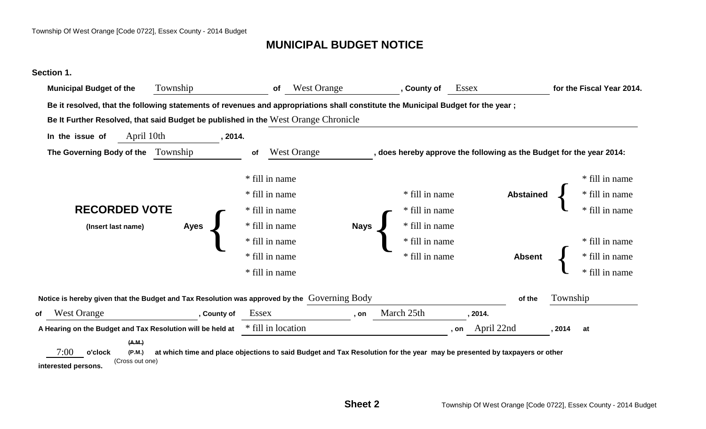## **MUNICIPAL BUDGET NOTICE**

#### **Section 1.**

|    | <b>Municipal Budget of the</b>                                                                                                   | Township    | of                 | <b>West Orange</b>                                                                                                       | , County of                                                          | Essex              |                  |          | for the Fiscal Year 2014. |
|----|----------------------------------------------------------------------------------------------------------------------------------|-------------|--------------------|--------------------------------------------------------------------------------------------------------------------------|----------------------------------------------------------------------|--------------------|------------------|----------|---------------------------|
|    | Be it resolved, that the following statements of revenues and appropriations shall constitute the Municipal Budget for the year; |             |                    |                                                                                                                          |                                                                      |                    |                  |          |                           |
|    | Be It Further Resolved, that said Budget be published in the West Orange Chronicle                                               |             |                    |                                                                                                                          |                                                                      |                    |                  |          |                           |
|    | April 10th<br>In the issue of                                                                                                    | , 2014.     |                    |                                                                                                                          |                                                                      |                    |                  |          |                           |
|    | The Governing Body of the                                                                                                        | Township    | of                 | <b>West Orange</b>                                                                                                       | , does hereby approve the following as the Budget for the year 2014: |                    |                  |          |                           |
|    |                                                                                                                                  |             | * fill in name     |                                                                                                                          |                                                                      |                    |                  |          | * fill in name            |
|    |                                                                                                                                  |             | * fill in name     |                                                                                                                          | * fill in name                                                       |                    | <b>Abstained</b> |          | * fill in name            |
|    | <b>RECORDED VOTE</b>                                                                                                             |             | * fill in name     |                                                                                                                          | * fill in name                                                       |                    |                  |          |                           |
|    | (Insert last name)                                                                                                               | <b>Ayes</b> | * fill in name     | <b>Nays</b>                                                                                                              | * fill in name                                                       |                    |                  |          |                           |
|    |                                                                                                                                  |             | * fill in name     |                                                                                                                          | * fill in name                                                       |                    |                  |          | * fill in name            |
|    |                                                                                                                                  |             | * fill in name     |                                                                                                                          | * fill in name                                                       |                    | <b>Absent</b>    |          | * fill in name            |
|    |                                                                                                                                  |             | * fill in name     |                                                                                                                          |                                                                      |                    |                  |          |                           |
|    | Notice is hereby given that the Budget and Tax Resolution was approved by the Governing Body                                     |             |                    |                                                                                                                          |                                                                      |                    | of the           | Township |                           |
| of | <b>West Orange</b>                                                                                                               | , County of | Essex              | . on                                                                                                                     | March 25th                                                           | , 2014.            |                  |          |                           |
|    | A Hearing on the Budget and Tax Resolution will be held at                                                                       |             | * fill in location |                                                                                                                          |                                                                      | April 22nd<br>. on |                  | . 2014   | at                        |
|    | (A.M.)<br>7:00<br>o'clock<br>(P.M.)<br>(Cross out one)<br>interested persons.                                                    |             |                    | at which time and place objections to said Budget and Tax Resolution for the year may be presented by taxpayers or other |                                                                      |                    |                  |          |                           |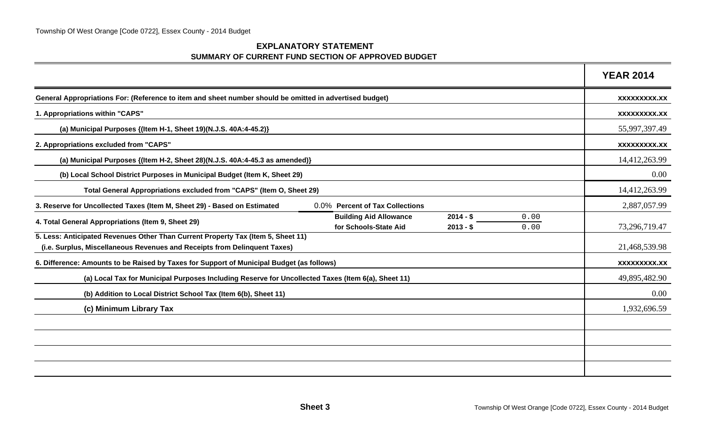#### **EXPLANATORY STATEMENTSUMMARY OF CURRENT FUND SECTION OF APPROVED BUDGET**

|                                                                                                                                                               |                                                        |                          |              | <b>YEAR 2014</b>    |
|---------------------------------------------------------------------------------------------------------------------------------------------------------------|--------------------------------------------------------|--------------------------|--------------|---------------------|
| General Appropriations For: (Reference to item and sheet number should be omitted in advertised budget)                                                       |                                                        |                          |              | XXXXXXXXX.XX        |
| 1. Appropriations within "CAPS"                                                                                                                               |                                                        |                          |              | XXXXXXXXX.XX        |
| (a) Municipal Purposes {(Item H-1, Sheet 19)(N.J.S. 40A:4-45.2)}                                                                                              |                                                        |                          |              | 55,997,397.49       |
| 2. Appropriations excluded from "CAPS"                                                                                                                        |                                                        |                          |              | <b>XXXXXXXXX.XX</b> |
| (a) Municipal Purposes {(Item H-2, Sheet 28)(N.J.S. 40A:4-45.3 as amended)}                                                                                   |                                                        |                          |              | 14,412,263.99       |
| (b) Local School District Purposes in Municipal Budget (Item K, Sheet 29)                                                                                     |                                                        |                          |              | 0.00                |
| Total General Appropriations excluded from "CAPS" (Item O, Sheet 29)                                                                                          |                                                        |                          |              | 14,412,263.99       |
| 3. Reserve for Uncollected Taxes (Item M, Sheet 29) - Based on Estimated                                                                                      | 0.0% Percent of Tax Collections                        |                          |              | 2,887,057.99        |
| 4. Total General Appropriations (Item 9, Sheet 29)                                                                                                            | <b>Building Aid Allowance</b><br>for Schools-State Aid | $2014 - $$<br>$2013 - $$ | 0.00<br>0.00 | 73,296,719.47       |
| 5. Less: Anticipated Revenues Other Than Current Property Tax (Item 5, Sheet 11)<br>(i.e. Surplus, Miscellaneous Revenues and Receipts from Delinquent Taxes) |                                                        |                          |              | 21,468,539.98       |
| 6. Difference: Amounts to be Raised by Taxes for Support of Municipal Budget (as follows)                                                                     |                                                        |                          |              | XXXXXXXXX.XX        |
| (a) Local Tax for Municipal Purposes Including Reserve for Uncollected Taxes (Item 6(a), Sheet 11)                                                            |                                                        |                          |              | 49,895,482.90       |
| (b) Addition to Local District School Tax (Item 6(b), Sheet 11)                                                                                               |                                                        |                          |              | 0.00                |
| (c) Minimum Library Tax                                                                                                                                       |                                                        |                          |              | 1,932,696.59        |
|                                                                                                                                                               |                                                        |                          |              |                     |
|                                                                                                                                                               |                                                        |                          |              |                     |
|                                                                                                                                                               |                                                        |                          |              |                     |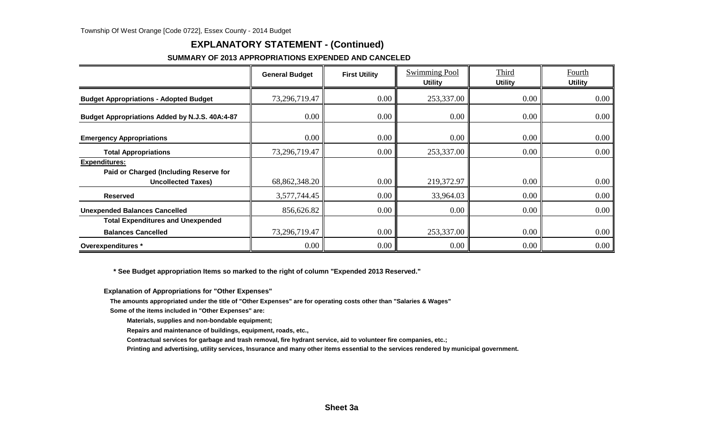### **EXPLANATORY STATEMENT - (Continued)**

#### **SUMMARY OF 2013 APPROPRIATIONS EXPENDED AND CANCELED**

|                                                                                             | <b>General Budget</b> | <b>First Utility</b> | <b>Swimming Pool</b><br><b>Utility</b> | Third<br><b>Utility</b> | Fourth<br><b>Utility</b> |
|---------------------------------------------------------------------------------------------|-----------------------|----------------------|----------------------------------------|-------------------------|--------------------------|
| <b>Budget Appropriations - Adopted Budget</b>                                               | 73,296,719.47         | 0.00                 | 253,337.00                             | 0.00                    | $0.00\,$                 |
| Budget Appropriations Added by N.J.S. 40A:4-87                                              | 0.00                  | 0.00                 | 0.00                                   | 0.00                    | $0.00\,$                 |
| <b>Emergency Appropriations</b>                                                             | 0.00                  | 0.00                 | 0.00                                   | 0.00                    | $0.00\,$                 |
| <b>Total Appropriations</b>                                                                 | 73,296,719.47         | 0.00                 | 253,337.00                             | 0.00                    | 0.00                     |
| <b>Expenditures:</b><br>Paid or Charged (Including Reserve for<br><b>Uncollected Taxes)</b> | 68,862,348.20         | 0.00                 | 219,372.97                             | 0.00                    | $0.00\,$                 |
| <b>Reserved</b>                                                                             | 3,577,744.45          | 0.00                 | 33,964.03                              | 0.00                    | 0.00                     |
| <b>Unexpended Balances Cancelled</b>                                                        | 856,626.82            | 0.00                 | 0.00                                   | 0.00                    | $0.00\,$                 |
| <b>Total Expenditures and Unexpended</b>                                                    |                       |                      |                                        |                         |                          |
| <b>Balances Cancelled</b>                                                                   | 73,296,719.47         | 0.00                 | 253,337.00                             | 0.00                    | 0.00                     |
| Overexpenditures *                                                                          | 0.00                  | 0.00                 | 0.00                                   | 0.00                    | $0.00\,$                 |

 **\* See Budget appropriation Items so marked to the right of column "Expended 2013 Reserved."**

**Explanation of Appropriations for "Other Expenses"**

**The amounts appropriated under the title of "Other Expenses" are for operating costs other than "Salaries & Wages"**

**Some of the items included in "Other Expenses" are:**

**Materials, supplies and non-bondable equipment;**

**Repairs and maintenance of buildings, equipment, roads, etc.,**

**Contractual services for garbage and trash removal, fire hydrant service, aid to volunteer fire companies, etc.;**

**Printing and advertising, utility services, Insurance and many other items essential to the services rendered by municipal government.**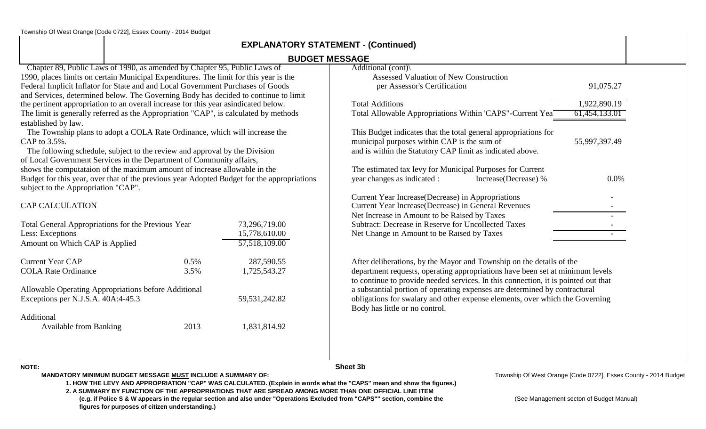Township Of West Orange [Code 0722], Essex County - 2014 Budget

| <b>EXPLANATORY STATEMENT - (Continued)</b>                                                                     |                                                                                                                                                                                                                                                                                                                                              |                                                                                            |                                                                                                                                                                                                                                             |               |  |  |  |
|----------------------------------------------------------------------------------------------------------------|----------------------------------------------------------------------------------------------------------------------------------------------------------------------------------------------------------------------------------------------------------------------------------------------------------------------------------------------|--------------------------------------------------------------------------------------------|---------------------------------------------------------------------------------------------------------------------------------------------------------------------------------------------------------------------------------------------|---------------|--|--|--|
|                                                                                                                |                                                                                                                                                                                                                                                                                                                                              |                                                                                            | <b>BUDGET MESSAGE</b>                                                                                                                                                                                                                       |               |  |  |  |
|                                                                                                                | Chapter 89, Public Laws of 1990, as amended by Chapter 95, Public Laws of<br>1990, places limits on certain Municipal Expenditures. The limit for this year is the<br>Federal Implicit Inflator for State and and Local Government Purchases of Goods<br>and Services, determined below. The Governing Body has decided to continue to limit |                                                                                            | Additional (cont)<br><b>Assessed Valuation of New Construction</b><br>per Assessor's Certification                                                                                                                                          | 91,075.27     |  |  |  |
|                                                                                                                | the pertinent appropriation to an overall increase for this year asindicated below.                                                                                                                                                                                                                                                          |                                                                                            | <b>Total Additions</b>                                                                                                                                                                                                                      | 1,922,890.19  |  |  |  |
| established by law.                                                                                            | The limit is generally referred as the Appropriation "CAP", is calculated by methods                                                                                                                                                                                                                                                         |                                                                                            | Total Allowable Appropriations Within 'CAPS"-Current Yea                                                                                                                                                                                    | 61,454,133.01 |  |  |  |
| CAP to 3.5%.                                                                                                   | The Township plans to adopt a COLA Rate Ordinance, which will increase the<br>The following schedule, subject to the review and approval by the Division<br>of Local Government Services in the Department of Community affairs,                                                                                                             |                                                                                            | This Budget indicates that the total general appropriations for<br>municipal purposes within CAP is the sum of<br>and is within the Statutory CAP limit as indicated above.                                                                 | 55,997,397.49 |  |  |  |
| subject to the Appropriation "CAP".                                                                            | shows the computataion of the maximum amount of increase allowable in the                                                                                                                                                                                                                                                                    | Budget for this year, over that of the previous year Adopted Budget for the appropriations | The estimated tax levy for Municipal Purposes for Current<br>year changes as indicated :<br>Increase(Decrease) %                                                                                                                            | 0.0%          |  |  |  |
| <b>CAP CALCULATION</b>                                                                                         |                                                                                                                                                                                                                                                                                                                                              |                                                                                            | Current Year Increase (Decrease) in Appropriations<br>Current Year Increase(Decrease) in General Revenues<br>Net Increase in Amount to be Raised by Taxes                                                                                   |               |  |  |  |
| Less: Exceptions<br>Amount on Which CAP is Applied                                                             | Total General Appropriations for the Previous Year                                                                                                                                                                                                                                                                                           | 73,296,719.00<br>15,778,610.00<br>57,518,109.00                                            | Subtract: Decrease in Reserve for Uncollected Taxes<br>Net Change in Amount to be Raised by Taxes                                                                                                                                           |               |  |  |  |
| <b>Current Year CAP</b><br><b>COLA Rate Ordinance</b>                                                          | 0.5%<br>3.5%                                                                                                                                                                                                                                                                                                                                 | 287,590.55<br>1,725,543.27                                                                 | After deliberations, by the Mayor and Township on the details of the<br>department requests, operating appropriations have been set at minimum levels<br>to continue to provide needed services. In this connection, it is pointed out that |               |  |  |  |
| Allowable Operating Appropriations before Additional<br>Exceptions per N.J.S.A. 40A:4-45.3<br>59, 531, 242. 82 |                                                                                                                                                                                                                                                                                                                                              |                                                                                            | a substantial portion of operating expenses are determined by contractural<br>obligations for swalary and other expense elements, over which the Governing<br>Body has little or no control.                                                |               |  |  |  |
| Additional<br><b>Available from Banking</b>                                                                    | 2013                                                                                                                                                                                                                                                                                                                                         | 1,831,814.92                                                                               |                                                                                                                                                                                                                                             |               |  |  |  |
|                                                                                                                |                                                                                                                                                                                                                                                                                                                                              |                                                                                            |                                                                                                                                                                                                                                             |               |  |  |  |

**NOTE:MANDATORY MINIMUM BUDGET MESSAGE MUST INCLUDE A SUMMARY OF:** **Sheet 3b**

Township Of West Orange [Code 0722], Essex County - 2014 Budget

**1. HOW THE LEVY AND APPROPRIATION "CAP" WAS CALCULATED. (Explain in words what the "CAPS" mean and show the figures.)**

**2. A SUMMARY BY FUNCTION OF THE APPROPRIATIONS THAT ARE SPREAD AMONG MORE THAN ONE OFFICIAL LINE ITEM (e.g. if Police S & W appears in the regular section and also under "Operations Excluded from "CAPS"" section, combine the** (See Management secton of Budget Manual)  **figures for purposes of citizen understanding.)**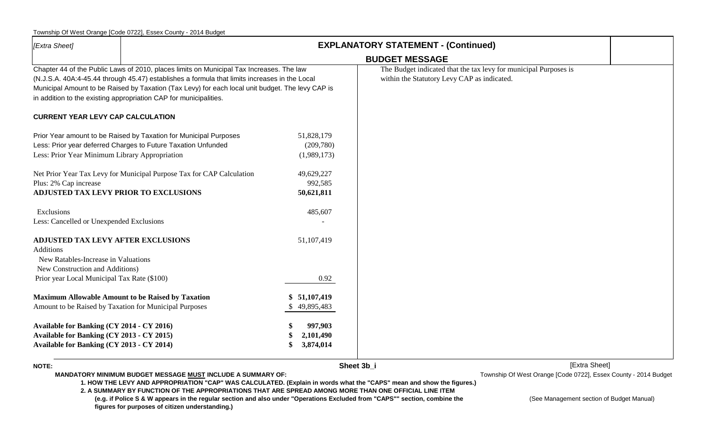### Township Of West Orange [Code 0722], Essex County - 2014 Budget

| [Extra Sheet]                                                                                                                                                                   | <b>EXPLANATORY STATEMENT - (Continued)</b>                                                                                                                                                                                                                                                                                                                         |                                        |                                                                                                                 |  |  |
|---------------------------------------------------------------------------------------------------------------------------------------------------------------------------------|--------------------------------------------------------------------------------------------------------------------------------------------------------------------------------------------------------------------------------------------------------------------------------------------------------------------------------------------------------------------|----------------------------------------|-----------------------------------------------------------------------------------------------------------------|--|--|
|                                                                                                                                                                                 |                                                                                                                                                                                                                                                                                                                                                                    |                                        | <b>BUDGET MESSAGE</b>                                                                                           |  |  |
|                                                                                                                                                                                 | Chapter 44 of the Public Laws of 2010, places limits on Municipal Tax Increases. The law<br>(N.J.S.A. 40A:4-45.44 through 45.47) establishes a formula that limits increases in the Local<br>Municipal Amount to be Raised by Taxation (Tax Levy) for each local unit budget. The levy CAP is<br>in addition to the existing appropriation CAP for municipalities. |                                        | The Budget indicated that the tax levy for municipal Purposes is<br>within the Statutory Levy CAP as indicated. |  |  |
| <b>CURRENT YEAR LEVY CAP CALCULATION</b>                                                                                                                                        |                                                                                                                                                                                                                                                                                                                                                                    |                                        |                                                                                                                 |  |  |
| Less: Prior Year Minimum Library Appropriation                                                                                                                                  | Prior Year amount to be Raised by Taxation for Municipal Purposes<br>Less: Prior year deferred Charges to Future Taxation Unfunded                                                                                                                                                                                                                                 | 51,828,179<br>(209,780)<br>(1,989,173) |                                                                                                                 |  |  |
| Plus: 2% Cap increase<br>ADJUSTED TAX LEVY PRIOR TO EXCLUSIONS                                                                                                                  | Net Prior Year Tax Levy for Municipal Purpose Tax for CAP Calculation                                                                                                                                                                                                                                                                                              | 49,629,227<br>992,585<br>50,621,811    |                                                                                                                 |  |  |
| Exclusions<br>Less: Cancelled or Unexpended Exclusions                                                                                                                          |                                                                                                                                                                                                                                                                                                                                                                    | 485,607                                |                                                                                                                 |  |  |
| <b>ADJUSTED TAX LEVY AFTER EXCLUSIONS</b><br>Additions<br>New Ratables-Increase in Valuations<br>New Construction and Additions)<br>Prior year Local Municipal Tax Rate (\$100) |                                                                                                                                                                                                                                                                                                                                                                    | 51,107,419<br>0.92                     |                                                                                                                 |  |  |
| Amount to be Raised by Taxation for Municipal Purposes                                                                                                                          | <b>Maximum Allowable Amount to be Raised by Taxation</b>                                                                                                                                                                                                                                                                                                           | 51,107,419<br>49,895,483               |                                                                                                                 |  |  |
| Available for Banking (CY 2014 - CY 2016)<br>Available for Banking (CY 2013 - CY 2015)<br>Available for Banking (CY 2013 - CY 2014)                                             |                                                                                                                                                                                                                                                                                                                                                                    | 997,903<br>2,101,490<br>3,874,014      |                                                                                                                 |  |  |

**NOTE:**

**Sheet 3b\_i** [Extra Sheet]

**MANDATORY MINIMUM BUDGET MESSAGE MUST INCLUDE A SUMMARY OF:** 

Township Of West Orange [Code 0722], Essex County - 2014 Budget

**1. HOW THE LEVY AND APPROPRIATION "CAP" WAS CALCULATED. (Explain in words what the "CAPS" mean and show the figures.)**

**2. A SUMMARY BY FUNCTION OF THE APPROPRIATIONS THAT ARE SPREAD AMONG MORE THAN ONE OFFICIAL LINE ITEM (e.g. if Police S & W appears in the regular section and also under "Operations Excluded from "CAPS"" section, combine the** (See Management section of Budget Manual)  **figures for purposes of citizen understanding.)**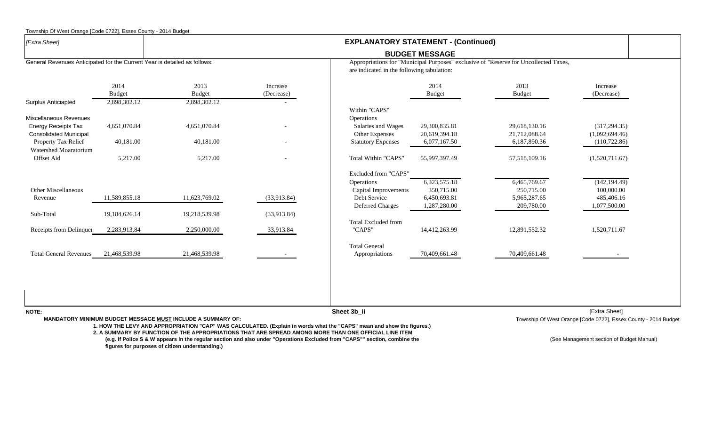| [Extra Sheet]                                                             |                       |                       |                        | <b>EXPLANATORY STATEMENT - (Continued)</b>                                                                                         |                                |                                |                                 |  |
|---------------------------------------------------------------------------|-----------------------|-----------------------|------------------------|------------------------------------------------------------------------------------------------------------------------------------|--------------------------------|--------------------------------|---------------------------------|--|
|                                                                           |                       |                       |                        | <b>BUDGET MESSAGE</b>                                                                                                              |                                |                                |                                 |  |
| General Revenues Anticipated for the Current Year is detailed as follows: |                       |                       |                        | Appropriations for "Municipal Purposes" exclusive of "Reserve for Uncollected Taxes,<br>are indicated in the following tabulation: |                                |                                |                                 |  |
|                                                                           | 2014<br><b>Budget</b> | 2013<br><b>Budget</b> | Increase<br>(Decrease) |                                                                                                                                    | 2014<br><b>Budget</b>          | 2013<br><b>Budget</b>          | Increase<br>(Decrease)          |  |
| <b>Surplus Anticiapted</b>                                                | 2,898,302.12          | 2,898,302.12          |                        |                                                                                                                                    |                                |                                |                                 |  |
| Miscellaneous Revenues                                                    |                       |                       |                        | Within "CAPS"<br>Operations                                                                                                        |                                |                                |                                 |  |
| Energy Receipts Tax<br><b>Consolidated Municipal</b>                      | 4,651,070.84          | 4,651,070.84          |                        | Salaries and Wages<br>Other Expenses                                                                                               | 29,300,835.81<br>20,619,394.18 | 29,618,130.16<br>21,712,088.64 | (317, 294.35)<br>(1,092,694.46) |  |
| Property Tax Relief                                                       | 40,181.00             | 40,181.00             |                        | <b>Statutory Expenses</b>                                                                                                          | 6,077,167.50                   | 6,187,890.36                   | (110, 722.86)                   |  |
| Watershed Moaratorium<br><b>Offset Aid</b>                                | 5,217.00              | 5,217.00              |                        | Total Within "CAPS"                                                                                                                | 55,997,397.49                  | 57,518,109.16                  | (1,520,711.67)                  |  |
|                                                                           |                       |                       |                        | Excluded from "CAPS"                                                                                                               |                                |                                |                                 |  |
|                                                                           |                       |                       |                        | Operations                                                                                                                         | 6,323,575.18                   | 6,465,769.67                   | (142, 194.49)                   |  |
| Other Miscellaneous                                                       |                       |                       |                        | Capital Improvements                                                                                                               | 350,715.00                     | 250,715.00                     | 100,000.00                      |  |
| Revenue                                                                   | 11,589,855.18         | 11,623,769.02         | (33,913.84)            | Debt Service                                                                                                                       | 6,450,693.81                   | 5,965,287.65                   | 485,406.16                      |  |
|                                                                           |                       |                       |                        | Deferred Charges                                                                                                                   | 1,287,280.00                   | 209,780.00                     | 1,077,500.00                    |  |
| Sub-Total                                                                 | 19,184,626.14         | 19,218,539.98         | (33,913.84)            |                                                                                                                                    |                                |                                |                                 |  |
| Receipts from Delinquer                                                   | 2,283,913.84          | 2,250,000.00          | 33,913.84              | Total Excluded from<br>"CAPS"                                                                                                      | 14,412,263.99                  | 12,891,552.32                  | 1,520,711.67                    |  |
|                                                                           |                       |                       |                        | <b>Total General</b>                                                                                                               |                                |                                |                                 |  |
| <b>Total General Revenues</b>                                             | 21,468,539.98         | 21,468,539.98         |                        | Appropriations                                                                                                                     | 70,409,661.48                  | 70,409,661.48                  |                                 |  |

**2. A SUMMARY BY FUNCTION OF THE APPROPRIATIONS THAT ARE SPREAD AMONG MORE THAN ONE OFFICIAL LINE ITEM**

**(e.g. if Police S & W appears in the regular section and also under "Operations Excluded from "CAPS"" section, combine the <b>CAPS and CAPS"** section of Sudget Manual) (See Management section of Budget Manual)  **figures for purposes of citizen understanding.)**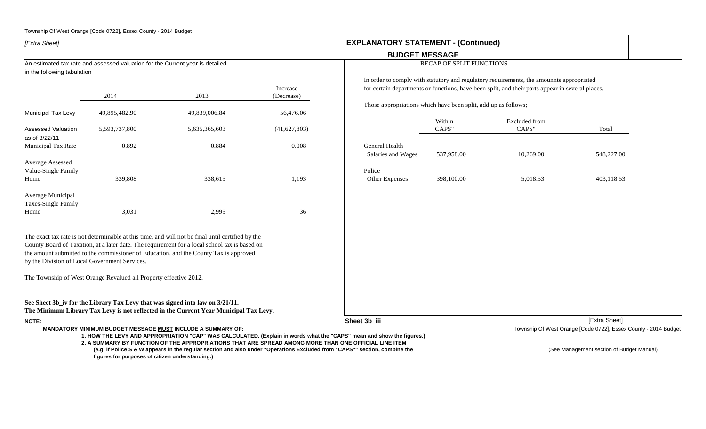|                                                | Township Of West Orange [Code 0722], Essex County - 2014 Budget               |                                                                                                                                                                                                                                                                                             |                        |                                                                                                                       |                          |                                                                                                  |                                                                 |
|------------------------------------------------|-------------------------------------------------------------------------------|---------------------------------------------------------------------------------------------------------------------------------------------------------------------------------------------------------------------------------------------------------------------------------------------|------------------------|-----------------------------------------------------------------------------------------------------------------------|--------------------------|--------------------------------------------------------------------------------------------------|-----------------------------------------------------------------|
| [Extra Sheet]                                  |                                                                               |                                                                                                                                                                                                                                                                                             |                        | <b>EXPLANATORY STATEMENT - (Continued)</b>                                                                            |                          |                                                                                                  |                                                                 |
|                                                |                                                                               |                                                                                                                                                                                                                                                                                             |                        | <b>BUDGET MESSAGE</b>                                                                                                 |                          |                                                                                                  |                                                                 |
|                                                | An estimated tax rate and assessed valuation for the Current year is detailed |                                                                                                                                                                                                                                                                                             |                        |                                                                                                                       | RECAP OF SPLIT FUNCTIONS |                                                                                                  |                                                                 |
| in the following tabulation                    |                                                                               |                                                                                                                                                                                                                                                                                             |                        |                                                                                                                       |                          | In order to comply with statutory and regulatory requirements, the amounnts appropriated         |                                                                 |
|                                                | 2014                                                                          | 2013                                                                                                                                                                                                                                                                                        | Increase<br>(Decrease) |                                                                                                                       |                          | for certain departments or functions, have been split, and their parts appear in several places. |                                                                 |
| Municipal Tax Levy                             | 49,895,482.90                                                                 | 49,839,006.84                                                                                                                                                                                                                                                                               | 56,476.06              | Those appropriations which have been split, add up as follows;                                                        |                          |                                                                                                  |                                                                 |
|                                                |                                                                               |                                                                                                                                                                                                                                                                                             |                        |                                                                                                                       | Within                   | <b>Excluded</b> from                                                                             |                                                                 |
| <b>Assessed Valuation</b>                      | 5,593,737,800                                                                 | 5,635,365,603                                                                                                                                                                                                                                                                               | (41,627,803)           |                                                                                                                       | CAPS"                    | CAPS"                                                                                            | Total                                                           |
| as of 3/22/11<br>Municipal Tax Rate            | 0.892                                                                         | 0.884                                                                                                                                                                                                                                                                                       | 0.008                  | General Health                                                                                                        |                          |                                                                                                  |                                                                 |
|                                                |                                                                               |                                                                                                                                                                                                                                                                                             |                        | Salaries and Wages                                                                                                    | 537,958.00               | 10,269.00                                                                                        | 548,227.00                                                      |
| <b>Average Assessed</b><br>Value-Single Family |                                                                               |                                                                                                                                                                                                                                                                                             |                        | Police                                                                                                                |                          |                                                                                                  |                                                                 |
| Home                                           | 339,808                                                                       | 338,615                                                                                                                                                                                                                                                                                     | 1,193                  | Other Expenses                                                                                                        | 398,100.00               | 5,018.53                                                                                         | 403,118.53                                                      |
| Average Municipal<br>Taxes-Single Family       |                                                                               |                                                                                                                                                                                                                                                                                             |                        |                                                                                                                       |                          |                                                                                                  |                                                                 |
| Home                                           | 3,031                                                                         | 2,995                                                                                                                                                                                                                                                                                       | 36                     |                                                                                                                       |                          |                                                                                                  |                                                                 |
| by the Division of Local Government Services.  |                                                                               | The exact tax rate is not determinable at this time, and will not be final until certified by the<br>County Board of Taxation, at a later date. The requirement for a local school tax is based on<br>the amount submitted to the commissioner of Education, and the County Tax is approved |                        |                                                                                                                       |                          |                                                                                                  |                                                                 |
|                                                | The Township of West Orange Revalued all Property effective 2012.             |                                                                                                                                                                                                                                                                                             |                        |                                                                                                                       |                          |                                                                                                  |                                                                 |
|                                                |                                                                               | See Sheet 3b_iv for the Library Tax Levy that was signed into law on 3/21/11.<br>The Minimum Library Tax Levy is not reflected in the Current Year Municipal Tax Levy.                                                                                                                      |                        |                                                                                                                       |                          |                                                                                                  |                                                                 |
| <b>NOTE:</b>                                   |                                                                               |                                                                                                                                                                                                                                                                                             |                        | Sheet 3b_iii                                                                                                          |                          |                                                                                                  | [Extra Sheet]                                                   |
|                                                |                                                                               | MANDATORY MINIMUM BUDGET MESSAGE MUST INCLUDE A SUMMARY OF:                                                                                                                                                                                                                                 |                        | 1. HOW THE LEVY AND APPROPRIATION "CAP" WAS CALCULATED. (Explain in words what the "CAPS" mean and show the figures.) |                          |                                                                                                  | Township Of West Orange [Code 0722], Essex County - 2014 Budget |
|                                                |                                                                               | 2. A SUMMARY BY FUNCTION OF THE APPROPRIATIONS THAT ARE SPREAD AMONG MORE THAN ONE OFFICIAL LINE ITEM<br>to a 14 Belles O.O. W announce to the acquitance of the control of Documbers Englished from HOADOUI excitent                                                                       |                        |                                                                                                                       |                          |                                                                                                  |                                                                 |

**(e.g. if Police S & W appears in the regular section and also under "Operations Excluded from "CAPS"" section, combine the metal componer the metal of See Management section of Budget Manual) figures for purposes of citizen understanding.)**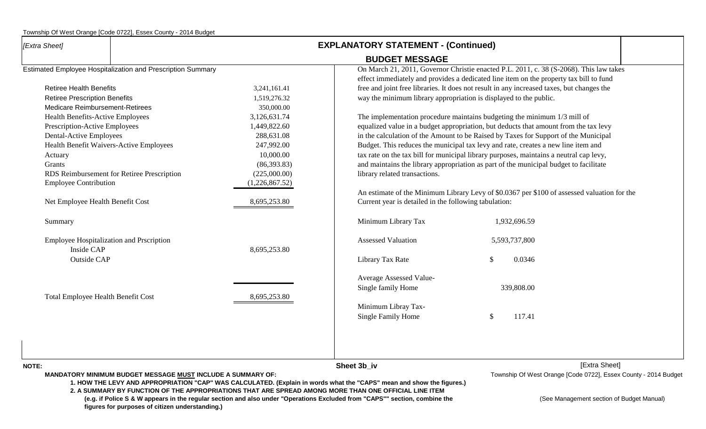| [Extra Sheet]                            |                                                                    |                | <b>EXPLANATORY STATEMENT - (Continued)</b>                                        |                                                                                             |  |  |  |  |
|------------------------------------------|--------------------------------------------------------------------|----------------|-----------------------------------------------------------------------------------|---------------------------------------------------------------------------------------------|--|--|--|--|
|                                          |                                                                    |                | <b>BUDGET MESSAGE</b>                                                             |                                                                                             |  |  |  |  |
|                                          | Estimated Employee Hospitalization and Prescription Summary        |                |                                                                                   | On March 21, 2011, Governor Christie enacted P.L. 2011, c. 38 (S-2068). This law takes      |  |  |  |  |
|                                          |                                                                    |                |                                                                                   | effect immediately and provides a dedicated line item on the property tax bill to fund      |  |  |  |  |
| <b>Retiree Health Benefits</b>           |                                                                    | 3,241,161.41   |                                                                                   | free and joint free libraries. It does not result in any increased taxes, but changes the   |  |  |  |  |
| <b>Retiree Prescription Benefits</b>     |                                                                    | 1,519,276.32   | way the minimum library appropriation is displayed to the public.                 |                                                                                             |  |  |  |  |
| Medicare Reimbursement-Retirees          |                                                                    | 350,000.00     |                                                                                   |                                                                                             |  |  |  |  |
| <b>Health Benefits-Active Employees</b>  |                                                                    | 3,126,631.74   |                                                                                   | The implementation procedure maintains budgeting the minimum 1/3 mill of                    |  |  |  |  |
| Prescription-Active Employees            |                                                                    | 1,449,822.60   |                                                                                   | equalized value in a budget appropriation, but deducts that amount from the tax levy        |  |  |  |  |
| <b>Dental-Active Employees</b>           |                                                                    | 288,631.08     |                                                                                   | in the calculation of the Amount to be Raised by Taxes for Support of the Municipal         |  |  |  |  |
| Health Benefit Waivers-Active Employees  |                                                                    | 247,992.00     | Budget. This reduces the municipal tax levy and rate, creates a new line item and |                                                                                             |  |  |  |  |
| Actuary                                  |                                                                    | 10,000.00      |                                                                                   | tax rate on the tax bill for municipal library purposes, maintains a neutral cap levy,      |  |  |  |  |
| Grants                                   |                                                                    |                |                                                                                   | and maintains the library appropriation as part of the municipal budget to facilitate       |  |  |  |  |
|                                          | RDS Reimbursement for Retiree Prescription                         | (225,000.00)   | library related transactions.                                                     |                                                                                             |  |  |  |  |
| <b>Employee Contribution</b>             |                                                                    | (1,226,867.52) |                                                                                   |                                                                                             |  |  |  |  |
|                                          |                                                                    |                |                                                                                   | An estimate of the Minimum Library Levy of \$0.0367 per \$100 of assessed valuation for the |  |  |  |  |
| Net Employee Health Benefit Cost         |                                                                    | 8,695,253.80   | Current year is detailed in the following tabulation:                             |                                                                                             |  |  |  |  |
| Summary                                  |                                                                    |                | Minimum Library Tax                                                               | 1,932,696.59                                                                                |  |  |  |  |
| Employee Hospitalization and Prscription |                                                                    |                | <b>Assessed Valuation</b>                                                         | 5,593,737,800                                                                               |  |  |  |  |
| Inside CAP                               |                                                                    | 8,695,253.80   |                                                                                   |                                                                                             |  |  |  |  |
| Outside CAP                              |                                                                    |                | Library Tax Rate                                                                  | $\mathbb{S}$<br>0.0346                                                                      |  |  |  |  |
|                                          |                                                                    |                | Average Assessed Value-                                                           |                                                                                             |  |  |  |  |
|                                          |                                                                    |                | Single family Home                                                                | 339,808.00                                                                                  |  |  |  |  |
| Total Employee Health Benefit Cost       |                                                                    | 8,695,253.80   | Minimum Libray Tax-                                                               |                                                                                             |  |  |  |  |
|                                          |                                                                    |                | Single Family Home                                                                | 117.41<br>$\mathcal{S}$                                                                     |  |  |  |  |
|                                          |                                                                    |                |                                                                                   |                                                                                             |  |  |  |  |
|                                          |                                                                    |                |                                                                                   |                                                                                             |  |  |  |  |
| <b>NOTE:</b>                             |                                                                    |                | Sheet 3b_iv                                                                       | [Extra Sheet]                                                                               |  |  |  |  |
|                                          | <b>MANDATORY MINIMUM BUDGET MESSAGE MUST INCLUDE A SUMMARY OF:</b> |                |                                                                                   | Township Of West Orange [Code 0722], Essex County - 2014 Budget                             |  |  |  |  |

**1. HOW THE LEVY AND APPROPRIATION "CAP" WAS CALCULATED. (Explain in words what the "CAPS" mean and show the figures.)**

**2. A SUMMARY BY FUNCTION OF THE APPROPRIATIONS THAT ARE SPREAD AMONG MORE THAN ONE OFFICIAL LINE ITEM (e.g. if Police S & W appears in the regular section and also under "Operations Excluded from "CAPS"" section, combine the** (See Management section of Budget Manual)  **figures for purposes of citizen understanding.)**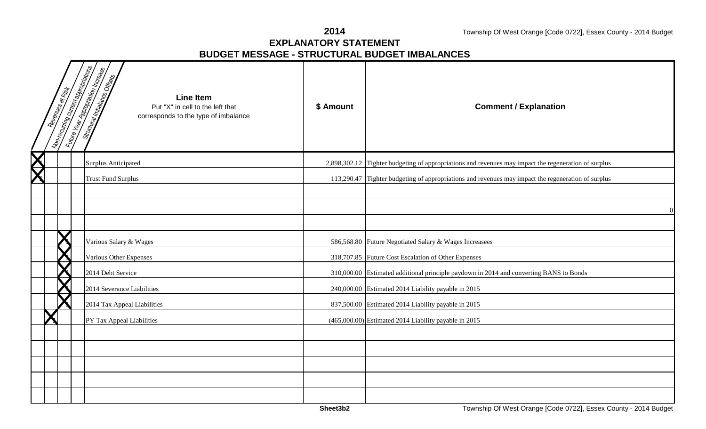**2014**

### **EXPLANATORY STATEMENTBUDGET MESSAGE - STRUCTURAL BUDGET IMBALANCES**

|             | Revenues at Risk | <b>Montecuring curies and operations</b><br><b>Little Year Applement Reception</b><br><b>Since the air model of the Conservation of the Conservation of the Conservation of the Conservation of the Conservation of the Conservation of the Conservation of the Conservation of the Conservation of the Conservation o</b><br><b>Line Item</b><br>Put "X" in cell to the left that<br>corresponds to the type of imbalance | \$ Amount | <b>Comment / Explanation</b>                                                                         |
|-------------|------------------|----------------------------------------------------------------------------------------------------------------------------------------------------------------------------------------------------------------------------------------------------------------------------------------------------------------------------------------------------------------------------------------------------------------------------|-----------|------------------------------------------------------------------------------------------------------|
| $\bigtimes$ |                  | <b>Surplus Anticipated</b>                                                                                                                                                                                                                                                                                                                                                                                                 |           | 2,898,302.12 Tighter budgeting of appropriations and revenues may impact the regeneration of surplus |
|             |                  | <b>Trust Fund Surplus</b>                                                                                                                                                                                                                                                                                                                                                                                                  |           | 113,290.47 Tighter budgeting of appropriations and revenues may impact the regeneration of surplus   |
|             |                  |                                                                                                                                                                                                                                                                                                                                                                                                                            |           |                                                                                                      |
|             |                  |                                                                                                                                                                                                                                                                                                                                                                                                                            |           | $\Omega$                                                                                             |
|             |                  |                                                                                                                                                                                                                                                                                                                                                                                                                            |           |                                                                                                      |
|             |                  | Various Salary & Wages                                                                                                                                                                                                                                                                                                                                                                                                     |           | 586,568.80 Future Negotiated Salary & Wages Increasees                                               |
|             |                  | Various Other Expenses                                                                                                                                                                                                                                                                                                                                                                                                     |           | 318,707.85 Future Cost Escalation of Other Expenses                                                  |
|             |                  | 2014 Debt Service                                                                                                                                                                                                                                                                                                                                                                                                          |           | 310,000.00 Estimated additional principle paydown in 2014 and converting BANS to Bonds               |
|             |                  | 2014 Severance Liabilities                                                                                                                                                                                                                                                                                                                                                                                                 |           | 240,000.00 Estimated 2014 Liability payable in 2015                                                  |
|             |                  | 2014 Tax Appeal Liabilities                                                                                                                                                                                                                                                                                                                                                                                                |           | 837,500.00 Estimated 2014 Liability payable in 2015                                                  |
|             |                  | PY Tax Appeal Liabilities                                                                                                                                                                                                                                                                                                                                                                                                  |           | (465,000.00) Estimated 2014 Liability payable in 2015                                                |
|             |                  |                                                                                                                                                                                                                                                                                                                                                                                                                            |           |                                                                                                      |
|             |                  |                                                                                                                                                                                                                                                                                                                                                                                                                            |           |                                                                                                      |
|             |                  |                                                                                                                                                                                                                                                                                                                                                                                                                            |           |                                                                                                      |
|             |                  |                                                                                                                                                                                                                                                                                                                                                                                                                            |           |                                                                                                      |
|             |                  |                                                                                                                                                                                                                                                                                                                                                                                                                            |           |                                                                                                      |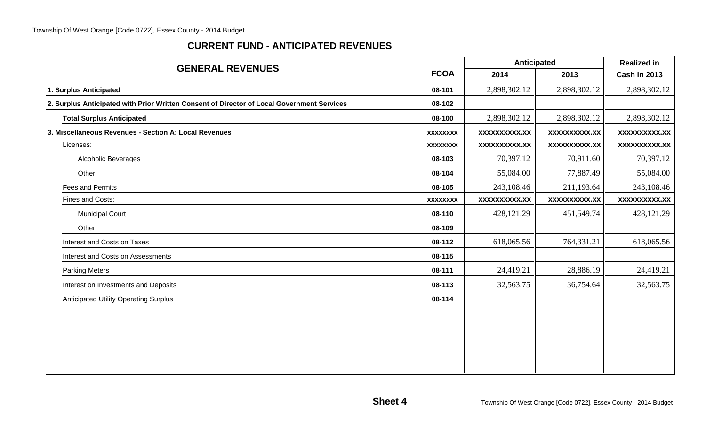## **CURRENT FUND - ANTICIPATED REVENUES**

|                                                                                            |                 | Anticipated          | <b>Realized in</b>   |                     |
|--------------------------------------------------------------------------------------------|-----------------|----------------------|----------------------|---------------------|
| <b>GENERAL REVENUES</b>                                                                    | <b>FCOA</b>     | 2014                 | 2013                 | <b>Cash in 2013</b> |
| 1. Surplus Anticipated                                                                     | 08-101          | 2,898,302.12         | 2,898,302.12         | 2,898,302.12        |
| 2. Surplus Anticipated with Prior Written Consent of Director of Local Government Services | 08-102          |                      |                      |                     |
| <b>Total Surplus Anticipated</b>                                                           | 08-100          | 2,898,302.12         | 2,898,302.12         | 2,898,302.12        |
| 3. Miscellaneous Revenues - Section A: Local Revenues                                      | <b>XXXXXXXX</b> | <b>XXXXXXXXX.XX</b>  | <b>XXXXXXXXXX.XX</b> | xxxxxxxxxx.xx       |
| Licenses:                                                                                  | <b>XXXXXXXX</b> | <b>XXXXXXXXXX.XX</b> | <b>XXXXXXXXXX.XX</b> | xxxxxxxxxx.xx       |
| <b>Alcoholic Beverages</b>                                                                 | 08-103          | 70,397.12            | 70,911.60            | 70,397.12           |
| Other                                                                                      | 08-104          | 55,084.00            | 77,887.49            | 55,084.00           |
| <b>Fees and Permits</b>                                                                    | 08-105          | 243,108.46           | 211,193.64           | 243,108.46          |
| Fines and Costs:                                                                           | <b>XXXXXXXX</b> | <b>XXXXXXXXXX.XX</b> | <b>XXXXXXXXXX.XX</b> | XXXXXXXXX.XX        |
| <b>Municipal Court</b>                                                                     | 08-110          | 428,121.29           | 451,549.74           | 428,121.29          |
| Other                                                                                      | 08-109          |                      |                      |                     |
| Interest and Costs on Taxes                                                                | 08-112          | 618,065.56           | 764,331.21           | 618,065.56          |
| Interest and Costs on Assessments                                                          | 08-115          |                      |                      |                     |
| <b>Parking Meters</b>                                                                      | 08-111          | 24,419.21            | 28,886.19            | 24,419.21           |
| Interest on Investments and Deposits                                                       | 08-113          | 32,563.75            | 36,754.64            | 32,563.75           |
| <b>Anticipated Utility Operating Surplus</b>                                               | 08-114          |                      |                      |                     |
|                                                                                            |                 |                      |                      |                     |
|                                                                                            |                 |                      |                      |                     |
|                                                                                            |                 |                      |                      |                     |
|                                                                                            |                 |                      |                      |                     |
|                                                                                            |                 |                      |                      |                     |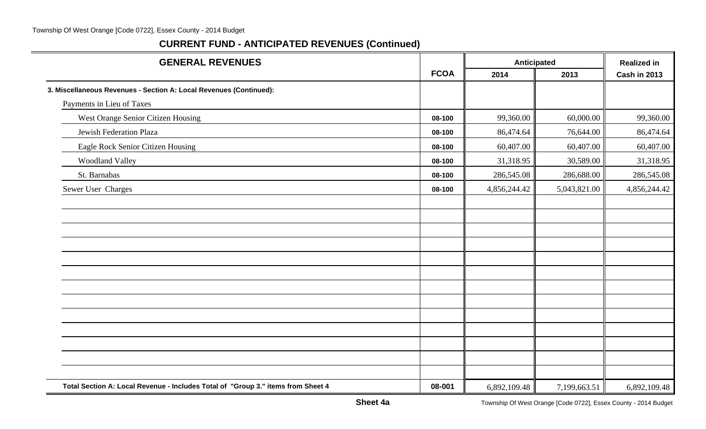#### Township Of West Orange [Code 0722], Essex County - 2014 Budget

| <b>GENERAL REVENUES</b>                                                          |             | Anticipated  |              | <b>Realized in</b>  |
|----------------------------------------------------------------------------------|-------------|--------------|--------------|---------------------|
|                                                                                  | <b>FCOA</b> | 2014         | 2013         | <b>Cash in 2013</b> |
| 3. Miscellaneous Revenues - Section A: Local Revenues (Continued):               |             |              |              |                     |
| Payments in Lieu of Taxes                                                        |             |              |              |                     |
| West Orange Senior Citizen Housing                                               | 08-100      | 99,360.00    | 60,000.00    | 99,360.00           |
| Jewish Federation Plaza                                                          | 08-100      | 86,474.64    | 76,644.00    | 86,474.64           |
| Eagle Rock Senior Citizen Housing                                                | 08-100      | 60,407.00    | 60,407.00    | 60,407.00           |
| <b>Woodland Valley</b>                                                           | 08-100      | 31,318.95    | 30,589.00    | 31,318.95           |
| St. Barnabas                                                                     | 08-100      | 286,545.08   | 286,688.00   | 286,545.08          |
| Sewer User Charges                                                               | 08-100      | 4,856,244.42 | 5,043,821.00 | 4,856,244.42        |
|                                                                                  |             |              |              |                     |
|                                                                                  |             |              |              |                     |
|                                                                                  |             |              |              |                     |
|                                                                                  |             |              |              |                     |
|                                                                                  |             |              |              |                     |
|                                                                                  |             |              |              |                     |
|                                                                                  |             |              |              |                     |
|                                                                                  |             |              |              |                     |
|                                                                                  |             |              |              |                     |
|                                                                                  |             |              |              |                     |
|                                                                                  |             |              |              |                     |
|                                                                                  |             |              |              |                     |
|                                                                                  |             |              |              |                     |
| Total Section A: Local Revenue - Includes Total of "Group 3." items from Sheet 4 | 08-001      | 6,892,109.48 | 7,199,663.51 | 6,892,109.48        |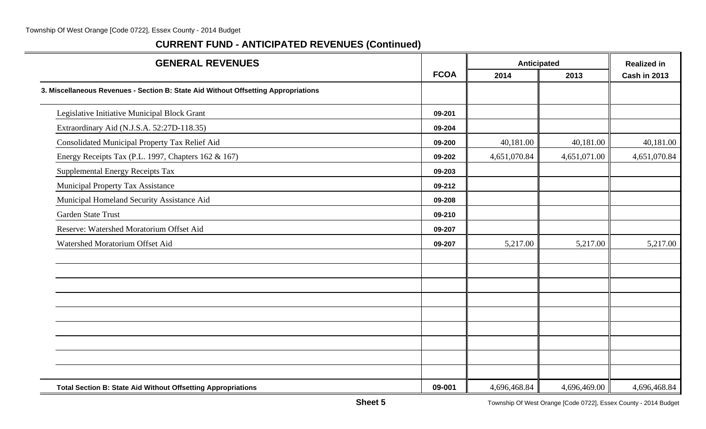#### Township Of West Orange [Code 0722], Essex County - 2014 Budget

| <b>GENERAL REVENUES</b>                                                            |             | Anticipated  |              | <b>Realized in</b>  |  |
|------------------------------------------------------------------------------------|-------------|--------------|--------------|---------------------|--|
|                                                                                    | <b>FCOA</b> | 2014         | 2013         | <b>Cash in 2013</b> |  |
| 3. Miscellaneous Revenues - Section B: State Aid Without Offsetting Appropriations |             |              |              |                     |  |
| Legislative Initiative Municipal Block Grant                                       | 09-201      |              |              |                     |  |
| Extraordinary Aid (N.J.S.A. 52:27D-118.35)                                         | 09-204      |              |              |                     |  |
| Consolidated Municipal Property Tax Relief Aid                                     | 09-200      | 40,181.00    | 40,181.00    | 40,181.00           |  |
| Energy Receipts Tax (P.L. 1997, Chapters 162 & 167)                                | 09-202      | 4,651,070.84 | 4,651,071.00 | 4,651,070.84        |  |
| Supplemental Energy Receipts Tax                                                   | 09-203      |              |              |                     |  |
| Municipal Property Tax Assistance                                                  | 09-212      |              |              |                     |  |
| Municipal Homeland Security Assistance Aid                                         | 09-208      |              |              |                     |  |
| Garden State Trust                                                                 | 09-210      |              |              |                     |  |
| Reserve: Watershed Moratorium Offset Aid                                           | 09-207      |              |              |                     |  |
| Watershed Moratorium Offset Aid                                                    | 09-207      | 5,217.00     | 5,217.00     | 5,217.00            |  |
|                                                                                    |             |              |              |                     |  |
|                                                                                    |             |              |              |                     |  |
|                                                                                    |             |              |              |                     |  |
|                                                                                    |             |              |              |                     |  |
|                                                                                    |             |              |              |                     |  |
|                                                                                    |             |              |              |                     |  |
| <b>Total Section B: State Aid Without Offsetting Appropriations</b>                | 09-001      | 4,696,468.84 | 4,696,469.00 | 4,696,468.84        |  |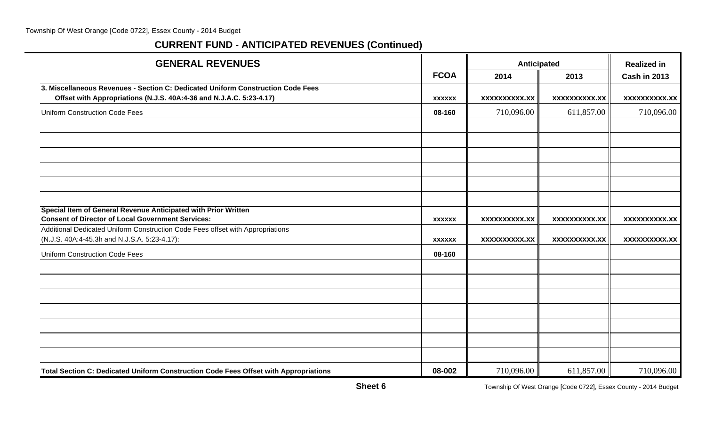| <b>GENERAL REVENUES</b>                                                                                                    |               | Anticipated          |                      | <b>Realized in</b>   |  |
|----------------------------------------------------------------------------------------------------------------------------|---------------|----------------------|----------------------|----------------------|--|
|                                                                                                                            | <b>FCOA</b>   | 2014                 | 2013                 | <b>Cash in 2013</b>  |  |
| 3. Miscellaneous Revenues - Section C: Dedicated Uniform Construction Code Fees                                            |               |                      |                      |                      |  |
| Offset with Appropriations (N.J.S. 40A:4-36 and N.J.A.C. 5:23-4.17)                                                        | <b>XXXXXX</b> | <b>XXXXXXXXXX.XX</b> | <b>XXXXXXXXXX.XX</b> | <b>XXXXXXXXX.XX</b>  |  |
| <b>Uniform Construction Code Fees</b>                                                                                      | 08-160        | 710,096.00           | 611,857.00           | 710,096.00           |  |
|                                                                                                                            |               |                      |                      |                      |  |
|                                                                                                                            |               |                      |                      |                      |  |
|                                                                                                                            |               |                      |                      |                      |  |
|                                                                                                                            |               |                      |                      |                      |  |
|                                                                                                                            |               |                      |                      |                      |  |
|                                                                                                                            |               |                      |                      |                      |  |
| Special Item of General Revenue Anticipated with Prior Written<br><b>Consent of Director of Local Government Services:</b> |               |                      |                      |                      |  |
| Additional Dedicated Uniform Construction Code Fees offset with Appropriations                                             | <b>XXXXXX</b> | <b>XXXXXXXXXX.XX</b> | <b>XXXXXXXXXX.XX</b> | <b>XXXXXXXXXX.XX</b> |  |
| (N.J.S. 40A:4-45.3h and N.J.S.A. 5:23-4.17):                                                                               | <b>XXXXXX</b> | XXXXXXXXXX.XX        | <b>XXXXXXXXXX.XX</b> | <b>XXXXXXXXXX.XX</b> |  |
| <b>Uniform Construction Code Fees</b>                                                                                      | 08-160        |                      |                      |                      |  |
|                                                                                                                            |               |                      |                      |                      |  |
|                                                                                                                            |               |                      |                      |                      |  |
|                                                                                                                            |               |                      |                      |                      |  |
|                                                                                                                            |               |                      |                      |                      |  |
|                                                                                                                            |               |                      |                      |                      |  |
|                                                                                                                            |               |                      |                      |                      |  |
|                                                                                                                            |               |                      |                      |                      |  |
| Total Section C: Dedicated Uniform Construction Code Fees Offset with Appropriations                                       | 08-002        | 710,096.00           | 611,857.00           | 710,096.00           |  |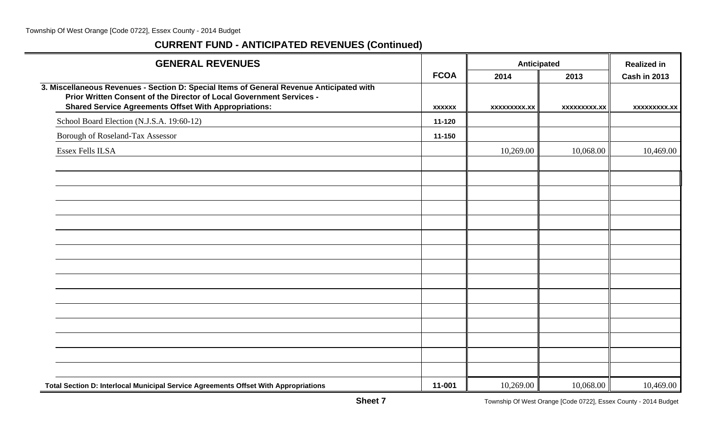| <b>GENERAL REVENUES</b>                                                                                                                                                                                                          |               | Anticipated         | <b>Realized in</b>  |                     |
|----------------------------------------------------------------------------------------------------------------------------------------------------------------------------------------------------------------------------------|---------------|---------------------|---------------------|---------------------|
|                                                                                                                                                                                                                                  | <b>FCOA</b>   | 2014                | 2013                | <b>Cash in 2013</b> |
| 3. Miscellaneous Revenues - Section D: Special Items of General Revenue Anticipated with<br>Prior Written Consent of the Director of Local Government Services -<br><b>Shared Service Agreements Offset With Appropriations:</b> | <b>XXXXXX</b> | <b>XXXXXXXXX.XX</b> | <b>XXXXXXXXX.XX</b> | <b>XXXXXXXXX.XX</b> |
| School Board Election (N.J.S.A. 19:60-12)                                                                                                                                                                                        | 11-120        |                     |                     |                     |
| Borough of Roseland-Tax Assessor                                                                                                                                                                                                 | 11-150        |                     |                     |                     |
| <b>Essex Fells ILSA</b>                                                                                                                                                                                                          |               | 10,269.00           | 10,068.00           | 10,469.00           |
|                                                                                                                                                                                                                                  |               |                     |                     |                     |
|                                                                                                                                                                                                                                  |               |                     |                     |                     |
|                                                                                                                                                                                                                                  |               |                     |                     |                     |
|                                                                                                                                                                                                                                  |               |                     |                     |                     |
|                                                                                                                                                                                                                                  |               |                     |                     |                     |
|                                                                                                                                                                                                                                  |               |                     |                     |                     |
|                                                                                                                                                                                                                                  |               |                     |                     |                     |
|                                                                                                                                                                                                                                  |               |                     |                     |                     |
|                                                                                                                                                                                                                                  |               |                     |                     |                     |
|                                                                                                                                                                                                                                  |               |                     |                     |                     |
|                                                                                                                                                                                                                                  |               |                     |                     |                     |
|                                                                                                                                                                                                                                  |               |                     |                     |                     |
|                                                                                                                                                                                                                                  |               |                     |                     |                     |
|                                                                                                                                                                                                                                  |               |                     |                     |                     |
|                                                                                                                                                                                                                                  |               |                     |                     |                     |
| Total Section D: Interlocal Municipal Service Agreements Offset With Appropriations                                                                                                                                              | 11-001        | 10,269.00           | 10,068.00           | 10,469.00           |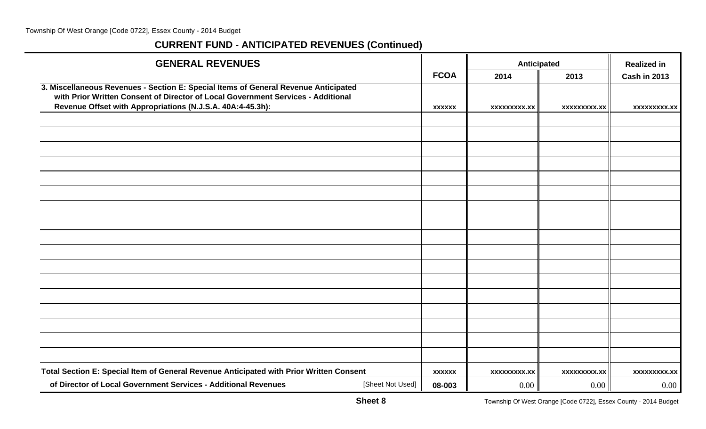| <b>GENERAL REVENUES</b>                                                                                                                                                 |               |                     | Anticipated         | <b>Realized in</b>  |
|-------------------------------------------------------------------------------------------------------------------------------------------------------------------------|---------------|---------------------|---------------------|---------------------|
|                                                                                                                                                                         | <b>FCOA</b>   | 2014                | 2013                | <b>Cash in 2013</b> |
| 3. Miscellaneous Revenues - Section E: Special Items of General Revenue Anticipated<br>with Prior Written Consent of Director of Local Government Services - Additional |               |                     |                     |                     |
| Revenue Offset with Appropriations (N.J.S.A. 40A:4-45.3h):                                                                                                              | <b>XXXXXX</b> | <b>XXXXXXXXX.XX</b> | <b>XXXXXXXXX.XX</b> | xxxxxxxxx.xx        |
|                                                                                                                                                                         |               |                     |                     |                     |
|                                                                                                                                                                         |               |                     |                     |                     |
|                                                                                                                                                                         |               |                     |                     |                     |
|                                                                                                                                                                         |               |                     |                     |                     |
|                                                                                                                                                                         |               |                     |                     |                     |
|                                                                                                                                                                         |               |                     |                     |                     |
|                                                                                                                                                                         |               |                     |                     |                     |
|                                                                                                                                                                         |               |                     |                     |                     |
|                                                                                                                                                                         |               |                     |                     |                     |
|                                                                                                                                                                         |               |                     |                     |                     |
|                                                                                                                                                                         |               |                     |                     |                     |
|                                                                                                                                                                         |               |                     |                     |                     |
|                                                                                                                                                                         |               |                     |                     |                     |
|                                                                                                                                                                         |               |                     |                     |                     |
|                                                                                                                                                                         |               |                     |                     |                     |
|                                                                                                                                                                         |               |                     |                     |                     |
|                                                                                                                                                                         |               |                     |                     |                     |
| Total Section E: Special Item of General Revenue Anticipated with Prior Written Consent                                                                                 | <b>XXXXXX</b> | <b>XXXXXXXXX.XX</b> | xxxxxxxxx.xx        | xxxxxxxxx.xx        |
| of Director of Local Government Services - Additional Revenues<br>[Sheet Not Used]                                                                                      | 08-003        | $0.00\,$            | 0.00                | 0.00                |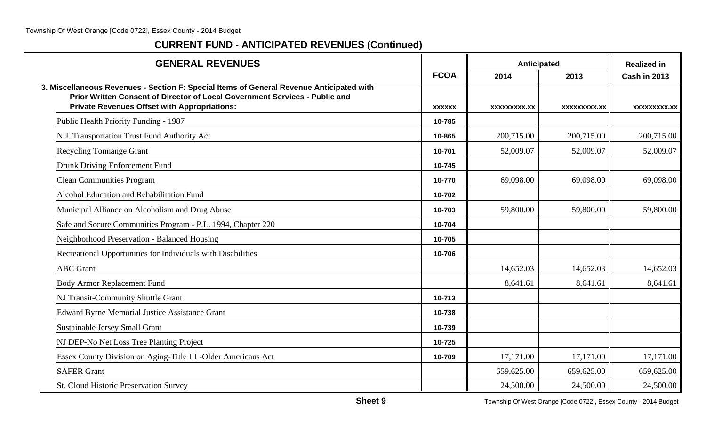| <b>GENERAL REVENUES</b>                                                                                                                                                                                                        |               | Anticipated  | <b>Realized in</b> |                     |
|--------------------------------------------------------------------------------------------------------------------------------------------------------------------------------------------------------------------------------|---------------|--------------|--------------------|---------------------|
|                                                                                                                                                                                                                                | <b>FCOA</b>   | 2014         | 2013               | <b>Cash in 2013</b> |
| 3. Miscellaneous Revenues - Section F: Special Items of General Revenue Anticipated with<br>Prior Written Consent of Director of Local Government Services - Public and<br><b>Private Revenues Offset with Appropriations:</b> | <b>XXXXXX</b> | XXXXXXXXX.XX | XXXXXXXXX.XX       | <b>XXXXXXXXX.XX</b> |
| Public Health Priority Funding - 1987                                                                                                                                                                                          | 10-785        |              |                    |                     |
| N.J. Transportation Trust Fund Authority Act                                                                                                                                                                                   | 10-865        | 200,715.00   | 200,715.00         | 200,715.00          |
| <b>Recycling Tonnange Grant</b>                                                                                                                                                                                                | 10-701        | 52,009.07    | 52,009.07          | 52,009.07           |
| Drunk Driving Enforcement Fund                                                                                                                                                                                                 | 10-745        |              |                    |                     |
| <b>Clean Communities Program</b>                                                                                                                                                                                               | 10-770        | 69,098.00    | 69,098.00          | 69,098.00           |
| Alcohol Education and Rehabilitation Fund                                                                                                                                                                                      | 10-702        |              |                    |                     |
| Municipal Alliance on Alcoholism and Drug Abuse                                                                                                                                                                                | 10-703        | 59,800.00    | 59,800.00          | 59,800.00           |
| Safe and Secure Communities Program - P.L. 1994, Chapter 220                                                                                                                                                                   | 10-704        |              |                    |                     |
| Neighborhood Preservation - Balanced Housing                                                                                                                                                                                   | 10-705        |              |                    |                     |
| Recreational Opportunities for Individuals with Disabilities                                                                                                                                                                   | 10-706        |              |                    |                     |
| <b>ABC</b> Grant                                                                                                                                                                                                               |               | 14,652.03    | 14,652.03          | 14,652.03           |
| <b>Body Armor Replacement Fund</b>                                                                                                                                                                                             |               | 8,641.61     | 8,641.61           | 8,641.61            |
| NJ Transit-Community Shuttle Grant                                                                                                                                                                                             | 10-713        |              |                    |                     |
| <b>Edward Byrne Memorial Justice Assistance Grant</b>                                                                                                                                                                          | 10-738        |              |                    |                     |
| <b>Sustainable Jersey Small Grant</b>                                                                                                                                                                                          | 10-739        |              |                    |                     |
| NJ DEP-No Net Loss Tree Planting Project                                                                                                                                                                                       | 10-725        |              |                    |                     |
| Essex County Division on Aging-Title III -Older Americans Act                                                                                                                                                                  | 10-709        | 17,171.00    | 17,171.00          | 17,171.00           |
| <b>SAFER Grant</b>                                                                                                                                                                                                             |               | 659,625.00   | 659,625.00         | 659,625.00          |
| St. Cloud Historic Preservation Survey                                                                                                                                                                                         |               | 24,500.00    | 24,500.00          | 24,500.00           |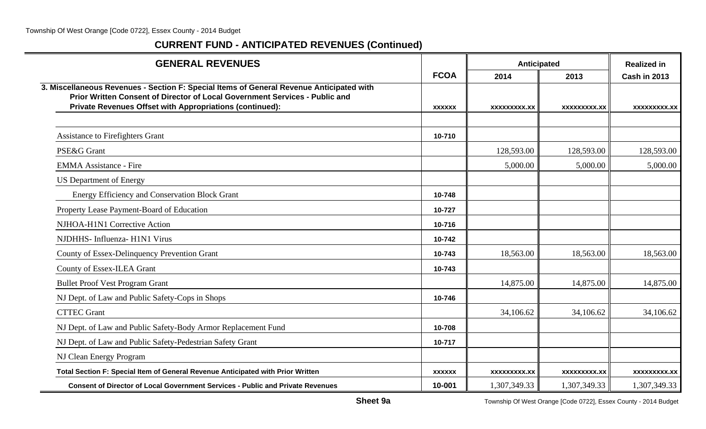| <b>GENERAL REVENUES</b>                                                                                                                                                                                                             |               | Anticipated  |                     | <b>Realized in</b>  |  |
|-------------------------------------------------------------------------------------------------------------------------------------------------------------------------------------------------------------------------------------|---------------|--------------|---------------------|---------------------|--|
|                                                                                                                                                                                                                                     | <b>FCOA</b>   | 2014         | 2013                | <b>Cash in 2013</b> |  |
| 3. Miscellaneous Revenues - Section F: Special Items of General Revenue Anticipated with<br>Prior Written Consent of Director of Local Government Services - Public and<br>Private Revenues Offset with Appropriations (continued): | <b>XXXXXX</b> | XXXXXXXX.XX  | XXXXXXXXX.XX        | XXXXXXXXX.XX        |  |
|                                                                                                                                                                                                                                     |               |              |                     |                     |  |
| Assistance to Firefighters Grant                                                                                                                                                                                                    | 10-710        |              |                     |                     |  |
| PSE&G Grant                                                                                                                                                                                                                         |               | 128,593.00   | 128,593.00          | 128,593.00          |  |
| <b>EMMA Assistance - Fire</b>                                                                                                                                                                                                       |               | 5,000.00     | 5,000.00            | 5,000.00            |  |
| <b>US Department of Energy</b>                                                                                                                                                                                                      |               |              |                     |                     |  |
| Energy Efficiency and Conservation Block Grant                                                                                                                                                                                      | 10-748        |              |                     |                     |  |
| Property Lease Payment-Board of Education                                                                                                                                                                                           | 10-727        |              |                     |                     |  |
| NJHOA-H1N1 Corrective Action                                                                                                                                                                                                        | 10-716        |              |                     |                     |  |
| NJDHHS- Influenza- H1N1 Virus                                                                                                                                                                                                       | 10-742        |              |                     |                     |  |
| County of Essex-Delinquency Prevention Grant                                                                                                                                                                                        | 10-743        | 18,563.00    | 18,563.00           | 18,563.00           |  |
| County of Essex-ILEA Grant                                                                                                                                                                                                          | 10-743        |              |                     |                     |  |
| <b>Bullet Proof Vest Program Grant</b>                                                                                                                                                                                              |               | 14,875.00    | 14,875.00           | 14,875.00           |  |
| NJ Dept. of Law and Public Safety-Cops in Shops                                                                                                                                                                                     | 10-746        |              |                     |                     |  |
| <b>CTTEC Grant</b>                                                                                                                                                                                                                  |               | 34,106.62    | 34,106.62           | 34,106.62           |  |
| NJ Dept. of Law and Public Safety-Body Armor Replacement Fund                                                                                                                                                                       | 10-708        |              |                     |                     |  |
| NJ Dept. of Law and Public Safety-Pedestrian Safety Grant                                                                                                                                                                           | 10-717        |              |                     |                     |  |
| NJ Clean Energy Program                                                                                                                                                                                                             |               |              |                     |                     |  |
| Total Section F: Special Item of General Revenue Anticipated with Prior Written                                                                                                                                                     | <b>XXXXXX</b> | XXXXXXXXX.XX | <b>XXXXXXXXX.XX</b> | XXXXXXXXX.XX        |  |
| <b>Consent of Director of Local Government Services - Public and Private Revenues</b>                                                                                                                                               | 10-001        | 1,307,349.33 | 1,307,349.33        | 1,307,349.33        |  |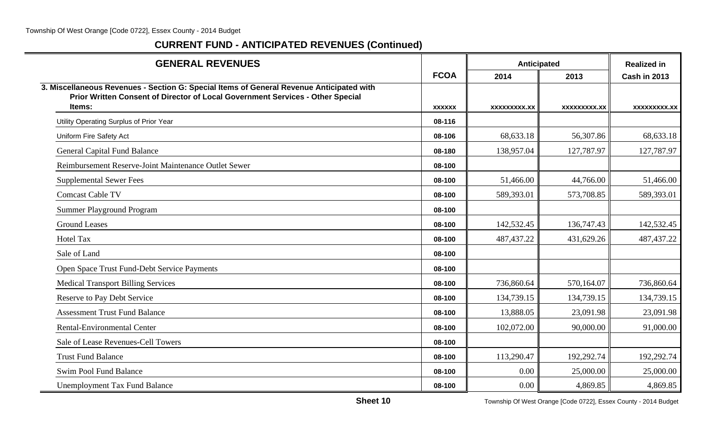| <b>GENERAL REVENUES</b>                                                                                                                                                              |               | Anticipated  |              | <b>Realized in</b>  |
|--------------------------------------------------------------------------------------------------------------------------------------------------------------------------------------|---------------|--------------|--------------|---------------------|
|                                                                                                                                                                                      | <b>FCOA</b>   | 2014         | 2013         | <b>Cash in 2013</b> |
| 3. Miscellaneous Revenues - Section G: Special Items of General Revenue Anticipated with<br>Prior Written Consent of Director of Local Government Services - Other Special<br>Items: |               |              |              |                     |
|                                                                                                                                                                                      | <b>XXXXXX</b> | XXXXXXXXX.XX | XXXXXXXXX.XX | <b>XXXXXXXXX.XX</b> |
| Utility Operating Surplus of Prior Year                                                                                                                                              | 08-116        |              |              |                     |
| Uniform Fire Safety Act                                                                                                                                                              | 08-106        | 68,633.18    | 56,307.86    | 68,633.18           |
| <b>General Capital Fund Balance</b>                                                                                                                                                  | 08-180        | 138,957.04   | 127,787.97   | 127,787.97          |
| Reimbursement Reserve-Joint Maintenance Outlet Sewer                                                                                                                                 | 08-100        |              |              |                     |
| <b>Supplemental Sewer Fees</b>                                                                                                                                                       | 08-100        | 51,466.00    | 44,766.00    | 51,466.00           |
| <b>Comcast Cable TV</b>                                                                                                                                                              | 08-100        | 589,393.01   | 573,708.85   | 589,393.01          |
| <b>Summer Playground Program</b>                                                                                                                                                     | 08-100        |              |              |                     |
| <b>Ground Leases</b>                                                                                                                                                                 | 08-100        | 142,532.45   | 136,747.43   | 142,532.45          |
| <b>Hotel Tax</b>                                                                                                                                                                     | 08-100        | 487, 437. 22 | 431,629.26   | 487, 437. 22        |
| Sale of Land                                                                                                                                                                         | 08-100        |              |              |                     |
| Open Space Trust Fund-Debt Service Payments                                                                                                                                          | 08-100        |              |              |                     |
| <b>Medical Transport Billing Services</b>                                                                                                                                            | 08-100        | 736,860.64   | 570,164.07   | 736,860.64          |
| Reserve to Pay Debt Service                                                                                                                                                          | 08-100        | 134,739.15   | 134,739.15   | 134,739.15          |
| <b>Assessment Trust Fund Balance</b>                                                                                                                                                 | 08-100        | 13,888.05    | 23,091.98    | 23,091.98           |
| <b>Rental-Environmental Center</b>                                                                                                                                                   | 08-100        | 102,072.00   | 90,000.00    | 91,000.00           |
| Sale of Lease Revenues-Cell Towers                                                                                                                                                   | 08-100        |              |              |                     |
| <b>Trust Fund Balance</b>                                                                                                                                                            | 08-100        | 113,290.47   | 192,292.74   | 192,292.74          |
| <b>Swim Pool Fund Balance</b>                                                                                                                                                        | 08-100        | 0.00         | 25,000.00    | 25,000.00           |
| <b>Unemployment Tax Fund Balance</b>                                                                                                                                                 | 08-100        | 0.00         | 4,869.85     | 4,869.85            |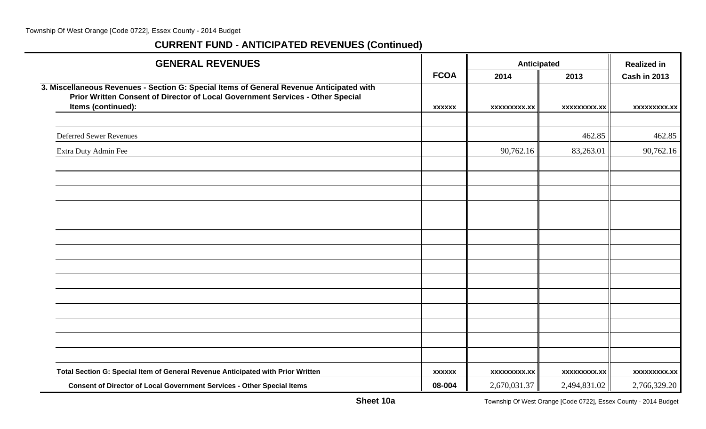| <b>GENERAL REVENUES</b>                                                                                                                                                                          |               | Anticipated         | <b>Realized in</b>  |                     |
|--------------------------------------------------------------------------------------------------------------------------------------------------------------------------------------------------|---------------|---------------------|---------------------|---------------------|
|                                                                                                                                                                                                  | <b>FCOA</b>   | 2014                | 2013                | <b>Cash in 2013</b> |
| 3. Miscellaneous Revenues - Section G: Special Items of General Revenue Anticipated with<br>Prior Written Consent of Director of Local Government Services - Other Special<br>Items (continued): | <b>XXXXXX</b> | <b>XXXXXXXXX.XX</b> | xxxxxxxxx.xx        | xxxxxxxxx.xx        |
|                                                                                                                                                                                                  |               |                     |                     |                     |
| <b>Deferred Sewer Revenues</b>                                                                                                                                                                   |               |                     | 462.85              | 462.85              |
| Extra Duty Admin Fee                                                                                                                                                                             |               | 90,762.16           | 83,263.01           | 90,762.16           |
|                                                                                                                                                                                                  |               |                     |                     |                     |
|                                                                                                                                                                                                  |               |                     |                     |                     |
|                                                                                                                                                                                                  |               |                     |                     |                     |
|                                                                                                                                                                                                  |               |                     |                     |                     |
|                                                                                                                                                                                                  |               |                     |                     |                     |
|                                                                                                                                                                                                  |               |                     |                     |                     |
|                                                                                                                                                                                                  |               |                     |                     |                     |
|                                                                                                                                                                                                  |               |                     |                     |                     |
|                                                                                                                                                                                                  |               |                     |                     |                     |
|                                                                                                                                                                                                  |               |                     |                     |                     |
|                                                                                                                                                                                                  |               |                     |                     |                     |
|                                                                                                                                                                                                  |               |                     |                     |                     |
|                                                                                                                                                                                                  |               |                     |                     |                     |
|                                                                                                                                                                                                  |               |                     |                     |                     |
| Total Section G: Special Item of General Revenue Anticipated with Prior Written                                                                                                                  | <b>XXXXXX</b> | <b>XXXXXXXXX.XX</b> | <b>XXXXXXXXX.XX</b> | <b>XXXXXXXXX.XX</b> |
| <b>Consent of Director of Local Government Services - Other Special Items</b>                                                                                                                    | 08-004        | 2,670,031.37        | 2,494,831.02        | 2,766,329.20        |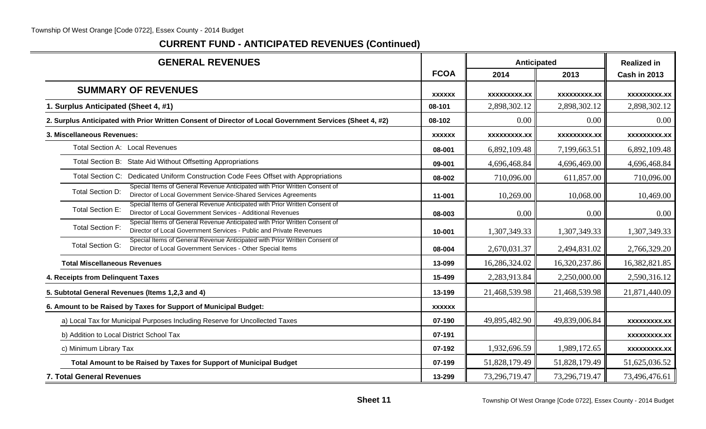#### Township Of West Orange [Code 0722], Essex County - 2014 Budget

| <b>GENERAL REVENUES</b>                                                                                                                                                      |               | Anticipated         | <b>Realized in</b>  |                     |
|------------------------------------------------------------------------------------------------------------------------------------------------------------------------------|---------------|---------------------|---------------------|---------------------|
|                                                                                                                                                                              | <b>FCOA</b>   | 2014                | 2013                | <b>Cash in 2013</b> |
| <b>SUMMARY OF REVENUES</b>                                                                                                                                                   | <b>XXXXXX</b> | <b>XXXXXXXXX.XX</b> | <b>XXXXXXXXX.XX</b> | <b>XXXXXXXXX.XX</b> |
| 1. Surplus Anticipated (Sheet 4, #1)                                                                                                                                         | 08-101        | 2,898,302.12        | 2,898,302.12        | 2,898,302.12        |
| 2. Surplus Anticipated with Prior Written Consent of Director of Local Government Services (Sheet 4, #2)                                                                     | 08-102        | $0.00\,$            | 0.00                | 0.00                |
| 3. Miscellaneous Revenues:                                                                                                                                                   | <b>XXXXXX</b> | XXXXXXXXX.XX        | <b>XXXXXXXXX.XX</b> | <b>XXXXXXXXX.XX</b> |
| Total Section A: Local Revenues                                                                                                                                              | 08-001        | 6,892,109.48        | 7,199,663.51        | 6,892,109.48        |
| Total Section B: State Aid Without Offsetting Appropriations                                                                                                                 | 09-001        | 4,696,468.84        | 4,696,469.00        | 4,696,468.84        |
| Total Section C: Dedicated Uniform Construction Code Fees Offset with Appropriations                                                                                         | 08-002        | 710,096.00          | 611,857.00          | 710,096.00          |
| Special Items of General Revenue Anticipated with Prior Written Consent of<br>Total Section D:<br>Director of Local Government Service-Shared Services Agreements            | 11-001        | 10,269.00           | 10,068.00           | 10,469.00           |
| Special Items of General Revenue Anticipated with Prior Written Consent of<br><b>Total Section E:</b><br>Director of Local Government Services - Additional Revenues         | 08-003        | 0.00                | 0.00                | 0.00                |
| Special Items of General Revenue Anticipated with Prior Written Consent of<br><b>Total Section F:</b><br>Director of Local Government Services - Public and Private Revenues | 10-001        | 1,307,349.33        | 1,307,349.33        | 1,307,349.33        |
| Special Items of General Revenue Anticipated with Prior Written Consent of<br><b>Total Section G:</b><br>Director of Local Government Services - Other Special Items         | 08-004        | 2,670,031.37        | 2,494,831.02        | 2,766,329.20        |
| <b>Total Miscellaneous Revenues</b>                                                                                                                                          | 13-099        | 16,286,324.02       | 16,320,237.86       | 16,382,821.85       |
| 4. Receipts from Delinquent Taxes                                                                                                                                            | 15-499        | 2,283,913.84        | 2,250,000.00        | 2,590,316.12        |
| 5. Subtotal General Revenues (Items 1,2,3 and 4)                                                                                                                             | 13-199        | 21,468,539.98       | 21,468,539.98       | 21,871,440.09       |
| 6. Amount to be Raised by Taxes for Support of Municipal Budget:                                                                                                             | <b>XXXXXX</b> |                     |                     |                     |
| a) Local Tax for Municipal Purposes Including Reserve for Uncollected Taxes                                                                                                  | 07-190        | 49,895,482.90       | 49,839,006.84       | <b>XXXXXXXXX.XX</b> |
| b) Addition to Local District School Tax                                                                                                                                     | 07-191        |                     |                     | <b>XXXXXXXXX.XX</b> |
| c) Minimum Library Tax                                                                                                                                                       | 07-192        | 1,932,696.59        | 1,989,172.65        | XXXXXXXXX.XX        |
| Total Amount to be Raised by Taxes for Support of Municipal Budget                                                                                                           | 07-199        | 51,828,179.49       | 51,828,179.49       | 51,625,036.52       |
| <b>7. Total General Revenues</b>                                                                                                                                             | 13-299        | 73,296,719.47       | 73,296,719.47       | 73,496,476.61       |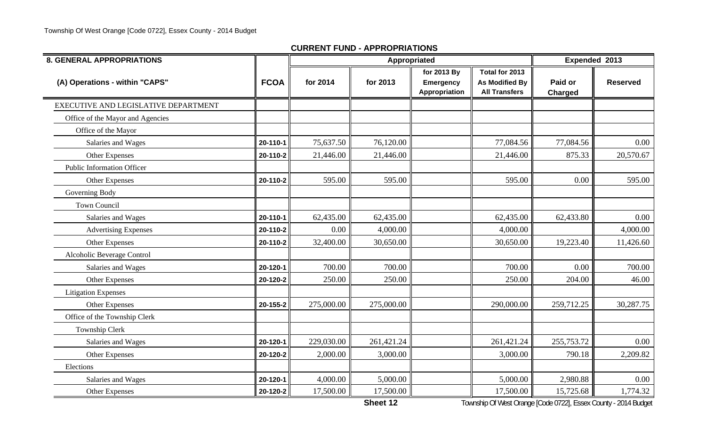| <b>8. GENERAL APPROPRIATIONS</b>     |             |            | Appropriated |                                                  | Expended 2013                                                   |                           |                 |
|--------------------------------------|-------------|------------|--------------|--------------------------------------------------|-----------------------------------------------------------------|---------------------------|-----------------|
| (A) Operations - within "CAPS"       | <b>FCOA</b> | for 2014   | for 2013     | for 2013 By<br><b>Emergency</b><br>Appropriation | Total for 2013<br><b>As Modified By</b><br><b>All Transfers</b> | Paid or<br><b>Charged</b> | <b>Reserved</b> |
| EXECUTIVE AND LEGISLATIVE DEPARTMENT |             |            |              |                                                  |                                                                 |                           |                 |
| Office of the Mayor and Agencies     |             |            |              |                                                  |                                                                 |                           |                 |
| Office of the Mayor                  |             |            |              |                                                  |                                                                 |                           |                 |
| Salaries and Wages                   | 20-110-1    | 75,637.50  | 76,120.00    |                                                  | 77,084.56                                                       | 77,084.56                 | 0.00            |
| Other Expenses                       | 20-110-2    | 21,446.00  | 21,446.00    |                                                  | 21,446.00                                                       | 875.33                    | 20,570.67       |
| <b>Public Information Officer</b>    |             |            |              |                                                  |                                                                 |                           |                 |
| Other Expenses                       | 20-110-2    | 595.00     | 595.00       |                                                  | 595.00                                                          | 0.00                      | 595.00          |
| Governing Body                       |             |            |              |                                                  |                                                                 |                           |                 |
| <b>Town Council</b>                  |             |            |              |                                                  |                                                                 |                           |                 |
| Salaries and Wages                   | 20-110-1    | 62,435.00  | 62,435.00    |                                                  | 62,435.00                                                       | 62,433.80                 | 0.00            |
| <b>Advertising Expenses</b>          | 20-110-2    | 0.00       | 4,000.00     |                                                  | 4,000.00                                                        |                           | 4,000.00        |
| Other Expenses                       | 20-110-2    | 32,400.00  | 30,650.00    |                                                  | 30,650.00                                                       | 19,223.40                 | 11,426.60       |
| Alcoholic Beverage Control           |             |            |              |                                                  |                                                                 |                           |                 |
| Salaries and Wages                   | 20-120-1    | 700.00     | 700.00       |                                                  | 700.00                                                          | 0.00                      | 700.00          |
| Other Expenses                       | 20-120-2    | 250.00     | 250.00       |                                                  | 250.00                                                          | 204.00                    | 46.00           |
| <b>Litigation Expenses</b>           |             |            |              |                                                  |                                                                 |                           |                 |
| Other Expenses                       | 20-155-2    | 275,000.00 | 275,000.00   |                                                  | 290,000.00                                                      | 259,712.25                | 30,287.75       |
| Office of the Township Clerk         |             |            |              |                                                  |                                                                 |                           |                 |
| Township Clerk                       |             |            |              |                                                  |                                                                 |                           |                 |
| Salaries and Wages                   | 20-120-1    | 229,030.00 | 261,421.24   |                                                  | 261,421.24                                                      | 255,753.72                | 0.00            |
| Other Expenses                       | 20-120-2    | 2,000.00   | 3,000.00     |                                                  | 3,000.00                                                        | 790.18                    | 2,209.82        |
| Elections                            |             |            |              |                                                  |                                                                 |                           |                 |
| Salaries and Wages                   | 20-120-1    | 4,000.00   | 5,000.00     |                                                  | 5,000.00                                                        | 2,980.88                  | 0.00            |
| Other Expenses                       | 20-120-2    | 17,500.00  | 17,500.00    |                                                  | 17,500.00                                                       | 15,725.68                 | 1,774.32        |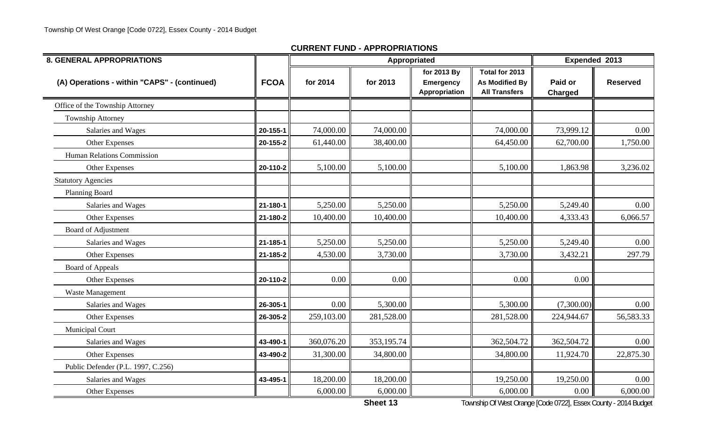| <b>8. GENERAL APPROPRIATIONS</b>             |                |            | Appropriated |                                                  |                                                          |                           | Expended 2013   |
|----------------------------------------------|----------------|------------|--------------|--------------------------------------------------|----------------------------------------------------------|---------------------------|-----------------|
| (A) Operations - within "CAPS" - (continued) | <b>FCOA</b>    | for 2014   | for 2013     | for 2013 By<br><b>Emergency</b><br>Appropriation | Total for 2013<br>As Modified By<br><b>All Transfers</b> | Paid or<br><b>Charged</b> | <b>Reserved</b> |
| Office of the Township Attorney              |                |            |              |                                                  |                                                          |                           |                 |
| Township Attorney                            |                |            |              |                                                  |                                                          |                           |                 |
| Salaries and Wages                           | $20 - 155 - 1$ | 74,000.00  | 74,000.00    |                                                  | 74,000.00                                                | 73,999.12                 | 0.00            |
| Other Expenses                               | 20-155-2       | 61,440.00  | 38,400.00    |                                                  | 64,450.00                                                | 62,700.00                 | 1,750.00        |
| Human Relations Commission                   |                |            |              |                                                  |                                                          |                           |                 |
| Other Expenses                               | 20-110-2       | 5,100.00   | 5,100.00     |                                                  | 5,100.00                                                 | 1,863.98                  | 3,236.02        |
| <b>Statutory Agencies</b>                    |                |            |              |                                                  |                                                          |                           |                 |
| Planning Board                               |                |            |              |                                                  |                                                          |                           |                 |
| Salaries and Wages                           | $21 - 180 - 1$ | 5,250.00   | 5,250.00     |                                                  | 5,250.00                                                 | 5,249.40                  | 0.00            |
| Other Expenses                               | 21-180-2       | 10,400.00  | 10,400.00    |                                                  | 10,400.00                                                | 4,333.43                  | 6,066.57        |
| <b>Board of Adjustment</b>                   |                |            |              |                                                  |                                                          |                           |                 |
| Salaries and Wages                           | 21-185-1       | 5,250.00   | 5,250.00     |                                                  | 5,250.00                                                 | 5,249.40                  | 0.00            |
| Other Expenses                               | 21-185-2       | 4,530.00   | 3,730.00     |                                                  | 3,730.00                                                 | 3,432.21                  | 297.79          |
| <b>Board of Appeals</b>                      |                |            |              |                                                  |                                                          |                           |                 |
| Other Expenses                               | 20-110-2       | 0.00       | 0.00         |                                                  | 0.00                                                     | 0.00                      |                 |
| Waste Management                             |                |            |              |                                                  |                                                          |                           |                 |
| Salaries and Wages                           | 26-305-1       | 0.00       | 5,300.00     |                                                  | 5,300.00                                                 | (7,300.00)                | 0.00            |
| Other Expenses                               | 26-305-2       | 259,103.00 | 281,528.00   |                                                  | 281,528.00                                               | 224,944.67                | 56,583.33       |
| <b>Municipal Court</b>                       |                |            |              |                                                  |                                                          |                           |                 |
| Salaries and Wages                           | 43-490-1       | 360,076.20 | 353,195.74   |                                                  | 362,504.72                                               | 362,504.72                | 0.00            |
| Other Expenses                               | 43-490-2       | 31,300.00  | 34,800.00    |                                                  | 34,800.00                                                | 11,924.70                 | 22,875.30       |
| Public Defender (P.L. 1997, C.256)           |                |            |              |                                                  |                                                          |                           |                 |
| Salaries and Wages                           | 43-495-1       | 18,200.00  | 18,200.00    |                                                  | 19,250.00                                                | 19,250.00                 | 0.00            |
| Other Expenses                               |                | 6,000.00   | 6,000.00     |                                                  | 6,000.00                                                 | 0.00                      | 6,000.00        |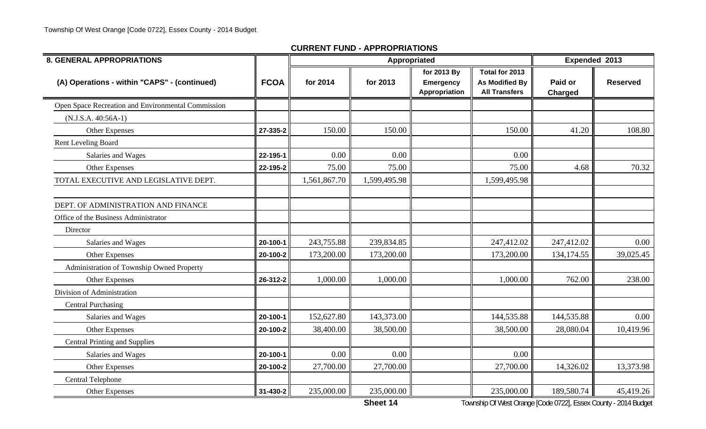| <b>8. GENERAL APPROPRIATIONS</b>                   |             |              | Appropriated |                                                  |                                                                 | Expended 2013             |                 |  |
|----------------------------------------------------|-------------|--------------|--------------|--------------------------------------------------|-----------------------------------------------------------------|---------------------------|-----------------|--|
| (A) Operations - within "CAPS" - (continued)       | <b>FCOA</b> | for 2014     | for 2013     | for 2013 By<br><b>Emergency</b><br>Appropriation | Total for 2013<br><b>As Modified By</b><br><b>All Transfers</b> | Paid or<br><b>Charged</b> | <b>Reserved</b> |  |
| Open Space Recreation and Environmental Commission |             |              |              |                                                  |                                                                 |                           |                 |  |
| $(N.J.S.A. 40:56A-1)$                              |             |              |              |                                                  |                                                                 |                           |                 |  |
| Other Expenses                                     | 27-335-2    | 150.00       | 150.00       |                                                  | 150.00                                                          | 41.20                     | 108.80          |  |
| Rent Leveling Board                                |             |              |              |                                                  |                                                                 |                           |                 |  |
| Salaries and Wages                                 | 22-195-1    | 0.00         | 0.00         |                                                  | 0.00                                                            |                           |                 |  |
| Other Expenses                                     | 22-195-2    | 75.00        | 75.00        |                                                  | 75.00                                                           | 4.68                      | 70.32           |  |
| TOTAL EXECUTIVE AND LEGISLATIVE DEPT.              |             | 1,561,867.70 | 1,599,495.98 |                                                  | 1,599,495.98                                                    |                           |                 |  |
| DEPT. OF ADMINISTRATION AND FINANCE                |             |              |              |                                                  |                                                                 |                           |                 |  |
| Office of the Business Administrator               |             |              |              |                                                  |                                                                 |                           |                 |  |
| Director                                           |             |              |              |                                                  |                                                                 |                           |                 |  |
| Salaries and Wages                                 | 20-100-1    | 243,755.88   | 239,834.85   |                                                  | 247,412.02                                                      | 247,412.02                | 0.00            |  |
| Other Expenses                                     | 20-100-2    | 173,200.00   | 173,200.00   |                                                  | 173,200.00                                                      | 134,174.55                | 39,025.45       |  |
| Administration of Township Owned Property          |             |              |              |                                                  |                                                                 |                           |                 |  |
| Other Expenses                                     | 26-312-2    | 1,000.00     | 1,000.00     |                                                  | 1,000.00                                                        | 762.00                    | 238.00          |  |
| Division of Administration                         |             |              |              |                                                  |                                                                 |                           |                 |  |
| <b>Central Purchasing</b>                          |             |              |              |                                                  |                                                                 |                           |                 |  |
| Salaries and Wages                                 | 20-100-1    | 152,627.80   | 143,373.00   |                                                  | 144,535.88                                                      | 144,535.88                | 0.00            |  |
| Other Expenses                                     | 20-100-2    | 38,400.00    | 38,500.00    |                                                  | 38,500.00                                                       | 28,080.04                 | 10,419.96       |  |
| <b>Central Printing and Supplies</b>               |             |              |              |                                                  |                                                                 |                           |                 |  |
| Salaries and Wages                                 | 20-100-1    | 0.00         | 0.00         |                                                  | 0.00                                                            |                           |                 |  |
| Other Expenses                                     | 20-100-2    | 27,700.00    | 27,700.00    |                                                  | 27,700.00                                                       | 14,326.02                 | 13,373.98       |  |
| Central Telephone                                  |             |              |              |                                                  |                                                                 |                           |                 |  |
| Other Expenses                                     | 31-430-2    | 235,000.00   | 235,000.00   |                                                  | 235,000.00                                                      | 189,580.74                | 45,419.26       |  |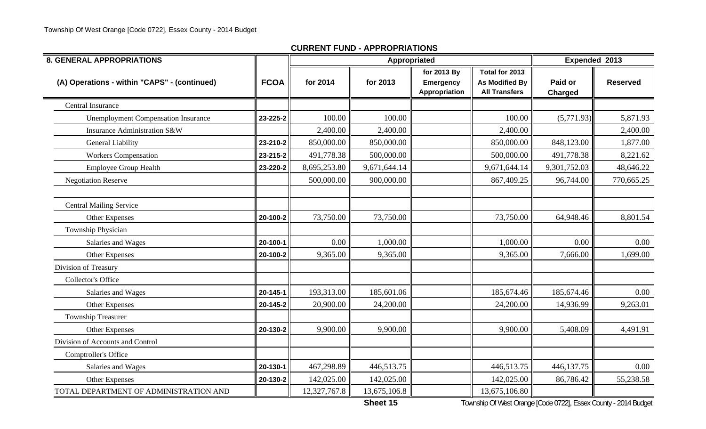| <b>8. GENERAL APPROPRIATIONS</b>             |             |              |              | Appropriated                                     |                                                          | Expended 2013             |                 |
|----------------------------------------------|-------------|--------------|--------------|--------------------------------------------------|----------------------------------------------------------|---------------------------|-----------------|
| (A) Operations - within "CAPS" - (continued) | <b>FCOA</b> | for 2014     | for 2013     | for 2013 By<br><b>Emergency</b><br>Appropriation | Total for 2013<br>As Modified By<br><b>All Transfers</b> | Paid or<br><b>Charged</b> | <b>Reserved</b> |
| Central Insurance                            |             |              |              |                                                  |                                                          |                           |                 |
| <b>Unemployment Compensation Insurance</b>   | 23-225-2    | 100.00       | 100.00       |                                                  | 100.00                                                   | (5,771.93)                | 5,871.93        |
| Insurance Administration S&W                 |             | 2,400.00     | 2,400.00     |                                                  | 2,400.00                                                 |                           | 2,400.00        |
| General Liability                            | 23-210-2    | 850,000.00   | 850,000.00   |                                                  | 850,000.00                                               | 848,123.00                | 1,877.00        |
| <b>Workers Compensation</b>                  | 23-215-2    | 491,778.38   | 500,000.00   |                                                  | 500,000.00                                               | 491,778.38                | 8,221.62        |
| <b>Employee Group Health</b>                 | 23-220-2    | 8,695,253.80 | 9,671,644.14 |                                                  | 9,671,644.14                                             | 9,301,752.03              | 48,646.22       |
| <b>Negotiation Reserve</b>                   |             | 500,000.00   | 900,000.00   |                                                  | 867,409.25                                               | 96,744.00                 | 770,665.25      |
| <b>Central Mailing Service</b>               |             |              |              |                                                  |                                                          |                           |                 |
| Other Expenses                               | 20-100-2    | 73,750.00    | 73,750.00    |                                                  | 73,750.00                                                | 64,948.46                 | 8,801.54        |
| Township Physician                           |             |              |              |                                                  |                                                          |                           |                 |
| Salaries and Wages                           | 20-100-1    | 0.00         | 1,000.00     |                                                  | 1,000.00                                                 | 0.00                      | 0.00            |
| Other Expenses                               | 20-100-2    | 9,365.00     | 9,365.00     |                                                  | 9,365.00                                                 | 7,666.00                  | 1,699.00        |
| Division of Treasury                         |             |              |              |                                                  |                                                          |                           |                 |
| <b>Collector's Office</b>                    |             |              |              |                                                  |                                                          |                           |                 |
| Salaries and Wages                           | 20-145-1    | 193,313.00   | 185,601.06   |                                                  | 185,674.46                                               | 185,674.46                | 0.00            |
| Other Expenses                               | 20-145-2    | 20,900.00    | 24,200.00    |                                                  | 24,200.00                                                | 14,936.99                 | 9,263.01        |
| <b>Township Treasurer</b>                    |             |              |              |                                                  |                                                          |                           |                 |
| Other Expenses                               | 20-130-2    | 9,900.00     | 9,900.00     |                                                  | 9,900.00                                                 | 5,408.09                  | 4,491.91        |
| Division of Accounts and Control             |             |              |              |                                                  |                                                          |                           |                 |
| Comptroller's Office                         |             |              |              |                                                  |                                                          |                           |                 |
| Salaries and Wages                           | 20-130-1    | 467,298.89   | 446,513.75   |                                                  | 446,513.75                                               | 446,137.75                | $0.00\,$        |
| Other Expenses                               | 20-130-2    | 142,025.00   | 142,025.00   |                                                  | 142,025.00                                               | 86,786.42                 | 55,238.58       |
| TOTAL DEPARTMENT OF ADMINISTRATION AND       |             | 12,327,767.8 | 13,675,106.8 |                                                  | 13,675,106.80                                            |                           |                 |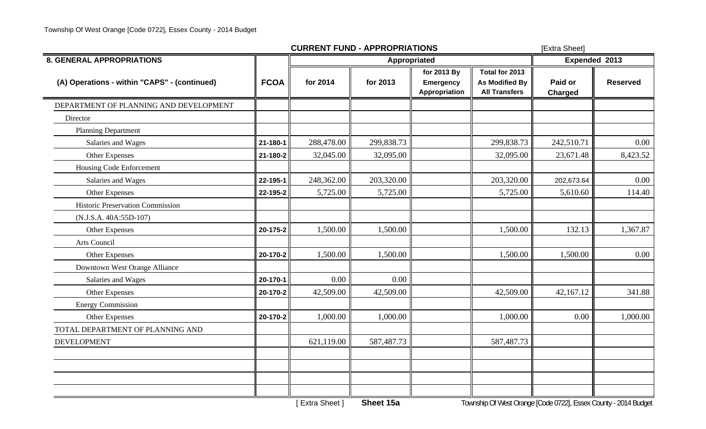|                                              |                | <b>CURRENT FUND - APPROPRIATIONS</b> | [Extra Sheet] |                                                         |                                                          |                           |                 |
|----------------------------------------------|----------------|--------------------------------------|---------------|---------------------------------------------------------|----------------------------------------------------------|---------------------------|-----------------|
| <b>8. GENERAL APPROPRIATIONS</b>             |                |                                      | Appropriated  |                                                         |                                                          | Expended 2013             |                 |
| (A) Operations - within "CAPS" - (continued) | <b>FCOA</b>    | for 2014                             | for 2013      | for 2013 By<br><b>Emergency</b><br><b>Appropriation</b> | Total for 2013<br>As Modified By<br><b>All Transfers</b> | Paid or<br><b>Charged</b> | <b>Reserved</b> |
| DEPARTMENT OF PLANNING AND DEVELOPMENT       |                |                                      |               |                                                         |                                                          |                           |                 |
| Director                                     |                |                                      |               |                                                         |                                                          |                           |                 |
| <b>Planning Department</b>                   |                |                                      |               |                                                         |                                                          |                           |                 |
| Salaries and Wages                           | $21 - 180 - 1$ | 288,478.00                           | 299,838.73    |                                                         | 299,838.73                                               | 242,510.71                | 0.00            |
| Other Expenses                               | 21-180-2       | 32,045.00                            | 32,095.00     |                                                         | 32,095.00                                                | 23,671.48                 | 8,423.52        |
| Housing Code Enforcement                     |                |                                      |               |                                                         |                                                          |                           |                 |
| Salaries and Wages                           | 22-195-1       | 248,362.00                           | 203,320.00    |                                                         | 203,320.00                                               | 202,673.64                | 0.00            |
| Other Expenses                               | 22-195-2       | 5,725.00                             | 5,725.00      |                                                         | 5,725.00                                                 | 5,610.60                  | 114.40          |
| Historic Preservation Commission             |                |                                      |               |                                                         |                                                          |                           |                 |
| (N.J.S.A. 40A:55D-107)                       |                |                                      |               |                                                         |                                                          |                           |                 |
| Other Expenses                               | 20-175-2       | 1,500.00                             | 1,500.00      |                                                         | 1,500.00                                                 | 132.13                    | 1,367.87        |
| Arts Council                                 |                |                                      |               |                                                         |                                                          |                           |                 |
| Other Expenses                               | 20-170-2       | 1,500.00                             | 1,500.00      |                                                         | 1,500.00                                                 | 1,500.00                  | 0.00            |
| Downtown West Orange Alliance                |                |                                      |               |                                                         |                                                          |                           |                 |
| Salaries and Wages                           | 20-170-1       | 0.00                                 | 0.00          |                                                         |                                                          |                           |                 |
| Other Expenses                               | 20-170-2       | 42,509.00                            | 42,509.00     |                                                         | 42,509.00                                                | 42,167.12                 | 341.88          |
| <b>Energy Commission</b>                     |                |                                      |               |                                                         |                                                          |                           |                 |
| Other Expenses                               | 20-170-2       | 1,000.00                             | 1,000.00      |                                                         | 1,000.00                                                 | 0.00                      | 1,000.00        |
| TOTAL DEPARTMENT OF PLANNING AND             |                |                                      |               |                                                         |                                                          |                           |                 |
| <b>DEVELOPMENT</b>                           |                | 621,119.00                           | 587,487.73    |                                                         | 587,487.73                                               |                           |                 |
|                                              |                |                                      |               |                                                         |                                                          |                           |                 |
|                                              |                |                                      |               |                                                         |                                                          |                           |                 |
|                                              |                |                                      |               |                                                         |                                                          |                           |                 |
|                                              |                |                                      |               |                                                         |                                                          |                           |                 |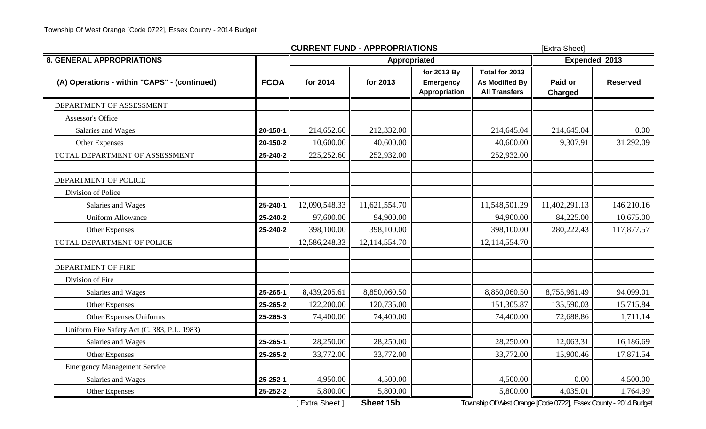|                                              |             | <b>CURRENT FUND - APPROPRIATIONS</b> | [Extra Sheet] |                                           |                                                          |                    |                 |
|----------------------------------------------|-------------|--------------------------------------|---------------|-------------------------------------------|----------------------------------------------------------|--------------------|-----------------|
| <b>8. GENERAL APPROPRIATIONS</b>             |             |                                      | Appropriated  |                                           |                                                          | Expended 2013      |                 |
| (A) Operations - within "CAPS" - (continued) | <b>FCOA</b> | for 2014                             | for 2013      | for 2013 By<br>Emergency<br>Appropriation | Total for 2013<br>As Modified By<br><b>All Transfers</b> | Paid or<br>Charged | <b>Reserved</b> |
| DEPARTMENT OF ASSESSMENT                     |             |                                      |               |                                           |                                                          |                    |                 |
| Assessor's Office                            |             |                                      |               |                                           |                                                          |                    |                 |
| Salaries and Wages                           | 20-150-1    | 214,652.60                           | 212,332.00    |                                           | 214,645.04                                               | 214,645.04         | 0.00            |
| Other Expenses                               | 20-150-2    | 10,600.00                            | 40,600.00     |                                           | 40,600.00                                                | 9,307.91           | 31,292.09       |
| TOTAL DEPARTMENT OF ASSESSMENT               | 25-240-2    | 225,252.60                           | 252,932.00    |                                           | 252,932.00                                               |                    |                 |
| DEPARTMENT OF POLICE                         |             |                                      |               |                                           |                                                          |                    |                 |
| Division of Police                           |             |                                      |               |                                           |                                                          |                    |                 |
| Salaries and Wages                           | 25-240-1    | 12,090,548.33                        | 11,621,554.70 |                                           | 11,548,501.29                                            | 11,402,291.13      | 146,210.16      |
| <b>Uniform Allowance</b>                     | 25-240-2    | 97,600.00                            | 94,900.00     |                                           | 94,900.00                                                | 84,225.00          | 10,675.00       |
| Other Expenses                               | 25-240-2    | 398,100.00                           | 398,100.00    |                                           | 398,100.00                                               | 280,222.43         | 117,877.57      |
| TOTAL DEPARTMENT OF POLICE                   |             | 12,586,248.33                        | 12,114,554.70 |                                           | 12,114,554.70                                            |                    |                 |
| DEPARTMENT OF FIRE                           |             |                                      |               |                                           |                                                          |                    |                 |
| Division of Fire                             |             |                                      |               |                                           |                                                          |                    |                 |
| Salaries and Wages                           | 25-265-1    | 8,439,205.61                         | 8,850,060.50  |                                           | 8,850,060.50                                             | 8,755,961.49       | 94,099.01       |
| Other Expenses                               | 25-265-2    | 122,200.00                           | 120,735.00    |                                           | 151,305.87                                               | 135,590.03         | 15,715.84       |
| Other Expenses Uniforms                      | 25-265-3    | 74,400.00                            | 74,400.00     |                                           | 74,400.00                                                | 72,688.86          | 1,711.14        |
| Uniform Fire Safety Act (C. 383, P.L. 1983)  |             |                                      |               |                                           |                                                          |                    |                 |
| Salaries and Wages                           | 25-265-1    | 28,250.00                            | 28,250.00     |                                           | 28,250.00                                                | 12,063.31          | 16,186.69       |
| Other Expenses                               | 25-265-2    | 33,772.00                            | 33,772.00     |                                           | 33,772.00                                                | 15,900.46          | 17,871.54       |
| <b>Emergency Management Service</b>          |             |                                      |               |                                           |                                                          |                    |                 |
| Salaries and Wages                           | 25-252-1    | 4,950.00                             | 4,500.00      |                                           | 4,500.00                                                 | 0.00               | 4,500.00        |
| Other Expenses                               | 25-252-2    | 5,800.00                             | 5,800.00      |                                           | 5,800.00                                                 | 4,035.01           | 1,764.99        |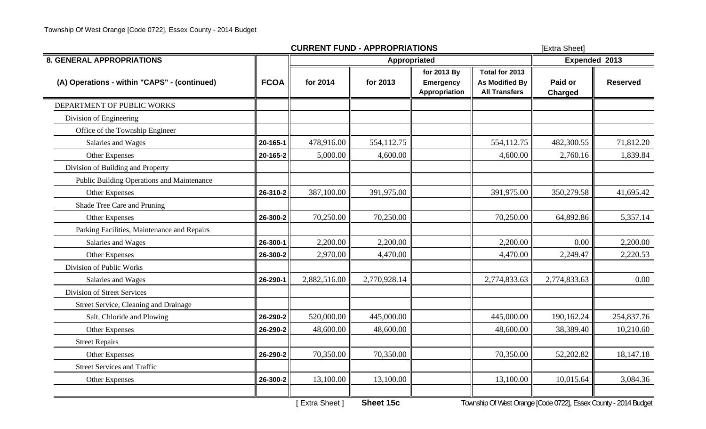|                                              |             | <b>CURRENT FUND - APPROPRIATIONS</b> | [Extra Sheet] |                                                  |                                                                 |                    |                 |
|----------------------------------------------|-------------|--------------------------------------|---------------|--------------------------------------------------|-----------------------------------------------------------------|--------------------|-----------------|
| <b>8. GENERAL APPROPRIATIONS</b>             |             | Appropriated                         |               |                                                  |                                                                 |                    | Expended 2013   |
| (A) Operations - within "CAPS" - (continued) | <b>FCOA</b> | for 2014                             | for 2013      | for 2013 By<br><b>Emergency</b><br>Appropriation | Total for 2013<br><b>As Modified By</b><br><b>All Transfers</b> | Paid or<br>Charged | <b>Reserved</b> |
| DEPARTMENT OF PUBLIC WORKS                   |             |                                      |               |                                                  |                                                                 |                    |                 |
| Division of Engineering                      |             |                                      |               |                                                  |                                                                 |                    |                 |
| Office of the Township Engineer              |             |                                      |               |                                                  |                                                                 |                    |                 |
| Salaries and Wages                           | 20-165-1    | 478,916.00                           | 554,112.75    |                                                  | 554,112.75                                                      | 482,300.55         | 71,812.20       |
| Other Expenses                               | 20-165-2    | 5,000.00                             | 4,600.00      |                                                  | 4,600.00                                                        | 2,760.16           | 1,839.84        |
| Division of Building and Property            |             |                                      |               |                                                  |                                                                 |                    |                 |
| Public Building Operations and Maintenance   |             |                                      |               |                                                  |                                                                 |                    |                 |
| Other Expenses                               | 26-310-2    | 387,100.00                           | 391,975.00    |                                                  | 391,975.00                                                      | 350,279.58         | 41,695.42       |
| Shade Tree Care and Pruning                  |             |                                      |               |                                                  |                                                                 |                    |                 |
| Other Expenses                               | 26-300-2    | 70,250.00                            | 70,250.00     |                                                  | 70,250.00                                                       | 64,892.86          | 5,357.14        |
| Parking Facilities, Maintenance and Repairs  |             |                                      |               |                                                  |                                                                 |                    |                 |
| Salaries and Wages                           | 26-300-1    | 2,200.00                             | 2,200.00      |                                                  | 2,200.00                                                        | 0.00               | 2,200.00        |
| Other Expenses                               | 26-300-2    | 2,970.00                             | 4,470.00      |                                                  | 4,470.00                                                        | 2,249.47           | 2,220.53        |
| Division of Public Works                     |             |                                      |               |                                                  |                                                                 |                    |                 |
| Salaries and Wages                           | 26-290-1    | 2,882,516.00                         | 2,770,928.14  |                                                  | 2,774,833.63                                                    | 2,774,833.63       | 0.00            |
| <b>Division of Street Services</b>           |             |                                      |               |                                                  |                                                                 |                    |                 |
| Street Service, Cleaning and Drainage        |             |                                      |               |                                                  |                                                                 |                    |                 |
| Salt, Chloride and Plowing                   | 26-290-2    | 520,000.00                           | 445,000.00    |                                                  | 445,000.00                                                      | 190,162.24         | 254,837.76      |
| Other Expenses                               | 26-290-2    | 48,600.00                            | 48,600.00     |                                                  | 48,600.00                                                       | 38,389.40          | 10,210.60       |
| <b>Street Repairs</b>                        |             |                                      |               |                                                  |                                                                 |                    |                 |
| Other Expenses                               | 26-290-2    | 70,350.00                            | 70,350.00     |                                                  | 70,350.00                                                       | 52,202.82          | 18,147.18       |
| <b>Street Services and Traffic</b>           |             |                                      |               |                                                  |                                                                 |                    |                 |
| Other Expenses                               | 26-300-2    | 13,100.00                            | 13,100.00     |                                                  | 13,100.00                                                       | 10,015.64          | 3,084.36        |
|                                              |             |                                      |               |                                                  |                                                                 |                    |                 |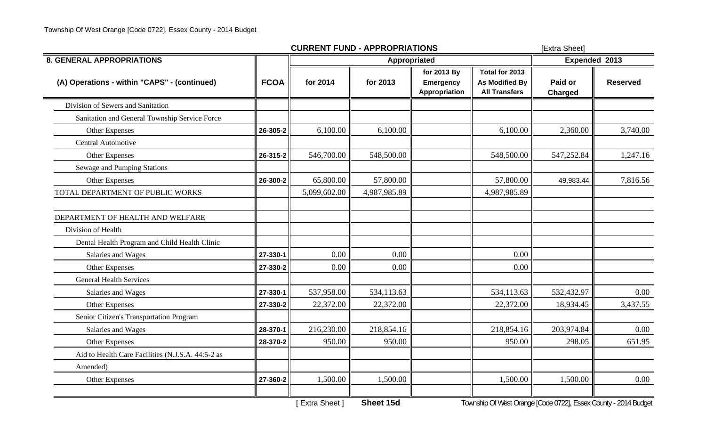|                                                   |             | <b>CURRENT FUND - APPROPRIATIONS</b> | [Extra Sheet] |                                                  |                                                          |                           |                 |
|---------------------------------------------------|-------------|--------------------------------------|---------------|--------------------------------------------------|----------------------------------------------------------|---------------------------|-----------------|
| <b>8. GENERAL APPROPRIATIONS</b>                  |             |                                      | Expended 2013 |                                                  |                                                          |                           |                 |
| (A) Operations - within "CAPS" - (continued)      | <b>FCOA</b> | for 2014                             | for 2013      | for 2013 By<br>Emergency<br><b>Appropriation</b> | Total for 2013<br>As Modified By<br><b>All Transfers</b> | Paid or<br><b>Charged</b> | <b>Reserved</b> |
| Division of Sewers and Sanitation                 |             |                                      |               |                                                  |                                                          |                           |                 |
| Sanitation and General Township Service Force     |             |                                      |               |                                                  |                                                          |                           |                 |
| Other Expenses                                    | 26-305-2    | 6,100.00                             | 6,100.00      |                                                  | 6,100.00                                                 | 2,360.00                  | 3,740.00        |
| Central Automotive                                |             |                                      |               |                                                  |                                                          |                           |                 |
| Other Expenses                                    | 26-315-2    | 546,700.00                           | 548,500.00    |                                                  | 548,500.00                                               | 547,252.84                | 1,247.16        |
| Sewage and Pumping Stations                       |             |                                      |               |                                                  |                                                          |                           |                 |
| Other Expenses                                    | 26-300-2    | 65,800.00                            | 57,800.00     |                                                  | 57,800.00                                                | 49,983.44                 | 7,816.56        |
| TOTAL DEPARTMENT OF PUBLIC WORKS                  |             | 5,099,602.00                         | 4,987,985.89  |                                                  | 4,987,985.89                                             |                           |                 |
| DEPARTMENT OF HEALTH AND WELFARE                  |             |                                      |               |                                                  |                                                          |                           |                 |
| Division of Health                                |             |                                      |               |                                                  |                                                          |                           |                 |
| Dental Health Program and Child Health Clinic     |             |                                      |               |                                                  |                                                          |                           |                 |
| Salaries and Wages                                | 27-330-1    | 0.00                                 | 0.00          |                                                  | 0.00                                                     |                           |                 |
| Other Expenses                                    | 27-330-2    | 0.00                                 | 0.00          |                                                  | 0.00                                                     |                           |                 |
| <b>General Health Services</b>                    |             |                                      |               |                                                  |                                                          |                           |                 |
| Salaries and Wages                                | 27-330-1    | 537,958.00                           | 534,113.63    |                                                  | 534,113.63                                               | 532,432.97                | 0.00            |
| Other Expenses                                    | 27-330-2    | 22,372.00                            | 22,372.00     |                                                  | 22,372.00                                                | 18,934.45                 | 3,437.55        |
| Senior Citizen's Transportation Program           |             |                                      |               |                                                  |                                                          |                           |                 |
| Salaries and Wages                                | 28-370-1    | 216,230.00                           | 218,854.16    |                                                  | 218,854.16                                               | 203,974.84                | 0.00            |
| Other Expenses                                    | 28-370-2    | 950.00                               | 950.00        |                                                  | 950.00                                                   | 298.05                    | 651.95          |
| Aid to Health Care Facilities (N.J.S.A. 44:5-2 as |             |                                      |               |                                                  |                                                          |                           |                 |
| Amended)                                          |             |                                      |               |                                                  |                                                          |                           |                 |
| Other Expenses                                    | 27-360-2    | 1,500.00                             | 1,500.00      |                                                  | 1,500.00                                                 | 1,500.00                  | 0.00            |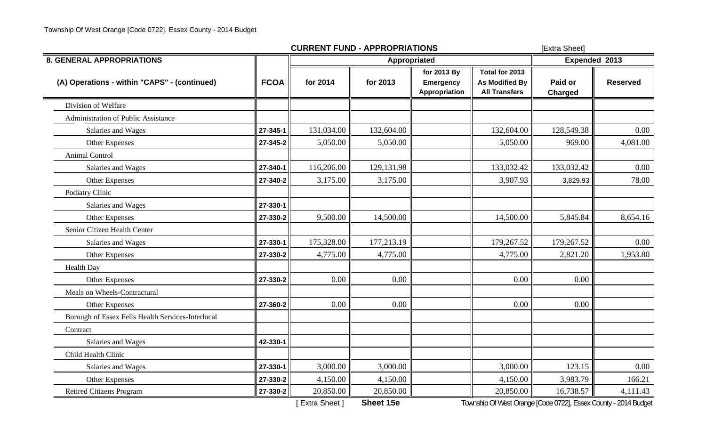|                                                   |             | <b>CURRENT FUND - APPROPRIATIONS</b> | [Extra Sheet] |                                                  |                                                          |                           |                 |
|---------------------------------------------------|-------------|--------------------------------------|---------------|--------------------------------------------------|----------------------------------------------------------|---------------------------|-----------------|
| <b>8. GENERAL APPROPRIATIONS</b>                  |             |                                      | Appropriated  |                                                  |                                                          | Expended 2013             |                 |
| (A) Operations - within "CAPS" - (continued)      | <b>FCOA</b> | for 2014                             | for 2013      | for 2013 By<br><b>Emergency</b><br>Appropriation | Total for 2013<br>As Modified By<br><b>All Transfers</b> | Paid or<br><b>Charged</b> | <b>Reserved</b> |
| Division of Welfare                               |             |                                      |               |                                                  |                                                          |                           |                 |
| <b>Administration of Public Assistance</b>        |             |                                      |               |                                                  |                                                          |                           |                 |
| Salaries and Wages                                | 27-345-1    | 131,034.00                           | 132,604.00    |                                                  | 132,604.00                                               | 128,549.38                | 0.00            |
| Other Expenses                                    | 27-345-2    | 5,050.00                             | 5,050.00      |                                                  | 5,050.00                                                 | 969.00                    | 4,081.00        |
| <b>Animal Control</b>                             |             |                                      |               |                                                  |                                                          |                           |                 |
| Salaries and Wages                                | 27-340-1    | 116,206.00                           | 129,131.98    |                                                  | 133,032.42                                               | 133,032.42                | 0.00            |
| Other Expenses                                    | 27-340-2    | 3,175.00                             | 3,175.00      |                                                  | 3,907.93                                                 | 3,829.93                  | 78.00           |
| Podiatry Clinic                                   |             |                                      |               |                                                  |                                                          |                           |                 |
| Salaries and Wages                                | 27-330-1    |                                      |               |                                                  |                                                          |                           |                 |
| Other Expenses                                    | 27-330-2    | 9,500.00                             | 14,500.00     |                                                  | 14,500.00                                                | 5,845.84                  | 8,654.16        |
| Senior Citizen Health Center                      |             |                                      |               |                                                  |                                                          |                           |                 |
| Salaries and Wages                                | 27-330-1    | 175,328.00                           | 177,213.19    |                                                  | 179,267.52                                               | 179,267.52                | 0.00            |
| Other Expenses                                    | 27-330-2    | 4,775.00                             | 4,775.00      |                                                  | 4,775.00                                                 | 2,821.20                  | 1,953.80        |
| <b>Health Day</b>                                 |             |                                      |               |                                                  |                                                          |                           |                 |
| Other Expenses                                    | 27-330-2    | 0.00                                 | 0.00          |                                                  | 0.00                                                     | 0.00                      |                 |
| Meals on Wheels-Contractural                      |             |                                      |               |                                                  |                                                          |                           |                 |
| Other Expenses                                    | 27-360-2    | 0.00                                 | 0.00          |                                                  | 0.00                                                     | 0.00                      |                 |
| Borough of Essex Fells Health Services-Interlocal |             |                                      |               |                                                  |                                                          |                           |                 |
| Contract                                          |             |                                      |               |                                                  |                                                          |                           |                 |
| Salaries and Wages                                | 42-330-1    |                                      |               |                                                  |                                                          |                           |                 |
| Child Health Clinic                               |             |                                      |               |                                                  |                                                          |                           |                 |
| Salaries and Wages                                | 27-330-1    | 3,000.00                             | 3,000.00      |                                                  | 3,000.00                                                 | 123.15                    | 0.00            |
| Other Expenses                                    | 27-330-2    | 4,150.00                             | 4,150.00      |                                                  | 4,150.00                                                 | 3,983.79                  | 166.21          |
| <b>Retired Citizens Program</b>                   | 27-330-2    | 20,850.00                            | 20,850.00     |                                                  | 20,850.00                                                | 16,738.57                 | 4,111.43        |

[ Extra Sheet ] **Sheet 15e** Township Of West Orange [Code 0722], Essex County - 2014 Budget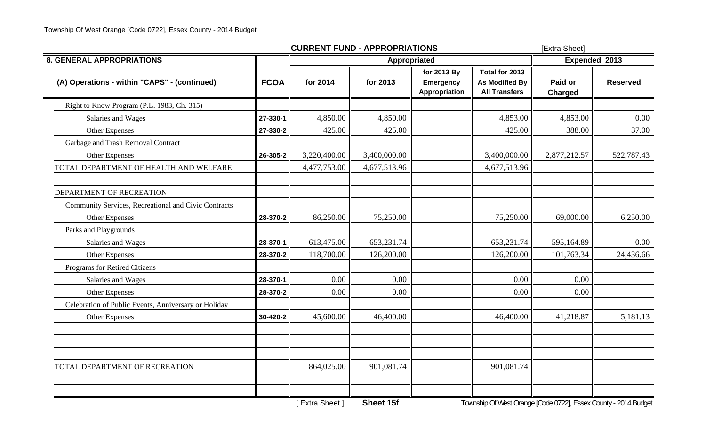|                                                      |             | <b>CURRENT FUND - APPROPRIATIONS</b> |              | [Extra Sheet]                                    |                                                                 |                    |                 |
|------------------------------------------------------|-------------|--------------------------------------|--------------|--------------------------------------------------|-----------------------------------------------------------------|--------------------|-----------------|
| <b>8. GENERAL APPROPRIATIONS</b>                     |             |                                      | Appropriated |                                                  |                                                                 | Expended 2013      |                 |
| (A) Operations - within "CAPS" - (continued)         | <b>FCOA</b> | for 2014                             | for 2013     | for 2013 By<br><b>Emergency</b><br>Appropriation | Total for 2013<br><b>As Modified By</b><br><b>All Transfers</b> | Paid or<br>Charged | <b>Reserved</b> |
| Right to Know Program (P.L. 1983, Ch. 315)           |             |                                      |              |                                                  |                                                                 |                    |                 |
| Salaries and Wages                                   | 27-330-1    | 4,850.00                             | 4,850.00     |                                                  | 4,853.00                                                        | 4,853.00           | 0.00            |
| Other Expenses                                       | 27-330-2    | 425.00                               | 425.00       |                                                  | 425.00                                                          | 388.00             | 37.00           |
| Garbage and Trash Removal Contract                   |             |                                      |              |                                                  |                                                                 |                    |                 |
| Other Expenses                                       | 26-305-2    | 3,220,400.00                         | 3,400,000.00 |                                                  | 3,400,000.00                                                    | 2,877,212.57       | 522,787.43      |
| TOTAL DEPARTMENT OF HEALTH AND WELFARE               |             | 4,477,753.00                         | 4,677,513.96 |                                                  | 4,677,513.96                                                    |                    |                 |
| DEPARTMENT OF RECREATION                             |             |                                      |              |                                                  |                                                                 |                    |                 |
| Community Services, Recreational and Civic Contracts |             |                                      |              |                                                  |                                                                 |                    |                 |
| Other Expenses                                       | 28-370-2    | 86,250.00                            | 75,250.00    |                                                  | 75,250.00                                                       | 69,000.00          | 6,250.00        |
| Parks and Playgrounds                                |             |                                      |              |                                                  |                                                                 |                    |                 |
| Salaries and Wages                                   | 28-370-1    | 613,475.00                           | 653,231.74   |                                                  | 653,231.74                                                      | 595,164.89         | 0.00            |
| Other Expenses                                       | 28-370-2    | 118,700.00                           | 126,200.00   |                                                  | 126,200.00                                                      | 101,763.34         | 24,436.66       |
| Programs for Retired Citizens                        |             |                                      |              |                                                  |                                                                 |                    |                 |
| Salaries and Wages                                   | 28-370-1    | 0.00                                 | 0.00         |                                                  | 0.00                                                            | 0.00               |                 |
| Other Expenses                                       | 28-370-2    | 0.00                                 | 0.00         |                                                  | 0.00                                                            | 0.00               |                 |
| Celebration of Public Events, Anniversary or Holiday |             |                                      |              |                                                  |                                                                 |                    |                 |
| Other Expenses                                       | 30-420-2    | 45,600.00                            | 46,400.00    |                                                  | 46,400.00                                                       | 41,218.87          | 5,181.13        |
|                                                      |             |                                      |              |                                                  |                                                                 |                    |                 |
| TOTAL DEPARTMENT OF RECREATION                       |             | 864,025.00                           | 901,081.74   |                                                  | 901,081.74                                                      |                    |                 |
|                                                      |             |                                      |              |                                                  |                                                                 |                    |                 |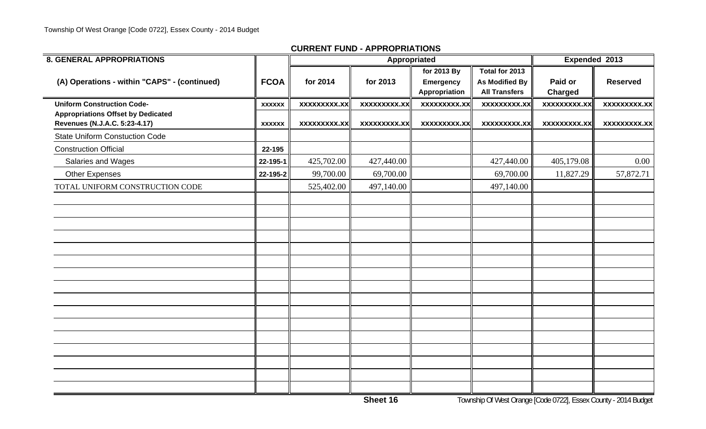| <b>8. GENERAL APPROPRIATIONS</b>                                           |               |                     | Appropriated        |                                                  |                                                                 | Expended 2013             |                     |
|----------------------------------------------------------------------------|---------------|---------------------|---------------------|--------------------------------------------------|-----------------------------------------------------------------|---------------------------|---------------------|
| (A) Operations - within "CAPS" - (continued)                               | <b>FCOA</b>   | for 2014            | for 2013            | for 2013 By<br><b>Emergency</b><br>Appropriation | Total for 2013<br><b>As Modified By</b><br><b>All Transfers</b> | Paid or<br><b>Charged</b> | <b>Reserved</b>     |
| <b>Uniform Construction Code-</b>                                          | <b>XXXXXX</b> | <b>XXXXXXXXX.XX</b> | <b>XXXXXXXXX.XX</b> | xxxxxxxxx.xx                                     | <b>XXXXXXXXX.XX</b>                                             | <b>XXXXXXXXX.XX</b>       | <b>XXXXXXXXX.XX</b> |
| <b>Appropriations Offset by Dedicated</b><br>Revenues (N.J.A.C. 5:23-4.17) | <b>XXXXXX</b> | <b>XXXXXXXXX.XX</b> | XXXXXXXXX.XX        | XXXXXXXX.XX                                      | <b>XXXXXXXXX.XX</b>                                             | XXXXXXXXX.XX              | xxxxxxxxx.xx        |
| <b>State Uniform Constuction Code</b>                                      |               |                     |                     |                                                  |                                                                 |                           |                     |
| <b>Construction Official</b>                                               | 22-195        |                     |                     |                                                  |                                                                 |                           |                     |
| Salaries and Wages                                                         | 22-195-1      | 425,702.00          | 427,440.00          |                                                  | 427,440.00                                                      | 405,179.08                | 0.00                |
| <b>Other Expenses</b>                                                      | 22-195-2      | 99,700.00           | 69,700.00           |                                                  | 69,700.00                                                       | 11,827.29                 | 57,872.71           |
| TOTAL UNIFORM CONSTRUCTION CODE                                            |               | 525,402.00          | 497,140.00          |                                                  | 497,140.00                                                      |                           |                     |
|                                                                            |               |                     |                     |                                                  |                                                                 |                           |                     |
|                                                                            |               |                     |                     |                                                  |                                                                 |                           |                     |
|                                                                            |               |                     |                     |                                                  |                                                                 |                           |                     |
|                                                                            |               |                     |                     |                                                  |                                                                 |                           |                     |
|                                                                            |               |                     |                     |                                                  |                                                                 |                           |                     |
|                                                                            |               |                     |                     |                                                  |                                                                 |                           |                     |
|                                                                            |               |                     |                     |                                                  |                                                                 |                           |                     |
|                                                                            |               |                     |                     |                                                  |                                                                 |                           |                     |
|                                                                            |               |                     |                     |                                                  |                                                                 |                           |                     |
|                                                                            |               |                     |                     |                                                  |                                                                 |                           |                     |
|                                                                            |               |                     |                     |                                                  |                                                                 |                           |                     |
|                                                                            |               |                     |                     |                                                  |                                                                 |                           |                     |
|                                                                            |               |                     |                     |                                                  |                                                                 |                           |                     |
|                                                                            |               |                     |                     |                                                  |                                                                 |                           |                     |
|                                                                            |               |                     |                     |                                                  |                                                                 |                           |                     |
|                                                                            |               |                     |                     |                                                  |                                                                 |                           |                     |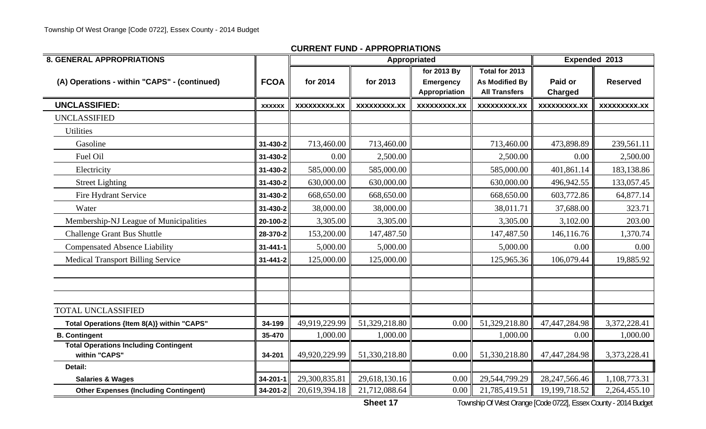| <b>8. GENERAL APPROPRIATIONS</b>                              |                |                     |                     | Appropriated                                     |                                                                 |                     | Expended 2013      |
|---------------------------------------------------------------|----------------|---------------------|---------------------|--------------------------------------------------|-----------------------------------------------------------------|---------------------|--------------------|
| (A) Operations - within "CAPS" - (continued)                  | <b>FCOA</b>    | for 2014            | for 2013            | for 2013 By<br><b>Emergency</b><br>Appropriation | Total for 2013<br><b>As Modified By</b><br><b>All Transfers</b> | Paid or<br>Charged  | <b>Reserved</b>    |
| <b>UNCLASSIFIED:</b>                                          | <b>XXXXXX</b>  | <b>XXXXXXXXX.XX</b> | <b>XXXXXXXXX.XX</b> | <b>XXXXXXXXX.XX</b>                              | <b>XXXXXXXXX.XX</b>                                             | <b>XXXXXXXXX.XX</b> | <b>XXXXXXXX.XX</b> |
| <b>UNCLASSIFIED</b>                                           |                |                     |                     |                                                  |                                                                 |                     |                    |
| <b>Utilities</b>                                              |                |                     |                     |                                                  |                                                                 |                     |                    |
| Gasoline                                                      | 31-430-2       | 713,460.00          | 713,460.00          |                                                  | 713,460.00                                                      | 473,898.89          | 239,561.11         |
| Fuel Oil                                                      | 31-430-2       | 0.00                | 2,500.00            |                                                  | 2,500.00                                                        | 0.00                | 2,500.00           |
| Electricity                                                   | 31-430-2       | 585,000.00          | 585,000.00          |                                                  | 585,000.00                                                      | 401,861.14          | 183,138.86         |
| <b>Street Lighting</b>                                        | 31-430-2       | 630,000.00          | 630,000.00          |                                                  | 630,000.00                                                      | 496,942.55          | 133,057.45         |
| Fire Hydrant Service                                          | 31-430-2       | 668,650.00          | 668,650.00          |                                                  | 668,650.00                                                      | 603,772.86          | 64,877.14          |
| Water                                                         | 31-430-2       | 38,000.00           | 38,000.00           |                                                  | 38,011.71                                                       | 37,688.00           | 323.71             |
| Membership-NJ League of Municipalities                        | 20-100-2       | 3,305.00            | 3,305.00            |                                                  | 3,305.00                                                        | 3,102.00            | 203.00             |
| <b>Challenge Grant Bus Shuttle</b>                            | 28-370-2       | 153,200.00          | 147,487.50          |                                                  | 147,487.50                                                      | 146,116.76          | 1,370.74           |
| <b>Compensated Absence Liability</b>                          | $31 - 441 - 1$ | 5,000.00            | 5,000.00            |                                                  | 5,000.00                                                        | 0.00                | 0.00               |
| <b>Medical Transport Billing Service</b>                      | 31-441-2       | 125,000.00          | 125,000.00          |                                                  | 125,965.36                                                      | 106,079.44          | 19,885.92          |
|                                                               |                |                     |                     |                                                  |                                                                 |                     |                    |
| <b>TOTAL UNCLASSIFIED</b>                                     |                |                     |                     |                                                  |                                                                 |                     |                    |
| Total Operations {Item 8(A)} within "CAPS"                    | 34-199         | 49,919,229.99       | 51,329,218.80       | 0.00                                             | 51,329,218.80                                                   | 47,447,284.98       | 3,372,228.41       |
| <b>B. Contingent</b>                                          | 35-470         | 1,000.00            | 1,000.00            |                                                  | 1,000.00                                                        | 0.00                | 1,000.00           |
| <b>Total Operations Including Contingent</b><br>within "CAPS" | 34-201         | 49,920,229.99       | 51,330,218.80       | 0.00                                             | 51,330,218.80                                                   | 47,447,284.98       | 3,373,228.41       |
| Detail:                                                       |                |                     |                     |                                                  |                                                                 |                     |                    |
| <b>Salaries &amp; Wages</b>                                   | 34-201-1       | 29,300,835.81       | 29,618,130.16       | 0.00                                             | 29,544,799.29                                                   | 28, 247, 566. 46    | 1,108,773.31       |
| <b>Other Expenses (Including Contingent)</b>                  | 34-201-2       | 20,619,394.18       | 21,712,088.64       | 0.00                                             | 21,785,419.51                                                   | 19,199,718.52       | 2,264,455.10       |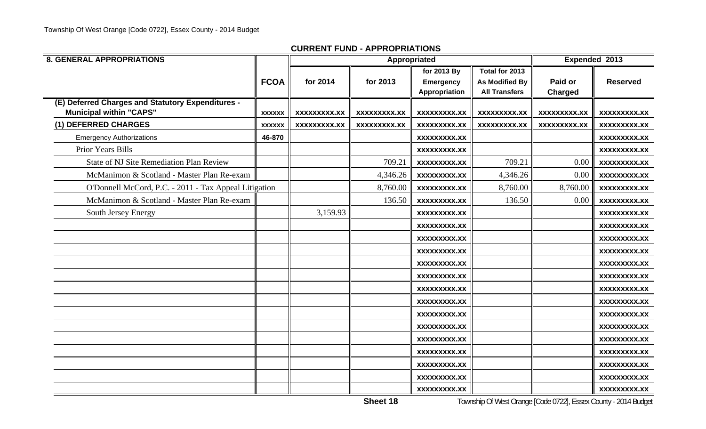| <b>8. GENERAL APPROPRIATIONS</b>                                                    |               |                     |                     | Appropriated                                            |                                                                 | Expended 2013       |                     |
|-------------------------------------------------------------------------------------|---------------|---------------------|---------------------|---------------------------------------------------------|-----------------------------------------------------------------|---------------------|---------------------|
|                                                                                     | <b>FCOA</b>   | for 2014            | for 2013            | for 2013 By<br><b>Emergency</b><br><b>Appropriation</b> | Total for 2013<br><b>As Modified By</b><br><b>All Transfers</b> | Paid or<br>Charged  | <b>Reserved</b>     |
| (E) Deferred Charges and Statutory Expenditures -<br><b>Municipal within "CAPS"</b> | <b>XXXXXX</b> | <b>XXXXXXXXX.XX</b> | XXXXXXXXX.XX        | <b>XXXXXXXXX.XX</b>                                     | <b>XXXXXXXXX.XX</b>                                             | <b>XXXXXXXXX.XX</b> | XXXXXXXXX.XX        |
| (1) DEFERRED CHARGES                                                                | <b>XXXXXX</b> | <b>XXXXXXXXX.XX</b> | <b>XXXXXXXXX.XX</b> | <b>XXXXXXXXX.XX</b>                                     | <b>XXXXXXXXX.XX</b>                                             | <b>XXXXXXXXX.XX</b> | <b>XXXXXXXXX.XX</b> |
| <b>Emergency Authorizations</b>                                                     | 46-870        |                     |                     | <b>XXXXXXXXX.XX</b>                                     |                                                                 |                     | XXXXXXXXX.XX        |
| Prior Years Bills                                                                   |               |                     |                     | <b>XXXXXXXXX.XX</b>                                     |                                                                 |                     | <b>XXXXXXXXX.XX</b> |
| <b>State of NJ Site Remediation Plan Review</b>                                     |               |                     | 709.21              | <b>XXXXXXXXX.XX</b>                                     | 709.21                                                          | 0.00                | <b>XXXXXXXXX.XX</b> |
| McManimon & Scotland - Master Plan Re-exam                                          |               |                     | 4,346.26            | <b>XXXXXXXXX.XX</b>                                     | 4,346.26                                                        | 0.00                | <b>XXXXXXXXX.XX</b> |
| O'Donnell McCord, P.C. - 2011 - Tax Appeal Litigation                               |               |                     | 8,760.00            | <b>XXXXXXXXX.XX</b>                                     | 8,760.00                                                        | 8,760.00            | <b>XXXXXXXXX.XX</b> |
| McManimon & Scotland - Master Plan Re-exam                                          |               |                     | 136.50              | <b>XXXXXXXXX.XX</b>                                     | 136.50                                                          | 0.00                | <b>XXXXXXXXX.XX</b> |
| South Jersey Energy                                                                 |               | 3,159.93            |                     | XXXXXXXXX.XX                                            |                                                                 |                     | XXXXXXXXX.XX        |
|                                                                                     |               |                     |                     | <b>XXXXXXXXX.XX</b>                                     |                                                                 |                     | XXXXXXXXX.XX        |
|                                                                                     |               |                     |                     | XXXXXXXXX.XX                                            |                                                                 |                     | XXXXXXXXX.XX        |
|                                                                                     |               |                     |                     | <b>XXXXXXXXX.XX</b>                                     |                                                                 |                     | XXXXXXXXX.XX        |
|                                                                                     |               |                     |                     | XXXXXXXXX.XX                                            |                                                                 |                     | XXXXXXXXX.XX        |
|                                                                                     |               |                     |                     | XXXXXXXXX.XX                                            |                                                                 |                     | XXXXXXXXX.XX        |
|                                                                                     |               |                     |                     | XXXXXXXXX.XX                                            |                                                                 |                     | XXXXXXXXX.XX        |
|                                                                                     |               |                     |                     | <b>XXXXXXXXX.XX</b>                                     |                                                                 |                     | <b>XXXXXXXXX.XX</b> |
|                                                                                     |               |                     |                     | XXXXXXXXX.XX                                            |                                                                 |                     | XXXXXXXXX.XX        |
|                                                                                     |               |                     |                     | <b>XXXXXXXXX.XX</b>                                     |                                                                 |                     | <b>XXXXXXXXX.XX</b> |
|                                                                                     |               |                     |                     | <b>XXXXXXXXX.XX</b>                                     |                                                                 |                     | <b>XXXXXXXXX.XX</b> |
|                                                                                     |               |                     |                     | <b>XXXXXXXXX.XX</b>                                     |                                                                 |                     | XXXXXXXXX.XX        |
|                                                                                     |               |                     |                     | <b>XXXXXXXXX.XX</b>                                     |                                                                 |                     | <b>XXXXXXXXX.XX</b> |
|                                                                                     |               |                     |                     | <b>XXXXXXXXX.XX</b>                                     |                                                                 |                     | XXXXXXXXX.XX        |
|                                                                                     |               |                     |                     | <b>XXXXXXXXX.XX</b>                                     |                                                                 |                     | XXXXXXXXX.XX        |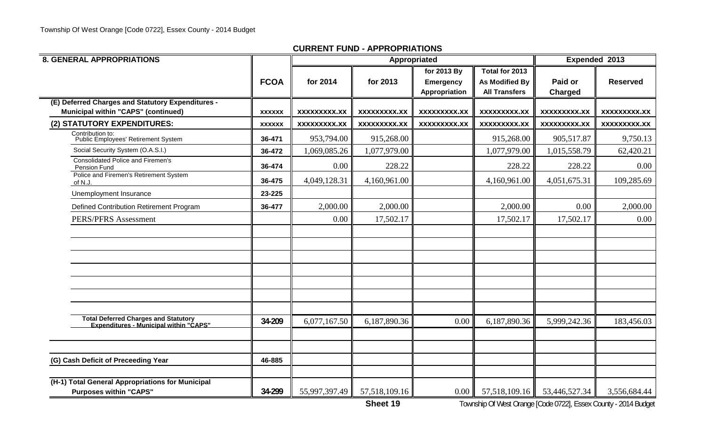| <b>8. GENERAL APPROPRIATIONS</b>                                                                |               |                     |                     | Appropriated                                     |                                                                 |                           | Expended 2013       |
|-------------------------------------------------------------------------------------------------|---------------|---------------------|---------------------|--------------------------------------------------|-----------------------------------------------------------------|---------------------------|---------------------|
|                                                                                                 | <b>FCOA</b>   | for 2014            | for 2013            | for 2013 By<br><b>Emergency</b><br>Appropriation | Total for 2013<br><b>As Modified By</b><br><b>All Transfers</b> | Paid or<br><b>Charged</b> | <b>Reserved</b>     |
| (E) Deferred Charges and Statutory Expenditures -<br><b>Municipal within "CAPS" (continued)</b> | <b>XXXXXX</b> | <b>XXXXXXXXX.XX</b> | <b>XXXXXXXXX.XX</b> | <b>XXXXXXXXX.XX</b>                              | <b>XXXXXXXXX.XX</b>                                             | <b>XXXXXXXXX.XX</b>       | <b>XXXXXXXXX.XX</b> |
| (2) STATUTORY EXPENDITURES:                                                                     | <b>XXXXXX</b> | <b>XXXXXXXXX.XX</b> | <b>XXXXXXXXX.XX</b> | <b>XXXXXXXXX.XX</b>                              | <b>XXXXXXXXX.XX</b>                                             | <b>XXXXXXXXX.XX</b>       | XXXXXXXXX.XX        |
| Contribution to:<br>Public Employees' Retirement System                                         | 36-471        | 953,794.00          | 915,268.00          |                                                  | 915,268.00                                                      | 905,517.87                | 9,750.13            |
| Social Security System (O.A.S.I.)                                                               | 36-472        | 1,069,085.26        | 1,077,979.00        |                                                  | 1,077,979.00                                                    | 1,015,558.79              | 62,420.21           |
| <b>Consolidated Police and Firemen's</b><br>Pension Fund                                        | 36-474        | 0.00                | 228.22              |                                                  | 228.22                                                          | 228.22                    | 0.00                |
| Police and Firemen's Retirement System<br>of N.J.                                               | 36-475        | 4,049,128.31        | 4,160,961.00        |                                                  | 4,160,961.00                                                    | 4,051,675.31              | 109,285.69          |
| Unemployment Insurance                                                                          | 23-225        |                     |                     |                                                  |                                                                 |                           |                     |
| Defined Contribution Retirement Program                                                         | 36-477        | 2,000.00            | 2,000.00            |                                                  | 2,000.00                                                        | 0.00                      | 2,000.00            |
| <b>PERS/PFRS Assessment</b>                                                                     |               | 0.00                | 17,502.17           |                                                  | 17,502.17                                                       | 17,502.17                 | 0.00                |
|                                                                                                 |               |                     |                     |                                                  |                                                                 |                           |                     |
|                                                                                                 |               |                     |                     |                                                  |                                                                 |                           |                     |
|                                                                                                 |               |                     |                     |                                                  |                                                                 |                           |                     |
|                                                                                                 |               |                     |                     |                                                  |                                                                 |                           |                     |
|                                                                                                 |               |                     |                     |                                                  |                                                                 |                           |                     |
|                                                                                                 |               |                     |                     |                                                  |                                                                 |                           |                     |
|                                                                                                 |               |                     |                     |                                                  |                                                                 |                           |                     |
| Total Deferred Charges and Statutory<br>Expenditures - Municipal within "CAPS"                  | 34-209        | 6,077,167.50        | 6,187,890.36        | 0.00                                             | 6,187,890.36                                                    | 5,999,242.36              | 183,456.03          |
|                                                                                                 |               |                     |                     |                                                  |                                                                 |                           |                     |
|                                                                                                 |               |                     |                     |                                                  |                                                                 |                           |                     |
| (G) Cash Deficit of Preceeding Year                                                             | 46-885        |                     |                     |                                                  |                                                                 |                           |                     |
|                                                                                                 |               |                     |                     |                                                  |                                                                 |                           |                     |
| (H-1) Total General Appropriations for Municipal<br><b>Purposes within "CAPS"</b>               | 34-299        | 55,997,397.49       | 57,518,109.16       | 0.00                                             | 57,518,109.16                                                   | 53,446,527.34             | 3,556,684.44        |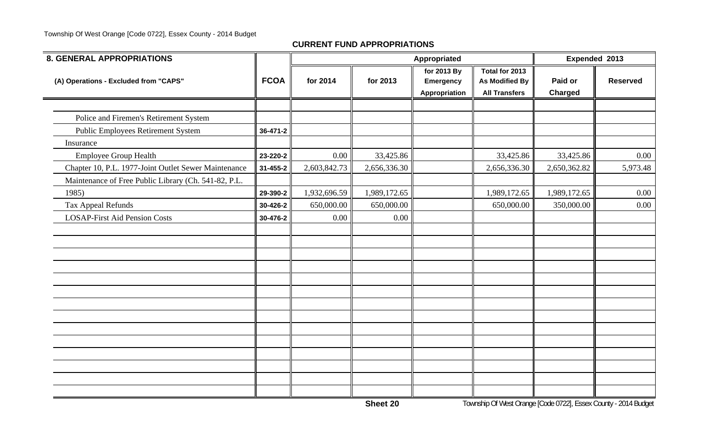#### Township Of West Orange [Code 0722], Essex County - 2014 Budget

| <b>8. GENERAL APPROPRIATIONS</b>                     |             |              |              | Appropriated                                     |                                                                 | Expended 2013      |                 |
|------------------------------------------------------|-------------|--------------|--------------|--------------------------------------------------|-----------------------------------------------------------------|--------------------|-----------------|
| (A) Operations - Excluded from "CAPS"                | <b>FCOA</b> | for 2014     | for 2013     | for 2013 By<br><b>Emergency</b><br>Appropriation | Total for 2013<br><b>As Modified By</b><br><b>All Transfers</b> | Paid or<br>Charged | <b>Reserved</b> |
|                                                      |             |              |              |                                                  |                                                                 |                    |                 |
| Police and Firemen's Retirement System               |             |              |              |                                                  |                                                                 |                    |                 |
| <b>Public Employees Retirement System</b>            | 36-471-2    |              |              |                                                  |                                                                 |                    |                 |
| Insurance                                            |             |              |              |                                                  |                                                                 |                    |                 |
| <b>Employee Group Health</b>                         | 23-220-2    | 0.00         | 33,425.86    |                                                  | 33,425.86                                                       | 33,425.86          | 0.00            |
| Chapter 10, P.L. 1977-Joint Outlet Sewer Maintenance | 31-455-2    | 2,603,842.73 | 2,656,336.30 |                                                  | 2,656,336.30                                                    | 2,650,362.82       | 5,973.48        |
| Maintenance of Free Public Library (Ch. 541-82, P.L. |             |              |              |                                                  |                                                                 |                    |                 |
| 1985)                                                | 29-390-2    | 1,932,696.59 | 1,989,172.65 |                                                  | 1,989,172.65                                                    | 1,989,172.65       | 0.00            |
| <b>Tax Appeal Refunds</b>                            | 30-426-2    | 650,000.00   | 650,000.00   |                                                  | 650,000.00                                                      | 350,000.00         | $0.00\,$        |
| <b>LOSAP-First Aid Pension Costs</b>                 | 30-476-2    | 0.00         | 0.00         |                                                  |                                                                 |                    |                 |
|                                                      |             |              |              |                                                  |                                                                 |                    |                 |
|                                                      |             |              |              |                                                  |                                                                 |                    |                 |
|                                                      |             |              |              |                                                  |                                                                 |                    |                 |
|                                                      |             |              |              |                                                  |                                                                 |                    |                 |
|                                                      |             |              |              |                                                  |                                                                 |                    |                 |
|                                                      |             |              |              |                                                  |                                                                 |                    |                 |
|                                                      |             |              |              |                                                  |                                                                 |                    |                 |
|                                                      |             |              |              |                                                  |                                                                 |                    |                 |
|                                                      |             |              |              |                                                  |                                                                 |                    |                 |
|                                                      |             |              |              |                                                  |                                                                 |                    |                 |
|                                                      |             |              |              |                                                  |                                                                 |                    |                 |
|                                                      |             |              |              |                                                  |                                                                 |                    |                 |
|                                                      |             |              |              |                                                  |                                                                 |                    |                 |
|                                                      |             |              |              |                                                  |                                                                 |                    |                 |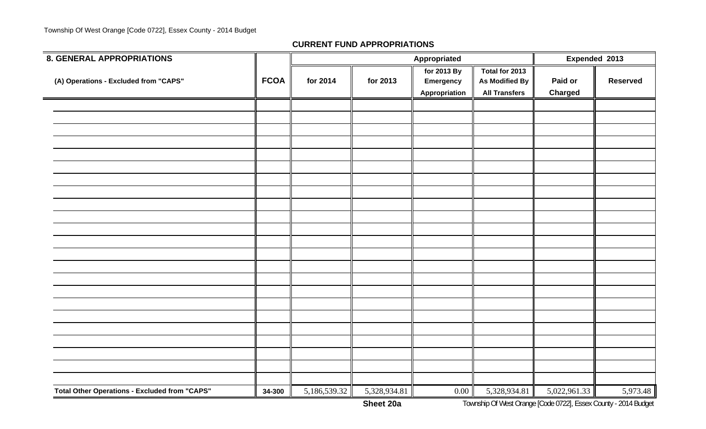| <b>8. GENERAL APPROPRIATIONS</b>                     |             |              |              | Appropriated                                     |                                                                 | Expended 2013             |                 |  |
|------------------------------------------------------|-------------|--------------|--------------|--------------------------------------------------|-----------------------------------------------------------------|---------------------------|-----------------|--|
| (A) Operations - Excluded from "CAPS"                | <b>FCOA</b> | for 2014     | for 2013     | for 2013 By<br><b>Emergency</b><br>Appropriation | Total for 2013<br><b>As Modified By</b><br><b>All Transfers</b> | Paid or<br><b>Charged</b> | <b>Reserved</b> |  |
|                                                      |             |              |              |                                                  |                                                                 |                           |                 |  |
|                                                      |             |              |              |                                                  |                                                                 |                           |                 |  |
|                                                      |             |              |              |                                                  |                                                                 |                           |                 |  |
|                                                      |             |              |              |                                                  |                                                                 |                           |                 |  |
|                                                      |             |              |              |                                                  |                                                                 |                           |                 |  |
|                                                      |             |              |              |                                                  |                                                                 |                           |                 |  |
|                                                      |             |              |              |                                                  |                                                                 |                           |                 |  |
|                                                      |             |              |              |                                                  |                                                                 |                           |                 |  |
|                                                      |             |              |              |                                                  |                                                                 |                           |                 |  |
|                                                      |             |              |              |                                                  |                                                                 |                           |                 |  |
|                                                      |             |              |              |                                                  |                                                                 |                           |                 |  |
|                                                      |             |              |              |                                                  |                                                                 |                           |                 |  |
|                                                      |             |              |              |                                                  |                                                                 |                           |                 |  |
|                                                      |             |              |              |                                                  |                                                                 |                           |                 |  |
|                                                      |             |              |              |                                                  |                                                                 |                           |                 |  |
|                                                      |             |              |              |                                                  |                                                                 |                           |                 |  |
|                                                      |             |              |              |                                                  |                                                                 |                           |                 |  |
|                                                      |             |              |              |                                                  |                                                                 |                           |                 |  |
|                                                      |             |              |              |                                                  |                                                                 |                           |                 |  |
|                                                      |             |              |              |                                                  |                                                                 |                           |                 |  |
|                                                      |             |              |              |                                                  |                                                                 |                           |                 |  |
|                                                      |             |              |              |                                                  |                                                                 |                           |                 |  |
| <b>Total Other Operations - Excluded from "CAPS"</b> | 34-300      | 5,186,539.32 | 5,328,934.81 | $0.00\,$                                         | 5,328,934.81                                                    | 5,022,961.33              | 5,973.48        |  |
|                                                      |             |              |              |                                                  |                                                                 |                           |                 |  |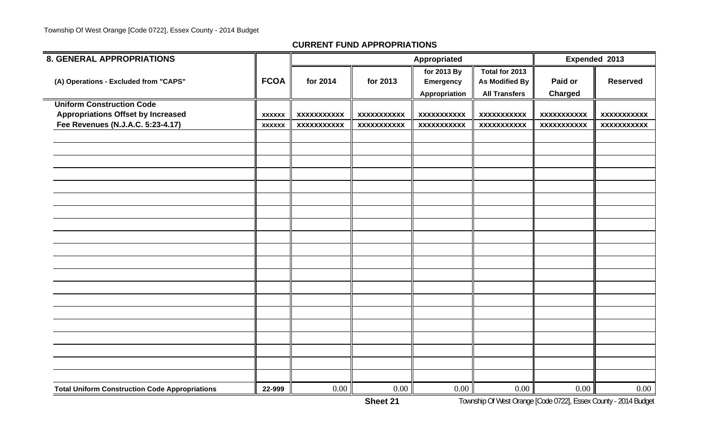| <b>8. GENERAL APPROPRIATIONS</b>                      |               |                    |                    | Appropriated                              |                                                          | Expended 2013             |                    |  |
|-------------------------------------------------------|---------------|--------------------|--------------------|-------------------------------------------|----------------------------------------------------------|---------------------------|--------------------|--|
| (A) Operations - Excluded from "CAPS"                 | <b>FCOA</b>   | for 2014           | for 2013           | for 2013 By<br>Emergency<br>Appropriation | Total for 2013<br>As Modified By<br><b>All Transfers</b> | Paid or<br><b>Charged</b> | <b>Reserved</b>    |  |
| <b>Uniform Construction Code</b>                      |               |                    |                    |                                           |                                                          |                           |                    |  |
| <b>Appropriations Offset by Increased</b>             | <b>XXXXXX</b> | <b>XXXXXXXXXXX</b> | <b>XXXXXXXXXXX</b> | <b>XXXXXXXXXXX</b>                        | <b>XXXXXXXXXXX</b>                                       | <b>XXXXXXXXXXX</b>        | <b>XXXXXXXXXXX</b> |  |
| Fee Revenues (N.J.A.C. 5:23-4.17)                     | <b>XXXXXX</b> | <b>XXXXXXXXXXX</b> | <b>XXXXXXXXXXX</b> | <b>XXXXXXXXXXX</b>                        | <b>XXXXXXXXXXX</b>                                       | <b>XXXXXXXXXXX</b>        | <b>XXXXXXXXXXX</b> |  |
|                                                       |               |                    |                    |                                           |                                                          |                           |                    |  |
|                                                       |               |                    |                    |                                           |                                                          |                           |                    |  |
|                                                       |               |                    |                    |                                           |                                                          |                           |                    |  |
|                                                       |               |                    |                    |                                           |                                                          |                           |                    |  |
|                                                       |               |                    |                    |                                           |                                                          |                           |                    |  |
|                                                       |               |                    |                    |                                           |                                                          |                           |                    |  |
|                                                       |               |                    |                    |                                           |                                                          |                           |                    |  |
|                                                       |               |                    |                    |                                           |                                                          |                           |                    |  |
|                                                       |               |                    |                    |                                           |                                                          |                           |                    |  |
|                                                       |               |                    |                    |                                           |                                                          |                           |                    |  |
|                                                       |               |                    |                    |                                           |                                                          |                           |                    |  |
|                                                       |               |                    |                    |                                           |                                                          |                           |                    |  |
|                                                       |               |                    |                    |                                           |                                                          |                           |                    |  |
|                                                       |               |                    |                    |                                           |                                                          |                           |                    |  |
|                                                       |               |                    |                    |                                           |                                                          |                           |                    |  |
|                                                       |               |                    |                    |                                           |                                                          |                           |                    |  |
|                                                       |               |                    |                    |                                           |                                                          |                           |                    |  |
|                                                       |               |                    |                    |                                           |                                                          |                           |                    |  |
|                                                       |               |                    |                    |                                           |                                                          |                           |                    |  |
|                                                       |               |                    |                    |                                           |                                                          |                           |                    |  |
| <b>Total Uniform Construction Code Appropriations</b> | 22-999        | 0.00               | 0.00               | 0.00                                      | $0.00\,$                                                 | 0.00                      | $0.00\,$           |  |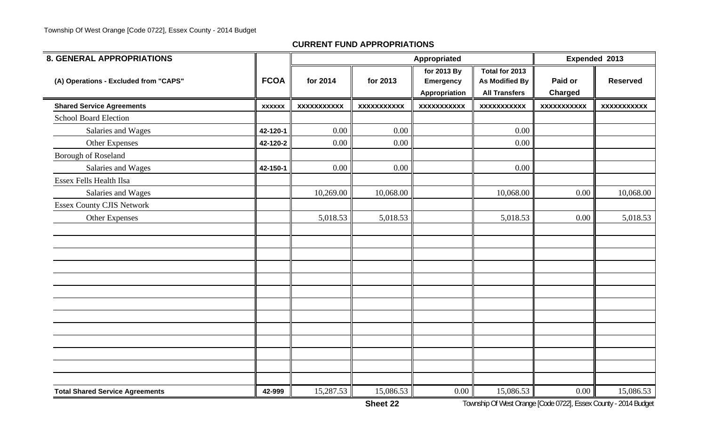| <b>8. GENERAL APPROPRIATIONS</b>       |               |                    |                    | Appropriated                                            |                                                                 | Expended 2013      |                    |  |
|----------------------------------------|---------------|--------------------|--------------------|---------------------------------------------------------|-----------------------------------------------------------------|--------------------|--------------------|--|
| (A) Operations - Excluded from "CAPS"  | <b>FCOA</b>   | for 2014           | for 2013           | for 2013 By<br><b>Emergency</b><br><b>Appropriation</b> | Total for 2013<br><b>As Modified By</b><br><b>All Transfers</b> | Paid or<br>Charged | <b>Reserved</b>    |  |
| <b>Shared Service Agreements</b>       | <b>XXXXXX</b> | <b>XXXXXXXXXXX</b> | <b>XXXXXXXXXXX</b> | <b>XXXXXXXXXXX</b>                                      | <b>XXXXXXXXXXX</b>                                              | <b>XXXXXXXXXXX</b> | <b>XXXXXXXXXXX</b> |  |
| <b>School Board Election</b>           |               |                    |                    |                                                         |                                                                 |                    |                    |  |
| Salaries and Wages                     | 42-120-1      | 0.00               | 0.00               |                                                         | 0.00                                                            |                    |                    |  |
| Other Expenses                         | 42-120-2      | 0.00               | 0.00               |                                                         | $0.00\,$                                                        |                    |                    |  |
| Borough of Roseland                    |               |                    |                    |                                                         |                                                                 |                    |                    |  |
| Salaries and Wages                     | 42-150-1      | 0.00               | 0.00               |                                                         | 0.00                                                            |                    |                    |  |
| <b>Essex Fells Health Ilsa</b>         |               |                    |                    |                                                         |                                                                 |                    |                    |  |
| Salaries and Wages                     |               | 10,269.00          | 10,068.00          |                                                         | 10,068.00                                                       | 0.00               | 10,068.00          |  |
| <b>Essex County CJIS Network</b>       |               |                    |                    |                                                         |                                                                 |                    |                    |  |
| <b>Other Expenses</b>                  |               | 5,018.53           | 5,018.53           |                                                         | 5,018.53                                                        | 0.00               | 5,018.53           |  |
|                                        |               |                    |                    |                                                         |                                                                 |                    |                    |  |
|                                        |               |                    |                    |                                                         |                                                                 |                    |                    |  |
|                                        |               |                    |                    |                                                         |                                                                 |                    |                    |  |
|                                        |               |                    |                    |                                                         |                                                                 |                    |                    |  |
|                                        |               |                    |                    |                                                         |                                                                 |                    |                    |  |
|                                        |               |                    |                    |                                                         |                                                                 |                    |                    |  |
|                                        |               |                    |                    |                                                         |                                                                 |                    |                    |  |
|                                        |               |                    |                    |                                                         |                                                                 |                    |                    |  |
|                                        |               |                    |                    |                                                         |                                                                 |                    |                    |  |
|                                        |               |                    |                    |                                                         |                                                                 |                    |                    |  |
|                                        |               |                    |                    |                                                         |                                                                 |                    |                    |  |
|                                        |               |                    |                    |                                                         |                                                                 |                    |                    |  |
|                                        |               |                    |                    |                                                         |                                                                 |                    |                    |  |
| <b>Total Shared Service Agreements</b> | 42-999        | 15,287.53          | 15,086.53          | 0.00                                                    | 15,086.53                                                       | 0.00               | 15,086.53          |  |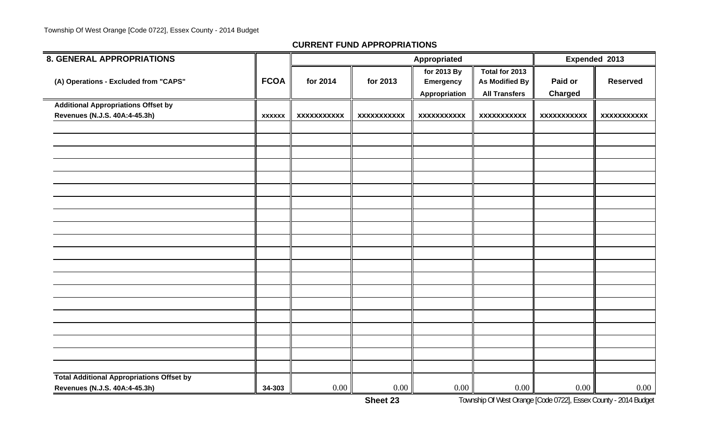| <b>8. GENERAL APPROPRIATIONS</b>                 |               |                    |                    | Appropriated                                     |                                                                 | Expended 2013             |                    |  |
|--------------------------------------------------|---------------|--------------------|--------------------|--------------------------------------------------|-----------------------------------------------------------------|---------------------------|--------------------|--|
| (A) Operations - Excluded from "CAPS"            | <b>FCOA</b>   | for 2014           | for 2013           | for 2013 By<br><b>Emergency</b><br>Appropriation | Total for 2013<br><b>As Modified By</b><br><b>All Transfers</b> | Paid or<br><b>Charged</b> | <b>Reserved</b>    |  |
| <b>Additional Appropriations Offset by</b>       |               |                    |                    |                                                  |                                                                 |                           |                    |  |
| Revenues (N.J.S. 40A:4-45.3h)                    | <b>XXXXXX</b> | <b>XXXXXXXXXXX</b> | <b>XXXXXXXXXXX</b> | <b>XXXXXXXXXXX</b>                               | <b>XXXXXXXXXXX</b>                                              | <b>XXXXXXXXXXX</b>        | <b>XXXXXXXXXXX</b> |  |
|                                                  |               |                    |                    |                                                  |                                                                 |                           |                    |  |
|                                                  |               |                    |                    |                                                  |                                                                 |                           |                    |  |
|                                                  |               |                    |                    |                                                  |                                                                 |                           |                    |  |
|                                                  |               |                    |                    |                                                  |                                                                 |                           |                    |  |
|                                                  |               |                    |                    |                                                  |                                                                 |                           |                    |  |
|                                                  |               |                    |                    |                                                  |                                                                 |                           |                    |  |
|                                                  |               |                    |                    |                                                  |                                                                 |                           |                    |  |
|                                                  |               |                    |                    |                                                  |                                                                 |                           |                    |  |
|                                                  |               |                    |                    |                                                  |                                                                 |                           |                    |  |
|                                                  |               |                    |                    |                                                  |                                                                 |                           |                    |  |
|                                                  |               |                    |                    |                                                  |                                                                 |                           |                    |  |
|                                                  |               |                    |                    |                                                  |                                                                 |                           |                    |  |
|                                                  |               |                    |                    |                                                  |                                                                 |                           |                    |  |
|                                                  |               |                    |                    |                                                  |                                                                 |                           |                    |  |
|                                                  |               |                    |                    |                                                  |                                                                 |                           |                    |  |
|                                                  |               |                    |                    |                                                  |                                                                 |                           |                    |  |
|                                                  |               |                    |                    |                                                  |                                                                 |                           |                    |  |
|                                                  |               |                    |                    |                                                  |                                                                 |                           |                    |  |
|                                                  |               |                    |                    |                                                  |                                                                 |                           |                    |  |
|                                                  |               |                    |                    |                                                  |                                                                 |                           |                    |  |
| <b>Total Additional Appropriations Offset by</b> |               |                    |                    |                                                  |                                                                 |                           |                    |  |
| Revenues (N.J.S. 40A:4-45.3h)                    | 34-303        | 0.00               | $0.00\,$           | 0.00                                             | $0.00\,$                                                        | 0.00                      | $0.00\,$           |  |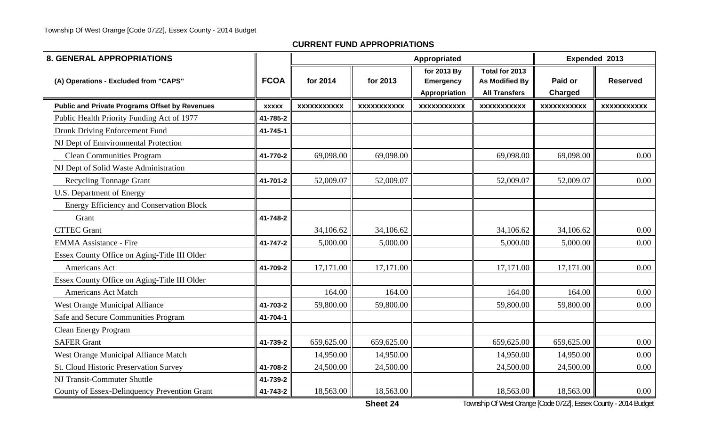| <b>8. GENERAL APPROPRIATIONS</b>                      |              |                    |                    | Appropriated                                     |                                                          |                           | Expended 2013      |
|-------------------------------------------------------|--------------|--------------------|--------------------|--------------------------------------------------|----------------------------------------------------------|---------------------------|--------------------|
| (A) Operations - Excluded from "CAPS"                 | <b>FCOA</b>  | for 2014           | for 2013           | for 2013 By<br><b>Emergency</b><br>Appropriation | Total for 2013<br>As Modified By<br><b>All Transfers</b> | Paid or<br><b>Charged</b> | <b>Reserved</b>    |
| <b>Public and Private Programs Offset by Revenues</b> | <b>XXXXX</b> | <b>XXXXXXXXXXX</b> | <b>XXXXXXXXXXX</b> | <b>XXXXXXXXXXX</b>                               | <b>XXXXXXXXXXX</b>                                       | <b>XXXXXXXXXXX</b>        | <b>XXXXXXXXXXX</b> |
| Public Health Priority Funding Act of 1977            | 41-785-2     |                    |                    |                                                  |                                                          |                           |                    |
| Drunk Driving Enforcement Fund                        | 41-745-1     |                    |                    |                                                  |                                                          |                           |                    |
| NJ Dept of Ennvironmental Protection                  |              |                    |                    |                                                  |                                                          |                           |                    |
| <b>Clean Communities Program</b>                      | 41-770-2     | 69,098.00          | 69,098.00          |                                                  | 69,098.00                                                | 69,098.00                 | 0.00               |
| NJ Dept of Solid Waste Administration                 |              |                    |                    |                                                  |                                                          |                           |                    |
| <b>Recycling Tonnage Grant</b>                        | 41-701-2     | 52,009.07          | 52,009.07          |                                                  | 52,009.07                                                | 52,009.07                 | 0.00               |
| <b>U.S. Department of Energy</b>                      |              |                    |                    |                                                  |                                                          |                           |                    |
| <b>Energy Efficiency and Conservation Block</b>       |              |                    |                    |                                                  |                                                          |                           |                    |
| Grant                                                 | 41-748-2     |                    |                    |                                                  |                                                          |                           |                    |
| <b>CTTEC Grant</b>                                    |              | 34,106.62          | 34,106.62          |                                                  | 34,106.62                                                | 34,106.62                 | 0.00               |
| <b>EMMA Assistance - Fire</b>                         | 41-747-2     | 5,000.00           | 5,000.00           |                                                  | 5,000.00                                                 | 5,000.00                  | 0.00               |
| Essex County Office on Aging-Title III Older          |              |                    |                    |                                                  |                                                          |                           |                    |
| Americans Act                                         | 41-709-2     | 17,171.00          | 17,171.00          |                                                  | 17,171.00                                                | 17,171.00                 | 0.00               |
| Essex County Office on Aging-Title III Older          |              |                    |                    |                                                  |                                                          |                           |                    |
| <b>Americans Act Match</b>                            |              | 164.00             | 164.00             |                                                  | 164.00                                                   | 164.00                    | 0.00               |
| West Orange Municipal Alliance                        | 41-703-2     | 59,800.00          | 59,800.00          |                                                  | 59,800.00                                                | 59,800.00                 | 0.00               |
| Safe and Secure Communities Program                   | 41-704-1     |                    |                    |                                                  |                                                          |                           |                    |
| <b>Clean Energy Program</b>                           |              |                    |                    |                                                  |                                                          |                           |                    |
| <b>SAFER Grant</b>                                    | 41-739-2     | 659,625.00         | 659,625.00         |                                                  | 659,625.00                                               | 659,625.00                | 0.00               |
| West Orange Municipal Alliance Match                  |              | 14,950.00          | 14,950.00          |                                                  | 14,950.00                                                | 14,950.00                 | 0.00               |
| <b>St. Cloud Historic Preservation Survey</b>         | 41-708-2     | 24,500.00          | 24,500.00          |                                                  | 24,500.00                                                | 24,500.00                 | 0.00               |
| NJ Transit-Commuter Shuttle                           | 41-739-2     |                    |                    |                                                  |                                                          |                           |                    |
| County of Essex-Delinquency Prevention Grant          | 41-743-2     | 18,563.00          | 18,563.00          |                                                  | 18,563.00                                                | 18,563.00                 | 0.00               |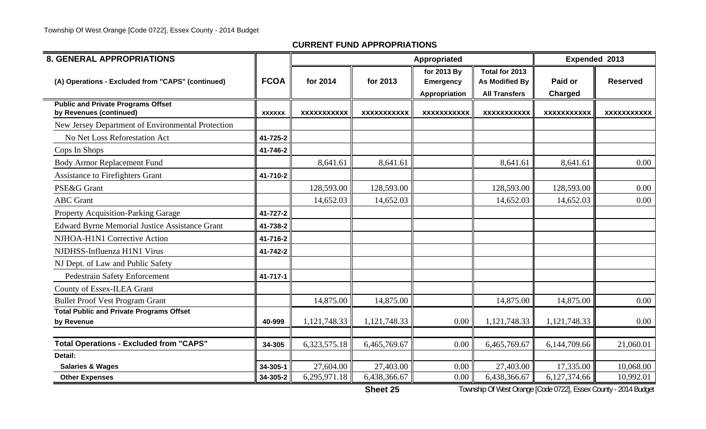| <b>8. GENERAL APPROPRIATIONS</b>                                     |               |                    |                    | Appropriated                                     |                                                          |                    | Expended 2013      |  |
|----------------------------------------------------------------------|---------------|--------------------|--------------------|--------------------------------------------------|----------------------------------------------------------|--------------------|--------------------|--|
| (A) Operations - Excluded from "CAPS" (continued)                    | <b>FCOA</b>   | for 2014           | for 2013           | for 2013 By<br><b>Emergency</b><br>Appropriation | Total for 2013<br>As Modified By<br><b>All Transfers</b> | Paid or<br>Charged | <b>Reserved</b>    |  |
| <b>Public and Private Programs Offset</b><br>by Revenues (continued) | <b>XXXXXX</b> | <b>XXXXXXXXXXX</b> | <b>XXXXXXXXXXX</b> | <b>XXXXXXXXXXX</b>                               | <b>XXXXXXXXXXX</b>                                       | <b>XXXXXXXXXXX</b> | <b>XXXXXXXXXXX</b> |  |
| New Jersey Department of Environmental Protection                    |               |                    |                    |                                                  |                                                          |                    |                    |  |
| No Net Loss Reforestation Act                                        | 41-725-2      |                    |                    |                                                  |                                                          |                    |                    |  |
| Cops In Shops                                                        | 41-746-2      |                    |                    |                                                  |                                                          |                    |                    |  |
| <b>Body Armor Replacement Fund</b>                                   |               | 8,641.61           | 8,641.61           |                                                  | 8,641.61                                                 | 8,641.61           | 0.00               |  |
| <b>Assistance to Firefighters Grant</b>                              | 41-710-2      |                    |                    |                                                  |                                                          |                    |                    |  |
| PSE&G Grant                                                          |               | 128,593.00         | 128,593.00         |                                                  | 128,593.00                                               | 128,593.00         | 0.00               |  |
| <b>ABC</b> Grant                                                     |               | 14,652.03          | 14,652.03          |                                                  | 14,652.03                                                | 14,652.03          | 0.00               |  |
| Property Acquisition-Parking Garage                                  | 41-727-2      |                    |                    |                                                  |                                                          |                    |                    |  |
| <b>Edward Byrne Memorial Justice Assistance Grant</b>                | 41-738-2      |                    |                    |                                                  |                                                          |                    |                    |  |
| NJHOA-H1N1 Corrective Action                                         | 41-716-2      |                    |                    |                                                  |                                                          |                    |                    |  |
| NJDHSS-Influenza H1N1 Virus                                          | 41-742-2      |                    |                    |                                                  |                                                          |                    |                    |  |
| NJ Dept. of Law and Public Safety                                    |               |                    |                    |                                                  |                                                          |                    |                    |  |
| <b>Pedestrain Safety Enforcement</b>                                 | 41-717-1      |                    |                    |                                                  |                                                          |                    |                    |  |
| County of Essex-ILEA Grant                                           |               |                    |                    |                                                  |                                                          |                    |                    |  |
| <b>Bullet Proof Vest Program Grant</b>                               |               | 14,875.00          | 14,875.00          |                                                  | 14,875.00                                                | 14,875.00          | 0.00               |  |
| <b>Total Public and Private Programs Offset</b><br>by Revenue        | 40-999        | 1,121,748.33       | 1,121,748.33       | 0.00                                             | 1,121,748.33                                             | 1,121,748.33       | 0.00               |  |
| <b>Total Operations - Excluded from "CAPS"</b>                       | 34-305        | 6,323,575.18       | 6,465,769.67       | 0.00                                             | 6,465,769.67                                             | 6,144,709.66       | 21,060.01          |  |
| Detail:                                                              |               |                    |                    |                                                  |                                                          |                    |                    |  |
| <b>Salaries &amp; Wages</b>                                          | 34-305-1      | 27,604.00          | 27,403.00          | 0.00                                             | 27,403.00                                                | 17,335.00          | 10,068.00          |  |
| <b>Other Expenses</b>                                                | 34-305-2      | 6,295,971.18       | 6,438,366.67       | 0.00                                             | 6,438,366.67                                             | 6,127,374.66       | 10,992.01          |  |

**Sheet 25**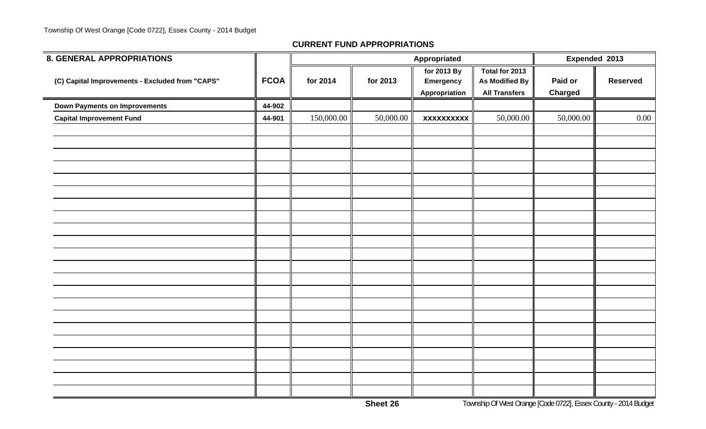| <b>8. GENERAL APPROPRIATIONS</b>                |             |            |           | Appropriated                    |                                         | Expended 2013  |                 |
|-------------------------------------------------|-------------|------------|-----------|---------------------------------|-----------------------------------------|----------------|-----------------|
| (C) Capital Improvements - Excluded from "CAPS" | <b>FCOA</b> | for 2014   | for 2013  | for 2013 By<br><b>Emergency</b> | Total for 2013<br><b>As Modified By</b> | Paid or        | <b>Reserved</b> |
|                                                 |             |            |           | Appropriation                   | <b>All Transfers</b>                    | <b>Charged</b> |                 |
| <b>Down Payments on Improvements</b>            | 44-902      |            |           |                                 |                                         |                |                 |
| <b>Capital Improvement Fund</b>                 | 44-901      | 150,000.00 | 50,000.00 | <b>XXXXXXXXXX</b>               | 50,000.00                               | 50,000.00      | $0.00\,$        |
|                                                 |             |            |           |                                 |                                         |                |                 |
|                                                 |             |            |           |                                 |                                         |                |                 |
|                                                 |             |            |           |                                 |                                         |                |                 |
|                                                 |             |            |           |                                 |                                         |                |                 |
|                                                 |             |            |           |                                 |                                         |                |                 |
|                                                 |             |            |           |                                 |                                         |                |                 |
|                                                 |             |            |           |                                 |                                         |                |                 |
|                                                 |             |            |           |                                 |                                         |                |                 |
|                                                 |             |            |           |                                 |                                         |                |                 |
|                                                 |             |            |           |                                 |                                         |                |                 |
|                                                 |             |            |           |                                 |                                         |                |                 |
|                                                 |             |            |           |                                 |                                         |                |                 |
|                                                 |             |            |           |                                 |                                         |                |                 |
|                                                 |             |            |           |                                 |                                         |                |                 |
|                                                 |             |            |           |                                 |                                         |                |                 |
|                                                 |             |            |           |                                 |                                         |                |                 |
|                                                 |             |            |           |                                 |                                         |                |                 |
|                                                 |             |            |           |                                 |                                         |                |                 |
|                                                 |             |            |           |                                 |                                         |                |                 |
|                                                 |             |            |           |                                 |                                         |                |                 |
|                                                 |             |            |           |                                 |                                         |                |                 |
|                                                 |             |            |           |                                 |                                         |                |                 |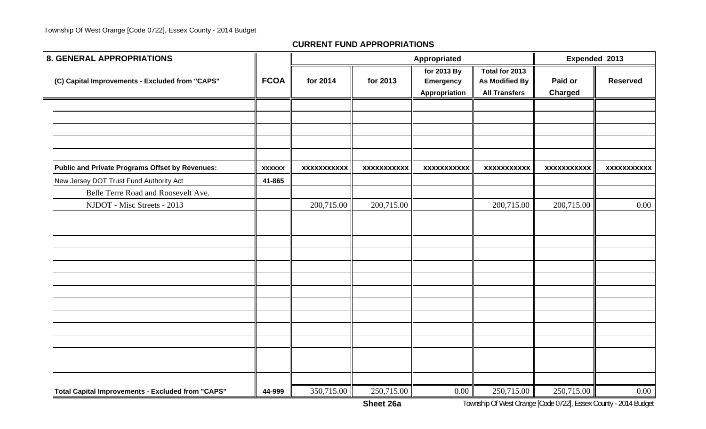| <b>8. GENERAL APPROPRIATIONS</b>                         |               |                    |                    | Appropriated                                     |                                                                 | Expended 2013             |                    |
|----------------------------------------------------------|---------------|--------------------|--------------------|--------------------------------------------------|-----------------------------------------------------------------|---------------------------|--------------------|
| (C) Capital Improvements - Excluded from "CAPS"          | <b>FCOA</b>   | for 2014           | for 2013           | for 2013 By<br><b>Emergency</b><br>Appropriation | Total for 2013<br><b>As Modified By</b><br><b>All Transfers</b> | Paid or<br><b>Charged</b> | <b>Reserved</b>    |
|                                                          |               |                    |                    |                                                  |                                                                 |                           |                    |
|                                                          |               |                    |                    |                                                  |                                                                 |                           |                    |
| <b>Public and Private Programs Offset by Revenues:</b>   | <b>XXXXXX</b> | <b>XXXXXXXXXXX</b> | <b>XXXXXXXXXXX</b> | <b>XXXXXXXXXXX</b>                               | <b>XXXXXXXXXXX</b>                                              | <b>XXXXXXXXXXX</b>        | <b>XXXXXXXXXXX</b> |
| New Jersey DOT Trust Fund Authority Act                  | 41-865        |                    |                    |                                                  |                                                                 |                           |                    |
| Belle Terre Road and Roosevelt Ave.                      |               |                    |                    |                                                  |                                                                 |                           |                    |
| NJDOT - Misc Streets - 2013                              |               | 200,715.00         | 200,715.00         |                                                  | 200,715.00                                                      | 200,715.00                | 0.00               |
|                                                          |               |                    |                    |                                                  |                                                                 |                           |                    |
|                                                          |               |                    |                    |                                                  |                                                                 |                           |                    |
|                                                          |               |                    |                    |                                                  |                                                                 |                           |                    |
|                                                          |               |                    |                    |                                                  |                                                                 |                           |                    |
|                                                          |               |                    |                    |                                                  |                                                                 |                           |                    |
|                                                          |               |                    |                    |                                                  |                                                                 |                           |                    |
|                                                          |               |                    |                    |                                                  |                                                                 |                           |                    |
|                                                          |               |                    |                    |                                                  |                                                                 |                           |                    |
|                                                          |               |                    |                    |                                                  |                                                                 |                           |                    |
|                                                          |               |                    |                    |                                                  |                                                                 |                           |                    |
|                                                          |               |                    |                    |                                                  |                                                                 |                           |                    |
|                                                          |               |                    |                    |                                                  |                                                                 |                           |                    |
|                                                          |               |                    |                    |                                                  |                                                                 |                           |                    |
| <b>Total Capital Improvements - Excluded from "CAPS"</b> | 44-999        | 350,715.00         | 250,715.00         | 0.00                                             | 250,715.00                                                      | 250,715.00                | 0.00               |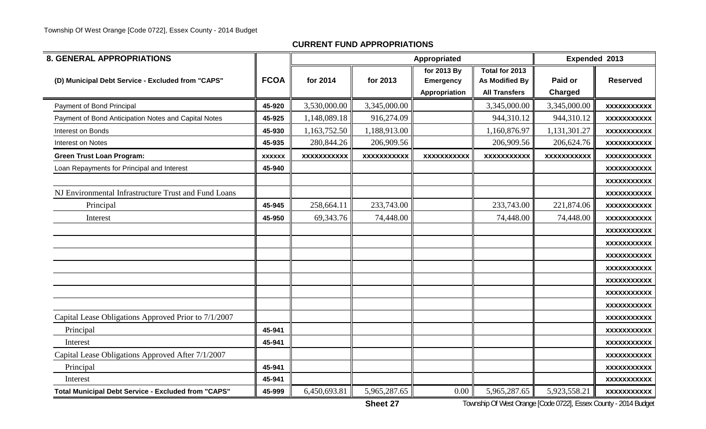| <b>8. GENERAL APPROPRIATIONS</b>                           |               |                    |                    | Appropriated       |                       | Expended 2013      |                    |
|------------------------------------------------------------|---------------|--------------------|--------------------|--------------------|-----------------------|--------------------|--------------------|
|                                                            |               |                    |                    | for 2013 By        | Total for 2013        |                    |                    |
| (D) Municipal Debt Service - Excluded from "CAPS"          | <b>FCOA</b>   | for 2014           | for 2013           | <b>Emergency</b>   | <b>As Modified By</b> | Paid or            | <b>Reserved</b>    |
|                                                            |               |                    |                    | Appropriation      | <b>All Transfers</b>  | Charged            |                    |
| Payment of Bond Principal                                  | 45-920        | 3,530,000.00       | 3,345,000.00       |                    | 3,345,000.00          | 3,345,000.00       | <b>XXXXXXXXXXX</b> |
| Payment of Bond Anticipation Notes and Capital Notes       | 45-925        | 1,148,089.18       | 916,274.09         |                    | 944,310.12            | 944,310.12         | <b>XXXXXXXXXXX</b> |
| Interest on Bonds                                          | 45-930        | 1,163,752.50       | 1,188,913.00       |                    | 1,160,876.97          | 1,131,301.27       | <b>XXXXXXXXXXX</b> |
| <b>Interest on Notes</b>                                   | 45-935        | 280,844.26         | 206,909.56         |                    | 206,909.56            | 206,624.76         | <b>XXXXXXXXXXX</b> |
| <b>Green Trust Loan Program:</b>                           | <b>XXXXXX</b> | <b>XXXXXXXXXXX</b> | <b>XXXXXXXXXXX</b> | <b>XXXXXXXXXXX</b> | <b>XXXXXXXXXXX</b>    | <b>XXXXXXXXXXX</b> | <b>XXXXXXXXXXX</b> |
| Loan Repayments for Principal and Interest                 | 45-940        |                    |                    |                    |                       |                    | <b>XXXXXXXXXXX</b> |
|                                                            |               |                    |                    |                    |                       |                    | <b>XXXXXXXXXXX</b> |
| NJ Environmental Infrastructure Trust and Fund Loans       |               |                    |                    |                    |                       |                    | <b>XXXXXXXXXXX</b> |
| Principal                                                  | 45-945        | 258,664.11         | 233,743.00         |                    | 233,743.00            | 221,874.06         | <b>XXXXXXXXXXX</b> |
| Interest                                                   | 45-950        | 69,343.76          | 74,448.00          |                    | 74,448.00             | 74,448.00          | <b>XXXXXXXXXXX</b> |
|                                                            |               |                    |                    |                    |                       |                    | <b>XXXXXXXXXXX</b> |
|                                                            |               |                    |                    |                    |                       |                    | <b>XXXXXXXXXXX</b> |
|                                                            |               |                    |                    |                    |                       |                    | <b>XXXXXXXXXXX</b> |
|                                                            |               |                    |                    |                    |                       |                    | <b>XXXXXXXXXXX</b> |
|                                                            |               |                    |                    |                    |                       |                    | <b>XXXXXXXXXXX</b> |
|                                                            |               |                    |                    |                    |                       |                    | <b>XXXXXXXXXXX</b> |
|                                                            |               |                    |                    |                    |                       |                    | <b>XXXXXXXXXXX</b> |
| Capital Lease Obligations Approved Prior to 7/1/2007       |               |                    |                    |                    |                       |                    | <b>XXXXXXXXXXX</b> |
| Principal                                                  | 45-941        |                    |                    |                    |                       |                    | <b>XXXXXXXXXXX</b> |
| Interest                                                   | 45-941        |                    |                    |                    |                       |                    | <b>XXXXXXXXXXX</b> |
| Capital Lease Obligations Approved After 7/1/2007          |               |                    |                    |                    |                       |                    | <b>XXXXXXXXXXX</b> |
| Principal                                                  | 45-941        |                    |                    |                    |                       |                    | <b>XXXXXXXXXXX</b> |
| Interest                                                   | 45-941        |                    |                    |                    |                       |                    | <b>XXXXXXXXXXX</b> |
| <b>Total Municipal Debt Service - Excluded from "CAPS"</b> | 45-999        | 6,450,693.81       | 5,965,287.65       | 0.00               | 5,965,287.65          | 5,923,558.21       | <b>XXXXXXXXXXX</b> |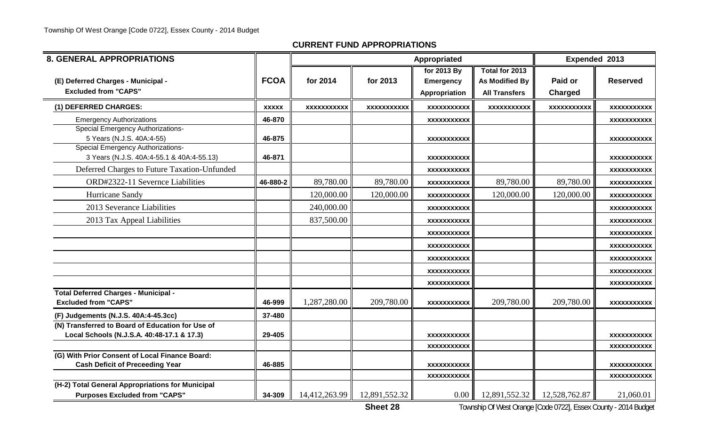| <b>8. GENERAL APPROPRIATIONS</b>                                                               |              |                    |               | Appropriated                     |                      | Expended 2013 |                                   |
|------------------------------------------------------------------------------------------------|--------------|--------------------|---------------|----------------------------------|----------------------|---------------|-----------------------------------|
|                                                                                                |              |                    |               | for 2013 By                      | Total for 2013       |               |                                   |
| (E) Deferred Charges - Municipal -                                                             | <b>FCOA</b>  | for 2014           | for 2013      | <b>Emergency</b>                 | As Modified By       | Paid or       | <b>Reserved</b>                   |
| <b>Excluded from "CAPS"</b>                                                                    |              |                    |               | Appropriation                    | <b>All Transfers</b> | Charged       |                                   |
| (1) DEFERRED CHARGES:                                                                          | <b>XXXXX</b> | <b>XXXXXXXXXXX</b> | XXXXXXXXXX    | <b>XXXXXXXXXXX</b>               | XXXXXXXXXXX          | XXXXXXXXXX    | XXXXXXXXXX                        |
| <b>Emergency Authorizations</b>                                                                | 46-870       |                    |               | XXXXXXXXXXX                      |                      |               | XXXXXXXXXXX                       |
| Special Emergency Authorizations-<br>5 Years (N.J.S. 40A:4-55)                                 | 46-875       |                    |               | XXXXXXXXXXX                      |                      |               | XXXXXXXXXXX                       |
| Special Emergency Authorizations-<br>3 Years (N.J.S. 40A:4-55.1 & 40A:4-55.13)                 | 46-871       |                    |               | <b>XXXXXXXXXXX</b>               |                      |               | XXXXXXXXXXX                       |
| Deferred Charges to Future Taxation-Unfunded                                                   |              |                    |               | XXXXXXXXXXX                      |                      |               | XXXXXXXXXXX                       |
| ORD#2322-11 Severnce Liabilities                                                               | 46-880-2     | 89,780.00          | 89,780.00     | <b>XXXXXXXXXXX</b>               | 89,780.00            | 89,780.00     | XXXXXXXXXX                        |
| Hurricane Sandy                                                                                |              | 120,000.00         | 120,000.00    | <b>XXXXXXXXXXX</b>               | 120,000.00           | 120,000.00    | XXXXXXXXXXX                       |
| 2013 Severance Liabilities                                                                     |              | 240,000.00         |               | XXXXXXXXXXX                      |                      |               | XXXXXXXXXXX                       |
| 2013 Tax Appeal Liabilities                                                                    |              | 837,500.00         |               | <b>XXXXXXXXXXX</b>               |                      |               | <b>XXXXXXXXXXX</b>                |
|                                                                                                |              |                    |               | <b>XXXXXXXXXXX</b>               |                      |               | XXXXXXXXXX                        |
|                                                                                                |              |                    |               | <b>XXXXXXXXXXX</b>               |                      |               | <b>XXXXXXXXXXX</b>                |
|                                                                                                |              |                    |               | <b>XXXXXXXXXXX</b>               |                      |               | XXXXXXXXXXX                       |
|                                                                                                |              |                    |               | <b>XXXXXXXXXXX</b>               |                      |               | XXXXXXXXXXX                       |
|                                                                                                |              |                    |               | <b>XXXXXXXXXXX</b>               |                      |               | <b>XXXXXXXXXXX</b>                |
| <b>Total Deferred Charges - Municipal -</b><br><b>Excluded from "CAPS"</b>                     | 46-999       | 1,287,280.00       | 209,780.00    | <b>XXXXXXXXXXX</b>               | 209,780.00           | 209,780.00    | XXXXXXXXXXX                       |
| (F) Judgements (N.J.S. 40A:4-45.3cc)                                                           | 37-480       |                    |               |                                  |                      |               |                                   |
| (N) Transferred to Board of Education for Use of<br>Local Schools (N.J.S.A. 40:48-17.1 & 17.3) | 29-405       |                    |               | XXXXXXXXXXX                      |                      |               | XXXXXXXXXXX                       |
|                                                                                                |              |                    |               | XXXXXXXXXXX                      |                      |               | XXXXXXXXXXX                       |
| (G) With Prior Consent of Local Finance Board:                                                 |              |                    |               |                                  |                      |               |                                   |
| <b>Cash Deficit of Preceeding Year</b>                                                         | 46-885       |                    |               | <b>XXXXXXXXXXX</b><br>XXXXXXXXXX |                      |               | <b>XXXXXXXXXXX</b><br>xxxxxxxxxxx |
| (H-2) Total General Appropriations for Municipal                                               |              |                    |               |                                  |                      |               |                                   |
| <b>Purposes Excluded from "CAPS"</b>                                                           | 34-309       | 14,412,263.99      | 12,891,552.32 | 0.00                             | 12,891,552.32        | 12,528,762.87 | 21,060.01                         |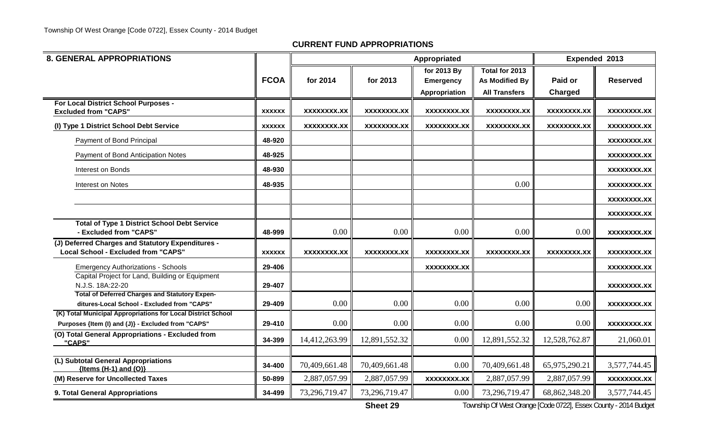| <b>8. GENERAL APPROPRIATIONS</b>                                                                |               |                    |               |                    | Expended 2013        |               |                    |
|-------------------------------------------------------------------------------------------------|---------------|--------------------|---------------|--------------------|----------------------|---------------|--------------------|
|                                                                                                 |               |                    |               | for 2013 By        | Total for 2013       |               |                    |
|                                                                                                 | <b>FCOA</b>   | for 2014           | for 2013      | <b>Emergency</b>   | As Modified By       | Paid or       | <b>Reserved</b>    |
|                                                                                                 |               |                    |               | Appropriation      | <b>All Transfers</b> | Charged       |                    |
| For Local District School Purposes -<br><b>Excluded from "CAPS"</b>                             | <b>XXXXXX</b> | <b>XXXXXXXX.XX</b> | XXXXXXXX.XX   | <b>XXXXXXXX.XX</b> | XXXXXXXX.XX          | XXXXXXXX.XX   | XXXXXXXX.XX        |
|                                                                                                 |               |                    |               |                    |                      |               |                    |
| (I) Type 1 District School Debt Service                                                         | <b>XXXXXX</b> | XXXXXXXX.XX        | XXXXXXXX.XX   | XXXXXXXX.XX        | XXXXXXXX.XX          | XXXXXXXX.XX   | XXXXXXXX.XX        |
| Payment of Bond Principal                                                                       | 48-920        |                    |               |                    |                      |               | XXXXXXXX.XX        |
| Payment of Bond Anticipation Notes                                                              | 48-925        |                    |               |                    |                      |               | XXXXXXXX.XX        |
| Interest on Bonds                                                                               | 48-930        |                    |               |                    |                      |               | XXXXXXXX.XX        |
| Interest on Notes                                                                               | 48-935        |                    |               |                    | 0.00                 |               | XXXXXXXX.XX        |
|                                                                                                 |               |                    |               |                    |                      |               | XXXXXXXX.XX        |
|                                                                                                 |               |                    |               |                    |                      |               | <b>XXXXXXXX.XX</b> |
| <b>Total of Type 1 District School Debt Service</b>                                             |               |                    |               |                    |                      |               |                    |
| - Excluded from "CAPS"                                                                          | 48-999        | 0.00               | 0.00          | 0.00               | 0.00                 | 0.00          | <b>XXXXXXXX.XX</b> |
| (J) Deferred Charges and Statutory Expenditures -<br><b>Local School - Excluded from "CAPS"</b> | <b>XXXXXX</b> | XXXXXXXX.XX        | XXXXXXXX.XX   | XXXXXXXX.XX        | XXXXXXXX.XX          | XXXXXXXX.XX   | XXXXXXXX.XX        |
| <b>Emergency Authorizations - Schools</b>                                                       | 29-406        |                    |               | XXXXXXXX.XX        |                      |               | XXXXXXXX.XX        |
| Capital Project for Land, Building or Equipment<br>N.J.S. 18A:22-20                             | 29-407        |                    |               |                    |                      |               |                    |
| <b>Total of Deferred Charges and Statutory Expen-</b>                                           |               |                    |               |                    |                      |               | XXXXXXXX.XX        |
| ditures-Local School - Excluded from "CAPS"                                                     | 29-409        | 0.00               | 0.00          | 0.00               | 0.00                 | 0.00          | XXXXXXXX.XX        |
| (K) Total Municipal Appropriations for Local District School                                    |               |                    |               |                    |                      |               |                    |
| Purposes {Item (I) and (J)} - Excluded from "CAPS"                                              | 29-410        | 0.00               | 0.00          | 0.00               | 0.00                 | 0.00          | <b>XXXXXXXX.XX</b> |
| (O) Total General Appropriations - Excluded from<br>"CAPS"                                      | 34-399        | 14,412,263.99      | 12,891,552.32 | 0.00               | 12,891,552.32        | 12,528,762.87 | 21,060.01          |
|                                                                                                 |               |                    |               |                    |                      |               |                    |
| (L) Subtotal General Appropriations<br>${Items (H-1) and (O)}$                                  | 34-400        | 70,409,661.48      | 70,409,661.48 | 0.00               | 70,409,661.48        | 65,975,290.21 | 3,577,744.45       |
| (M) Reserve for Uncollected Taxes                                                               | 50-899        | 2,887,057.99       | 2,887,057.99  | <b>XXXXXXXX.XX</b> | 2,887,057.99         | 2,887,057.99  | <b>XXXXXXXX.XX</b> |
| 9. Total General Appropriations                                                                 | 34-499        | 73,296,719.47      | 73,296,719.47 | 0.00               | 73,296,719.47        | 68,862,348.20 | 3,577,744.45       |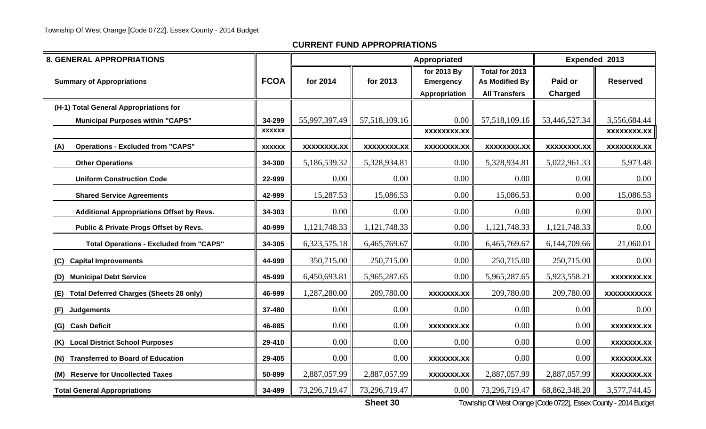| <b>8. GENERAL APPROPRIATIONS</b>                      |               |                    |                    | Appropriated                                     |                                                          | Expended 2013             |                    |
|-------------------------------------------------------|---------------|--------------------|--------------------|--------------------------------------------------|----------------------------------------------------------|---------------------------|--------------------|
| <b>Summary of Appropriations</b>                      | <b>FCOA</b>   | for 2014           | for 2013           | for 2013 By<br><b>Emergency</b><br>Appropriation | Total for 2013<br>As Modified By<br><b>All Transfers</b> | Paid or<br><b>Charged</b> | <b>Reserved</b>    |
| (H-1) Total General Appropriations for                |               |                    |                    |                                                  |                                                          |                           |                    |
| <b>Municipal Purposes within "CAPS"</b>               | 34-299        | 55,997,397.49      | 57,518,109.16      | 0.00                                             | 57, 518, 109. 16                                         | 53,446,527.34             | 3,556,684.44       |
|                                                       | <b>XXXXXX</b> |                    |                    | <b>XXXXXXXX.XX</b>                               |                                                          |                           | <b>XXXXXXXX.XX</b> |
| <b>Operations - Excluded from "CAPS"</b><br>(A)       | <b>XXXXXX</b> | <b>XXXXXXXX.XX</b> | <b>XXXXXXXX.XX</b> | <b>XXXXXXXX.XX</b>                               | <b>XXXXXXXX.XX</b>                                       | <b>XXXXXXXX.XX</b>        | <b>XXXXXXXX.XX</b> |
| <b>Other Operations</b>                               | 34-300        | 5,186,539.32       | 5,328,934.81       | 0.00                                             | 5,328,934.81                                             | 5,022,961.33              | 5,973.48           |
| <b>Uniform Construction Code</b>                      | 22-999        | 0.00               | 0.00               | 0.00                                             | $0.00\,$                                                 | 0.00                      | 0.00               |
| <b>Shared Service Agreements</b>                      | 42-999        | 15,287.53          | 15,086.53          | 0.00                                             | 15,086.53                                                | 0.00                      | 15,086.53          |
| <b>Additional Appropriations Offset by Revs.</b>      | 34-303        | 0.00               | 0.00               | 0.00                                             | $0.00\,$                                                 | 0.00                      | 0.00               |
| Public & Private Progs Offset by Revs.                | 40-999        | 1,121,748.33       | 1,121,748.33       | 0.00                                             | 1,121,748.33                                             | 1,121,748.33              | 0.00               |
| <b>Total Operations - Excluded from "CAPS"</b>        | 34-305        | 6,323,575.18       | 6,465,769.67       | 0.00                                             | 6,465,769.67                                             | 6,144,709.66              | 21,060.01          |
| <b>Capital Improvements</b><br>(C)                    | 44-999        | 350,715.00         | 250,715.00         | 0.00                                             | 250,715.00                                               | 250,715.00                | 0.00               |
| <b>Municipal Debt Service</b><br>(D)                  | 45-999        | 6,450,693.81       | 5,965,287.65       | 0.00                                             | 5,965,287.65                                             | 5,923,558.21              | <b>XXXXXXX.XX</b>  |
| <b>Total Deferred Charges (Sheets 28 only)</b><br>(E) | 46-999        | 1,287,280.00       | 209,780.00         | XXXXXXX.XX                                       | 209,780.00                                               | 209,780.00                | <b>XXXXXXXXXXX</b> |
| (F)<br><b>Judgements</b>                              | 37-480        | 0.00               | $0.00\,$           | 0.00                                             | 0.00                                                     | 0.00                      | 0.00               |
| <b>Cash Deficit</b><br>(G)                            | 46-885        | 0.00               | 0.00               | <b>XXXXXXX.XX</b>                                | 0.00                                                     | 0.00                      | <b>XXXXXXX.XX</b>  |
| <b>Local District School Purposes</b><br>(K)          | 29-410        | 0.00               | 0.00               | 0.00                                             | 0.00                                                     | 0.00                      | <b>XXXXXXX.XX</b>  |
| <b>Transferred to Board of Education</b><br>(N)       | 29-405        | 0.00               | 0.00               | <b>XXXXXXX.XX</b>                                | 0.00                                                     | 0.00                      | <b>XXXXXXX.XX</b>  |
| (M) Reserve for Uncollected Taxes                     | 50-899        | 2,887,057.99       | 2,887,057.99       | <b>XXXXXXX.XX</b>                                | 2,887,057.99                                             | 2,887,057.99              | <b>XXXXXXX.XX</b>  |
| <b>Total General Appropriations</b>                   | 34-499        | 73,296,719.47      | 73,296,719.47      | 0.00                                             | 73,296,719.47                                            | 68,862,348.20             | 3,577,744.45       |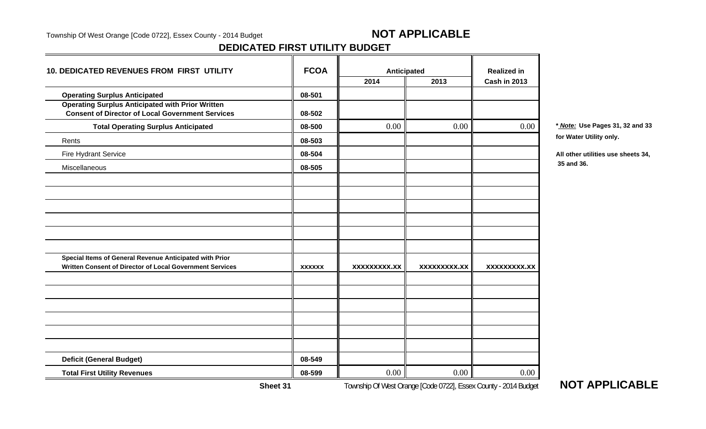Township Of West Orange [Code 0722], Essex County - 2014 Budget **NOT APPLICABLE** 

#### **DEDICATED FIRST UTILITY BUDGET**

| 10. DEDICATED REVENUES FROM FIRST UTILITY                                                                          | <b>FCOA</b>   | Anticipated         |                     | <b>Realized in</b>  |             |
|--------------------------------------------------------------------------------------------------------------------|---------------|---------------------|---------------------|---------------------|-------------|
|                                                                                                                    |               | 2014                | 2013                | <b>Cash in 2013</b> |             |
| <b>Operating Surplus Anticipated</b>                                                                               | 08-501        |                     |                     |                     |             |
| <b>Operating Surplus Anticipated with Prior Written</b><br><b>Consent of Director of Local Government Services</b> | 08-502        |                     |                     |                     |             |
| <b>Total Operating Surplus Anticipated</b>                                                                         | 08-500        | 0.00                | 0.00                | 0.00                | * Note: Us  |
| Rents                                                                                                              | 08-503        |                     |                     |                     | for Water I |
| Fire Hydrant Service                                                                                               | 08-504        |                     |                     |                     | All other u |
| Miscellaneous                                                                                                      | 08-505        |                     |                     |                     | 35 and 36.  |
|                                                                                                                    |               |                     |                     |                     |             |
|                                                                                                                    |               |                     |                     |                     |             |
|                                                                                                                    |               |                     |                     |                     |             |
|                                                                                                                    |               |                     |                     |                     |             |
|                                                                                                                    |               |                     |                     |                     |             |
| Special Items of General Revenue Anticipated with Prior                                                            |               |                     |                     |                     |             |
| Written Consent of Director of Local Government Services                                                           | <b>XXXXXX</b> | <b>XXXXXXXXX.XX</b> | <b>XXXXXXXXX.XX</b> | <b>XXXXXXXXX.XX</b> |             |
|                                                                                                                    |               |                     |                     |                     |             |
|                                                                                                                    |               |                     |                     |                     |             |
|                                                                                                                    |               |                     |                     |                     |             |
|                                                                                                                    |               |                     |                     |                     |             |
|                                                                                                                    |               |                     |                     |                     |             |
|                                                                                                                    |               |                     |                     |                     |             |
| <b>Deficit (General Budget)</b>                                                                                    | 08-549        |                     |                     |                     |             |
| <b>Total First Utility Revenues</b>                                                                                | 08-599        | 0.00                | 0.00                | 0.00                |             |

**Total Operating Surplus Anticipated 08-500** 0.00 0.00 0.00 **\*** *Note:* **Use Pages 31, 32 and 33 for Water Utility only.**

Fire Hydrant Service **08-504 All other utilities use sheets 34,**

Township Of West Orange [Code 0722], Essex County - 2014 Budget **NOT APPLICABLE**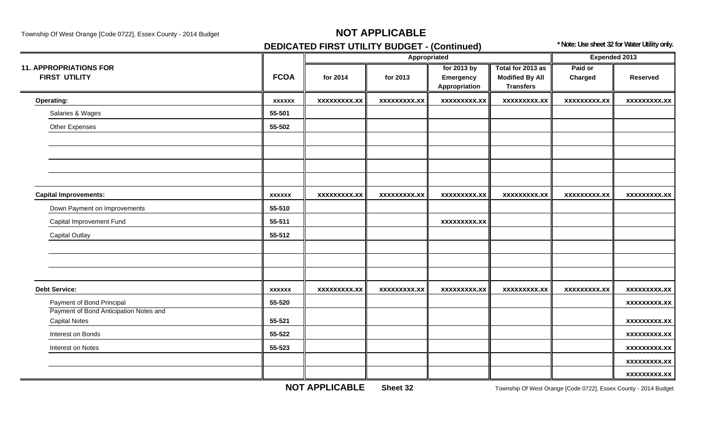## **DEDICATED FIRST UTILITY BUDGET - (Continued) the above that if all the Sheet 32 for Water Utility only.**

|                                        |               |                     | Appropriated        |                     |                        | <b>Expended 2013</b> |                     |
|----------------------------------------|---------------|---------------------|---------------------|---------------------|------------------------|----------------------|---------------------|
| <b>11. APPROPRIATIONS FOR</b>          |               |                     |                     | for 2013 by         | Total for 2013 as      | Paid or              |                     |
| <b>FIRST UTILITY</b>                   | <b>FCOA</b>   | for 2014            | for 2013            | Emergency           | <b>Modified By All</b> | Charged              | <b>Reserved</b>     |
|                                        |               |                     |                     | Appropriation       | <b>Transfers</b>       |                      |                     |
| <b>Operating:</b>                      | <b>XXXXXX</b> | <b>XXXXXXXXX.XX</b> | <b>XXXXXXXXX.XX</b> | <b>XXXXXXXXX.XX</b> | <b>XXXXXXXXX.XX</b>    | <b>XXXXXXXXX.XX</b>  | <b>XXXXXXXXX.XX</b> |
| Salaries & Wages                       | 55-501        |                     |                     |                     |                        |                      |                     |
| Other Expenses                         | 55-502        |                     |                     |                     |                        |                      |                     |
|                                        |               |                     |                     |                     |                        |                      |                     |
|                                        |               |                     |                     |                     |                        |                      |                     |
|                                        |               |                     |                     |                     |                        |                      |                     |
|                                        |               |                     |                     |                     |                        |                      |                     |
| <b>Capital Improvements:</b>           | <b>XXXXXX</b> | <b>XXXXXXXXX.XX</b> | <b>XXXXXXXXX.XX</b> | <b>XXXXXXXXX.XX</b> | <b>XXXXXXXXX.XX</b>    | <b>XXXXXXXXX.XX</b>  | <b>XXXXXXXXX.XX</b> |
| Down Payment on Improvements           | 55-510        |                     |                     |                     |                        |                      |                     |
| Capital Improvement Fund               | 55-511        |                     |                     | <b>XXXXXXXXX.XX</b> |                        |                      |                     |
| <b>Capital Outlay</b>                  | 55-512        |                     |                     |                     |                        |                      |                     |
|                                        |               |                     |                     |                     |                        |                      |                     |
|                                        |               |                     |                     |                     |                        |                      |                     |
|                                        |               |                     |                     |                     |                        |                      |                     |
| <b>Debt Service:</b>                   | <b>XXXXXX</b> | <b>XXXXXXXXX.XX</b> | <b>XXXXXXXXX.XX</b> | <b>XXXXXXXXX.XX</b> | XXXXXXXXX.XX           | <b>XXXXXXXXX.XX</b>  | <b>XXXXXXXXX.XX</b> |
| Payment of Bond Principal              | 55-520        |                     |                     |                     |                        |                      | <b>XXXXXXXXX.XX</b> |
| Payment of Bond Anticipation Notes and |               |                     |                     |                     |                        |                      |                     |
| <b>Capital Notes</b>                   | 55-521        |                     |                     |                     |                        |                      | <b>XXXXXXXXX.XX</b> |
| Interest on Bonds                      | 55-522        |                     |                     |                     |                        |                      | <b>XXXXXXXXX.XX</b> |
| Interest on Notes                      | 55-523        |                     |                     |                     |                        |                      | <b>XXXXXXXXX.XX</b> |
|                                        |               |                     |                     |                     |                        |                      | <b>XXXXXXXXX.XX</b> |
|                                        |               |                     |                     |                     |                        |                      | <b>XXXXXXXXX.XX</b> |

**NOT APPLICABLE**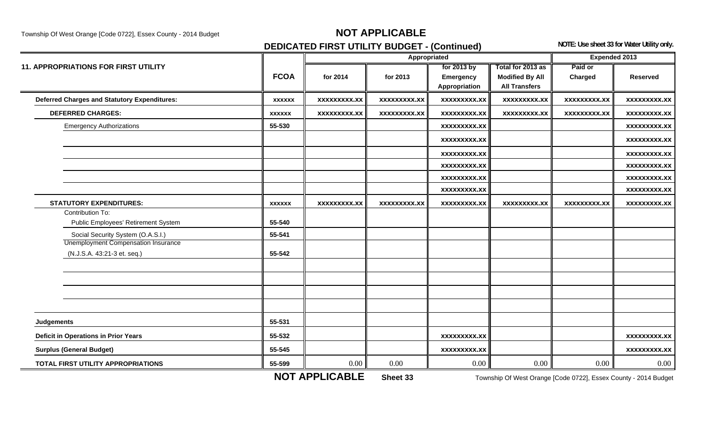Township Of West Orange [Code 0722], Essex County - 2014 Budget **NOT APPLICABLE** 

## **DEDICATED FIRST UTILITY BUDGET - (Continued)** NOTE: Use sheet 33 for Water Utility only.

|                                                                           |               |                     | Appropriated        |                            |                                                | Expended 2013       |                     |
|---------------------------------------------------------------------------|---------------|---------------------|---------------------|----------------------------|------------------------------------------------|---------------------|---------------------|
| <b>11. APPROPRIATIONS FOR FIRST UTILITY</b>                               |               |                     |                     | for 2013 by                | Total for 2013 as                              | Paid or             |                     |
|                                                                           | <b>FCOA</b>   | for 2014            | for 2013            | Emergency<br>Appropriation | <b>Modified By All</b><br><b>All Transfers</b> | Charged             | <b>Reserved</b>     |
| <b>Deferred Charges and Statutory Expenditures:</b>                       | <b>XXXXXX</b> | <b>XXXXXXXXX.XX</b> | <b>XXXXXXXXX.XX</b> | <b>XXXXXXXXX.XX</b>        | <b>XXXXXXXXX.XX</b>                            | <b>XXXXXXXXX.XX</b> | <b>XXXXXXXXX.XX</b> |
| <b>DEFERRED CHARGES:</b>                                                  | <b>XXXXXX</b> | <b>XXXXXXXXX.XX</b> | <b>XXXXXXXXX.XX</b> | <b>XXXXXXXXX.XX</b>        | <b>XXXXXXXXX.XX</b>                            | <b>XXXXXXXXX.XX</b> | <b>XXXXXXXXX.XX</b> |
| <b>Emergency Authorizations</b>                                           | 55-530        |                     |                     | <b>XXXXXXXXX.XX</b>        |                                                |                     | <b>XXXXXXXXX.XX</b> |
|                                                                           |               |                     |                     | <b>XXXXXXXXX.XX</b>        |                                                |                     | <b>XXXXXXXXX.XX</b> |
|                                                                           |               |                     |                     | <b>XXXXXXXXX.XX</b>        |                                                |                     | <b>XXXXXXXXX.XX</b> |
|                                                                           |               |                     |                     | <b>XXXXXXXXX.XX</b>        |                                                |                     | <b>XXXXXXXXX.XX</b> |
|                                                                           |               |                     |                     | <b>XXXXXXXXX.XX</b>        |                                                |                     | XXXXXXXXX.XX        |
|                                                                           |               |                     |                     | <b>XXXXXXXXX.XX</b>        |                                                |                     | <b>XXXXXXXXX.XX</b> |
| <b>STATUTORY EXPENDITURES:</b>                                            | <b>XXXXXX</b> | <b>XXXXXXXXX.XX</b> | XXXXXXXXX.XX        | <b>XXXXXXXXX.XX</b>        | <b>XXXXXXXXX.XX</b>                            | <b>XXXXXXXXX.XX</b> | <b>XXXXXXXXX.XX</b> |
| Contribution To:                                                          |               |                     |                     |                            |                                                |                     |                     |
| Public Employees' Retirement System                                       | 55-540        |                     |                     |                            |                                                |                     |                     |
| Social Security System (O.A.S.I.)                                         | 55-541        |                     |                     |                            |                                                |                     |                     |
| <b>Unemployment Compensation Insurance</b><br>(N.J.S.A. 43:21-3 et. seq.) | 55-542        |                     |                     |                            |                                                |                     |                     |
|                                                                           |               |                     |                     |                            |                                                |                     |                     |
|                                                                           |               |                     |                     |                            |                                                |                     |                     |
|                                                                           |               |                     |                     |                            |                                                |                     |                     |
|                                                                           |               |                     |                     |                            |                                                |                     |                     |
| <b>Judgements</b>                                                         | 55-531        |                     |                     |                            |                                                |                     |                     |
| <b>Deficit in Operations in Prior Years</b>                               | 55-532        |                     |                     | XXXXXXXXX.XX               |                                                |                     | XXXXXXXXX.XX        |
| <b>Surplus (General Budget)</b>                                           | 55-545        |                     |                     | <b>XXXXXXXXX.XX</b>        |                                                |                     | <b>XXXXXXXXX.XX</b> |
| TOTAL FIRST UTILITY APPROPRIATIONS                                        | 55-599        | 0.00                | 0.00                | 0.00                       | 0.00                                           | 0.00                | 0.00                |

**NOT APPLICABLE**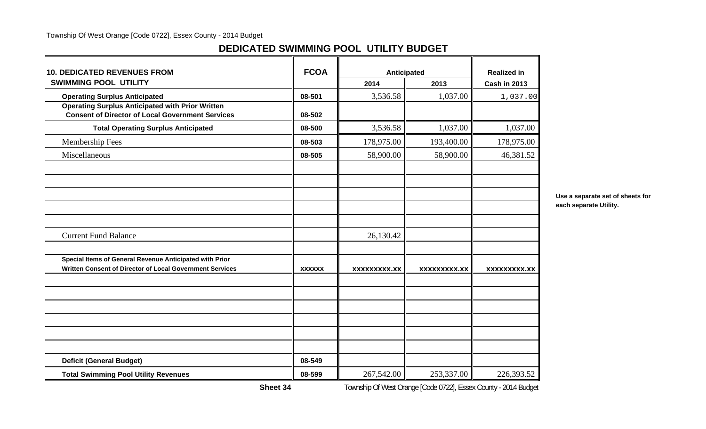### **DEDICATED SWIMMING POOL UTILITY BUDGET**

| <b>10. DEDICATED REVENUES FROM</b>                                                                                  | <b>FCOA</b>   | Anticipated         |                     | <b>Realized in</b>  |
|---------------------------------------------------------------------------------------------------------------------|---------------|---------------------|---------------------|---------------------|
| <b>SWIMMING POOL UTILITY</b>                                                                                        |               | 2014                | 2013                | <b>Cash in 2013</b> |
| <b>Operating Surplus Anticipated</b>                                                                                | 08-501        | 3,536.58            | 1,037.00            | 1,037.00            |
| <b>Operating Surplus Anticipated with Prior Written</b><br><b>Consent of Director of Local Government Services</b>  | 08-502        |                     |                     |                     |
| <b>Total Operating Surplus Anticipated</b>                                                                          | 08-500        | 3,536.58            | 1,037.00            | 1,037.00            |
| Membership Fees                                                                                                     | 08-503        | 178,975.00          | 193,400.00          | 178,975.00          |
| Miscellaneous                                                                                                       | 08-505        | 58,900.00           | 58,900.00           | 46,381.52           |
|                                                                                                                     |               |                     |                     |                     |
| <b>Current Fund Balance</b>                                                                                         |               | 26,130.42           |                     |                     |
| Special Items of General Revenue Anticipated with Prior<br>Written Consent of Director of Local Government Services | <b>XXXXXX</b> | <b>XXXXXXXXX.XX</b> | <b>XXXXXXXXX.XX</b> | <b>XXXXXXXXX.XX</b> |
|                                                                                                                     |               |                     |                     |                     |
|                                                                                                                     |               |                     |                     |                     |
| <b>Deficit (General Budget)</b>                                                                                     | 08-549        |                     |                     |                     |
| <b>Total Swimming Pool Utility Revenues</b>                                                                         | 08-599        | 267,542.00          | 253,337.00          | 226,393.52          |

**Use a separate set of sheets for each separate Utility.**

**Sheet 34**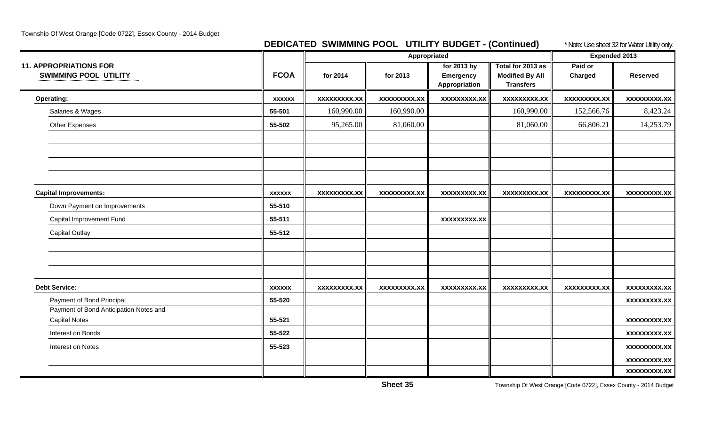Township Of West Orange [Code 0722], Essex County - 2014 Budget

### **DEDICATED SWIMMING POOL UTILITY BUDGET - (Continued)** \* Note: Use sheet 32 for Water Utility only.

|                                                               |               |                     | Appropriated        |                                                  |                                                                 | <b>Expended 2013</b> | $\overline{y}$      |
|---------------------------------------------------------------|---------------|---------------------|---------------------|--------------------------------------------------|-----------------------------------------------------------------|----------------------|---------------------|
| <b>11. APPROPRIATIONS FOR</b><br><b>SWIMMING POOL UTILITY</b> | <b>FCOA</b>   | for 2014            | for 2013            | for 2013 by<br><b>Emergency</b><br>Appropriation | Total for 2013 as<br><b>Modified By All</b><br><b>Transfers</b> | Paid or<br>Charged   | <b>Reserved</b>     |
| <b>Operating:</b>                                             | <b>XXXXXX</b> | <b>XXXXXXXXX.XX</b> | xxxxxxxxx.xx        | <b>XXXXXXXXX.XX</b>                              | <b>XXXXXXXXX.XX</b>                                             | <b>XXXXXXXXX.XX</b>  | <b>XXXXXXXXX.XX</b> |
| Salaries & Wages                                              | 55-501        | 160,990.00          | 160,990.00          |                                                  | 160,990.00                                                      | 152,566.76           | 8,423.24            |
| Other Expenses                                                | 55-502        | 95,265.00           | 81,060.00           |                                                  | 81,060.00                                                       | 66,806.21            | 14,253.79           |
|                                                               |               |                     |                     |                                                  |                                                                 |                      |                     |
|                                                               |               |                     |                     |                                                  |                                                                 |                      |                     |
| <b>Capital Improvements:</b>                                  | <b>XXXXXX</b> | <b>XXXXXXXXX.XX</b> | <b>XXXXXXXXX.XX</b> | <b>XXXXXXXXX.XX</b>                              | <b>XXXXXXXXX.XX</b>                                             | <b>XXXXXXXXX.XX</b>  | <b>XXXXXXXXX.XX</b> |
| Down Payment on Improvements                                  | 55-510        |                     |                     |                                                  |                                                                 |                      |                     |
| Capital Improvement Fund                                      | 55-511        |                     |                     | <b>XXXXXXXXX.XX</b>                              |                                                                 |                      |                     |
| <b>Capital Outlay</b>                                         | 55-512        |                     |                     |                                                  |                                                                 |                      |                     |
|                                                               |               |                     |                     |                                                  |                                                                 |                      |                     |
| <b>Debt Service:</b>                                          | <b>XXXXXX</b> | <b>XXXXXXXXX.XX</b> | <b>XXXXXXXXX.XX</b> | <b>XXXXXXXXX.XX</b>                              | <b>XXXXXXXXX.XX</b>                                             | <b>XXXXXXXXX.XX</b>  | <b>XXXXXXXXX.XX</b> |
| Payment of Bond Principal                                     | 55-520        |                     |                     |                                                  |                                                                 |                      | <b>XXXXXXXXX.XX</b> |
| Payment of Bond Anticipation Notes and                        |               |                     |                     |                                                  |                                                                 |                      |                     |
| <b>Capital Notes</b>                                          | 55-521        |                     |                     |                                                  |                                                                 |                      | <b>XXXXXXXXX.XX</b> |
| Interest on Bonds                                             | 55-522        |                     |                     |                                                  |                                                                 |                      | <b>XXXXXXXXX.XX</b> |
| Interest on Notes                                             | 55-523        |                     |                     |                                                  |                                                                 |                      | xxxxxxxxx.xx        |
|                                                               |               |                     |                     |                                                  |                                                                 |                      | XXXXXXXX.XX         |
|                                                               |               |                     |                     |                                                  |                                                                 |                      | <b>XXXXXXXXX.XX</b> |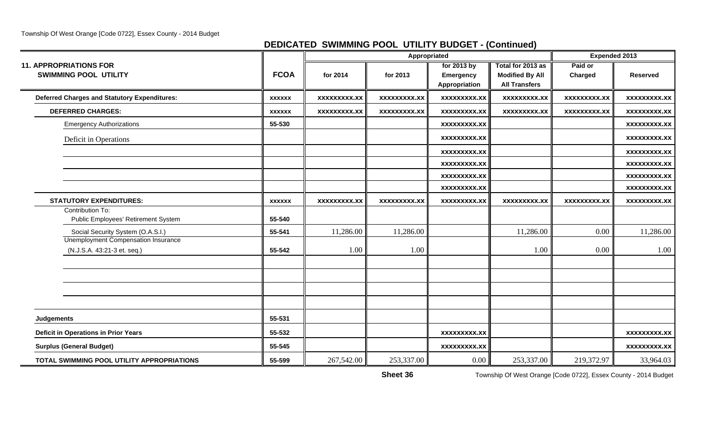## **DEDICATED SWIMMING POOL UTILITY BUDGET - (Continued)**

|                                                                           |               |                     |                     | Appropriated                                     |                                                                     | <b>Expended 2013</b> |                     |
|---------------------------------------------------------------------------|---------------|---------------------|---------------------|--------------------------------------------------|---------------------------------------------------------------------|----------------------|---------------------|
| <b>11. APPROPRIATIONS FOR</b><br><b>SWIMMING POOL UTILITY</b>             | <b>FCOA</b>   | for 2014            | for 2013            | for 2013 by<br><b>Emergency</b><br>Appropriation | Total for 2013 as<br><b>Modified By All</b><br><b>All Transfers</b> | Paid or<br>Charged   | <b>Reserved</b>     |
| <b>Deferred Charges and Statutory Expenditures:</b>                       | <b>XXXXXX</b> | <b>XXXXXXXXX.XX</b> | <b>XXXXXXXXX.XX</b> | <b>XXXXXXXXX.XX</b>                              | <b>XXXXXXXXX.XX</b>                                                 | <b>XXXXXXXXX.XX</b>  | <b>XXXXXXXXX.XX</b> |
| <b>DEFERRED CHARGES:</b>                                                  | <b>XXXXXX</b> | <b>XXXXXXXXX.XX</b> | <b>XXXXXXXXX.XX</b> | <b>XXXXXXXXX.XX</b>                              | <b>XXXXXXXXX.XX</b>                                                 | XXXXXXXXX.XX         | <b>XXXXXXXXX.XX</b> |
| <b>Emergency Authorizations</b>                                           | 55-530        |                     |                     | <b>XXXXXXXXX.XX</b>                              |                                                                     |                      | <b>XXXXXXXXX.XX</b> |
| Deficit in Operations                                                     |               |                     |                     | <b>XXXXXXXXX.XX</b>                              |                                                                     |                      | <b>XXXXXXXXX.XX</b> |
|                                                                           |               |                     |                     | <b>XXXXXXXXX.XX</b>                              |                                                                     |                      | <b>XXXXXXXX.XX</b>  |
|                                                                           |               |                     |                     | <b>XXXXXXXXX.XX</b>                              |                                                                     |                      | <b>XXXXXXXXX.XX</b> |
|                                                                           |               |                     |                     | <b>XXXXXXXXX.XX</b>                              |                                                                     |                      | <b>XXXXXXXX.XX</b>  |
|                                                                           |               |                     |                     | XXXXXXXXX.XX                                     |                                                                     |                      | <b>XXXXXXXXX.XX</b> |
| <b>STATUTORY EXPENDITURES:</b>                                            | <b>XXXXXX</b> | <b>XXXXXXXXX.XX</b> | XXXXXXXXX.XX        | <b>XXXXXXXXX.XX</b>                              | <b>XXXXXXXXX.XX</b>                                                 | <b>XXXXXXXXX.XX</b>  | <b>XXXXXXXXX.XX</b> |
| Contribution To:<br>Public Employees' Retirement System                   | 55-540        |                     |                     |                                                  |                                                                     |                      |                     |
| Social Security System (O.A.S.I.)                                         | 55-541        | 11,286.00           | 11,286.00           |                                                  | 11,286.00                                                           | 0.00                 | 11,286.00           |
| <b>Unemployment Compensation Insurance</b><br>(N.J.S.A. 43:21-3 et. seq.) | 55-542        | 1.00                | 1.00                |                                                  | 1.00                                                                | 0.00                 | 1.00                |
|                                                                           |               |                     |                     |                                                  |                                                                     |                      |                     |
|                                                                           |               |                     |                     |                                                  |                                                                     |                      |                     |
| <b>Judgements</b>                                                         | 55-531        |                     |                     |                                                  |                                                                     |                      |                     |
| <b>Deficit in Operations in Prior Years</b>                               | 55-532        |                     |                     | <b>XXXXXXXXX.XX</b>                              |                                                                     |                      | <b>XXXXXXXXX.XX</b> |
| <b>Surplus (General Budget)</b>                                           | 55-545        |                     |                     | <b>XXXXXXXXX.XX</b>                              |                                                                     |                      | <b>XXXXXXXXX.XX</b> |
| TOTAL SWIMMING POOL UTILITY APPROPRIATIONS                                | 55-599        | 267,542.00          | 253,337.00          | 0.00                                             | 253,337.00                                                          | 219,372.97           | 33,964.03           |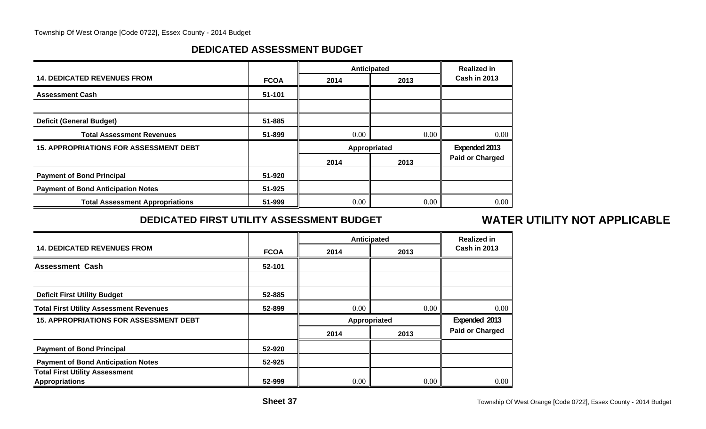## **DEDICATED ASSESSMENT BUDGET**

|                                               |             |      | <b>Anticipated</b> | <b>Realized in</b>     |  |
|-----------------------------------------------|-------------|------|--------------------|------------------------|--|
| <b>14. DEDICATED REVENUES FROM</b>            | <b>FCOA</b> | 2014 | 2013               | <b>Cash in 2013</b>    |  |
| <b>Assessment Cash</b>                        | 51-101      |      |                    |                        |  |
|                                               |             |      |                    |                        |  |
| <b>Deficit (General Budget)</b>               | 51-885      |      |                    |                        |  |
| <b>Total Assessment Revenues</b>              | 51-899      | 0.00 | 0.00               | $0.00\,$               |  |
| <b>15. APPROPRIATIONS FOR ASSESSMENT DEBT</b> |             |      | Appropriated       | Expended 2013          |  |
|                                               |             | 2014 | 2013               | <b>Paid or Charged</b> |  |
| <b>Payment of Bond Principal</b>              | 51-920      |      |                    |                        |  |
| <b>Payment of Bond Anticipation Notes</b>     | 51-925      |      |                    |                        |  |
| <b>Total Assessment Appropriations</b>        | 51-999      | 0.00 | 0.00               | 0.00                   |  |

## **DEDICATED FIRST UTILITY ASSESSMENT BUDGET**

## **WATER UTILITY NOT APPLICABLE**

|                                                                |             |      | Anticipated<br><b>Realized in</b> |                        |
|----------------------------------------------------------------|-------------|------|-----------------------------------|------------------------|
| <b>14. DEDICATED REVENUES FROM</b>                             | <b>FCOA</b> | 2014 | 2013                              | <b>Cash in 2013</b>    |
| <b>Assessment Cash</b>                                         | 52-101      |      |                                   |                        |
|                                                                |             |      |                                   |                        |
| <b>Deficit First Utility Budget</b>                            | 52-885      |      |                                   |                        |
| <b>Total First Utility Assessment Revenues</b>                 | 52-899      | 0.00 | 0.00                              | 0.00                   |
| <b>15. APPROPRIATIONS FOR ASSESSMENT DEBT</b>                  |             |      | Appropriated                      | Expended 2013          |
|                                                                |             | 2014 | 2013                              | <b>Paid or Charged</b> |
| <b>Payment of Bond Principal</b>                               | 52-920      |      |                                   |                        |
| <b>Payment of Bond Anticipation Notes</b>                      | 52-925      |      |                                   |                        |
| <b>Total First Utility Assessment</b><br><b>Appropriations</b> | 52-999      | 0.00 | 0.00                              | 0.00                   |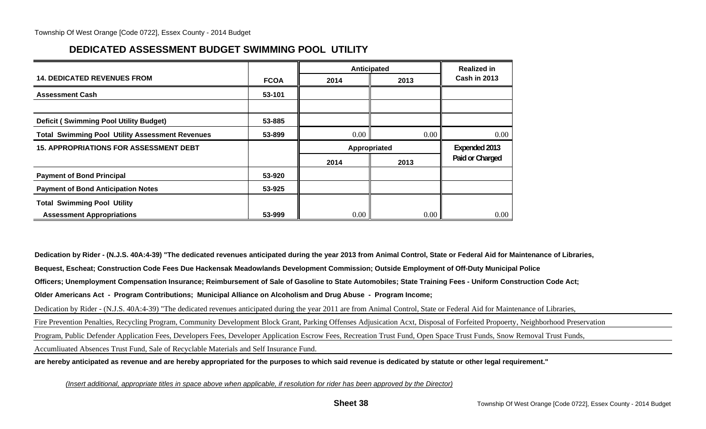## **DEDICATED ASSESSMENT BUDGET SWIMMING POOL UTILITY**

|                                                        |             | Anticipated  |      | <b>Realized in</b>  |
|--------------------------------------------------------|-------------|--------------|------|---------------------|
| <b>14. DEDICATED REVENUES FROM</b>                     | <b>FCOA</b> | 2014         | 2013 | <b>Cash in 2013</b> |
| <b>Assessment Cash</b>                                 | 53-101      |              |      |                     |
|                                                        |             |              |      |                     |
| <b>Deficit (Swimming Pool Utility Budget)</b>          | 53-885      |              |      |                     |
| <b>Total Swimming Pool Utility Assessment Revenues</b> | 53-899      | 0.00         | 0.00 | 0.00                |
|                                                        |             |              |      |                     |
| <b>15. APPROPRIATIONS FOR ASSESSMENT DEBT</b>          |             | Appropriated |      | Expended 2013       |
|                                                        |             | 2014         | 2013 | Paid or Charged     |
| <b>Payment of Bond Principal</b>                       | 53-920      |              |      |                     |
| <b>Payment of Bond Anticipation Notes</b>              | 53-925      |              |      |                     |
| <b>Total Swimming Pool Utility</b>                     |             |              |      |                     |

**Dedication by Rider - (N.J.S. 40A:4-39) "The dedicated revenues anticipated during the year 2013 from Animal Control, State or Federal Aid for Maintenance of Libraries,**

**Bequest, Escheat; Construction Code Fees Due Hackensak Meadowlands Development Commission; Outside Employment of Off-Duty Municipal Police**

**Officers; Unemployment Compensation Insurance; Reimbursement of Sale of Gasoline to State Automobiles; State Training Fees - Uniform Construction Code Act;**

**Older Americans Act - Program Contributions; Municipal Alliance on Alcoholism and Drug Abuse - Program Income;**

Dedication by Rider - (N.J.S. 40A:4-39) "The dedicated revenues anticipated during the year 2011 are from Animal Control, State or Federal Aid for Maintenance of Libraries,

Fire Prevention Penalties, Recycling Program, Community Development Block Grant, Parking Offenses Adjusication Acxt, Disposal of Forfeited Propoerty, Neighborhood Preservation

Program, Public Defender Application Fees, Developers Fees, Developer Application Escrow Fees, Recreation Trust Fund, Open Space Trust Funds, Snow Removal Trust Funds,

Accumliuated Absences Trust Fund, Sale of Recyclable Materials and Self Insurance Fund.

**are hereby anticipated as revenue and are hereby appropriated for the purposes to which said revenue is dedicated by statute or other legal requirement."**

*(Insert additional, appropriate titles in space above when applicable, if resolution for rider has been approved by the Director)*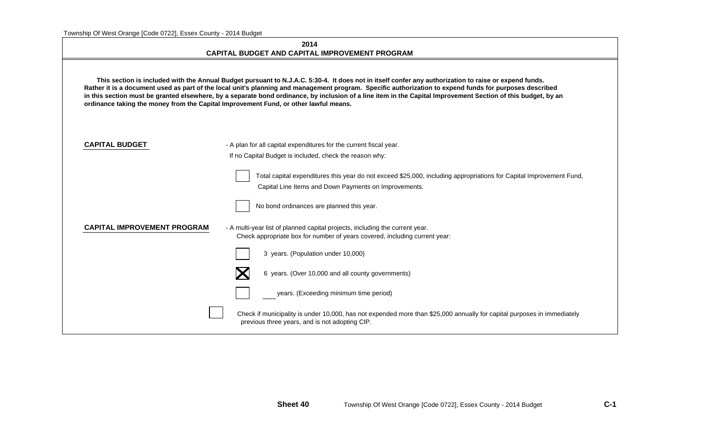|                                    | 2014<br><b>CAPITAL BUDGET AND CAPITAL IMPROVEMENT PROGRAM</b>                                                                                                                                                                                                                                                                                                                                                                                                                                                                                                             |  |  |  |  |
|------------------------------------|---------------------------------------------------------------------------------------------------------------------------------------------------------------------------------------------------------------------------------------------------------------------------------------------------------------------------------------------------------------------------------------------------------------------------------------------------------------------------------------------------------------------------------------------------------------------------|--|--|--|--|
|                                    | This section is included with the Annual Budget pursuant to N.J.A.C. 5:30-4. It does not in itself confer any authorization to raise or expend funds.<br>Rather it is a document used as part of the local unit's planning and management program. Specific authorization to expend funds for purposes described<br>in this section must be granted elsewhere, by a separate bond ordinance, by inclusion of a line item in the Capital Improvement Section of this budget, by an<br>ordinance taking the money from the Capital Improvement Fund, or other lawful means. |  |  |  |  |
| <b>CAPITAL BUDGET</b>              | - A plan for all capital expenditures for the current fiscal year.<br>If no Capital Budget is included, check the reason why:                                                                                                                                                                                                                                                                                                                                                                                                                                             |  |  |  |  |
|                                    | Total capital expenditures this year do not exceed \$25,000, including appropriations for Capital Improvement Fund,<br>Capital Line Items and Down Payments on Improvements.                                                                                                                                                                                                                                                                                                                                                                                              |  |  |  |  |
|                                    | No bond ordinances are planned this year.                                                                                                                                                                                                                                                                                                                                                                                                                                                                                                                                 |  |  |  |  |
| <b>CAPITAL IMPROVEMENT PROGRAM</b> | - A multi-year list of planned capital projects, including the current year.<br>Check appropriate box for number of years covered, including current year:                                                                                                                                                                                                                                                                                                                                                                                                                |  |  |  |  |
|                                    | 3 years. (Population under 10,000)                                                                                                                                                                                                                                                                                                                                                                                                                                                                                                                                        |  |  |  |  |
|                                    | 6 years. (Over 10,000 and all county governments)                                                                                                                                                                                                                                                                                                                                                                                                                                                                                                                         |  |  |  |  |
|                                    | years. (Exceeding minimum time period)                                                                                                                                                                                                                                                                                                                                                                                                                                                                                                                                    |  |  |  |  |
|                                    | Check if municipality is under 10,000, has not expended more than \$25,000 annually for capital purposes in immediately<br>previous three years, and is not adopting CIP.                                                                                                                                                                                                                                                                                                                                                                                                 |  |  |  |  |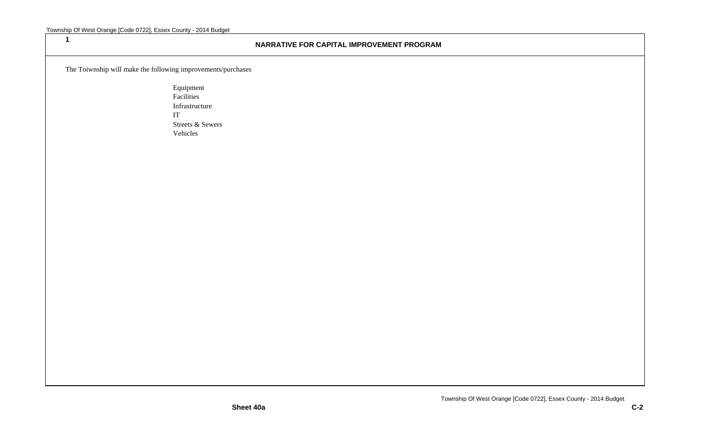**1**

#### **NARRATIVE FOR CAPITAL IMPROVEMENT PROGRAM**

The Toiwnship will make the following improvements/purchases

Equipment Facilities Infrastructure IT Streets & Sewers Vehicles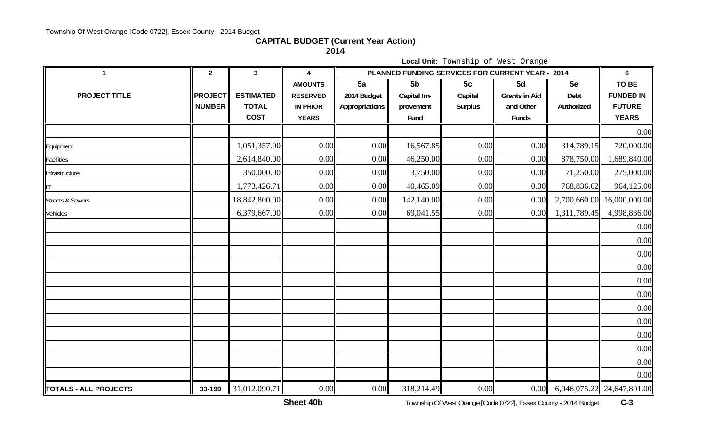## **CAPITAL BUDGET (Current Year Action)**

**2014**

|                              | Local Unit: Township of West Orange |                  |                 |                |                |                |                                                  |              |                              |  |  |
|------------------------------|-------------------------------------|------------------|-----------------|----------------|----------------|----------------|--------------------------------------------------|--------------|------------------------------|--|--|
| 1                            | $\mathbf{2}$                        | $\mathbf{3}$     | 4               |                |                |                | PLANNED FUNDING SERVICES FOR CURRENT YEAR - 2014 |              | 6                            |  |  |
|                              |                                     |                  | <b>AMOUNTS</b>  | 5a             | 5 <sub>b</sub> | 5c             | 5d                                               | 5e           | TO BE                        |  |  |
| <b>PROJECT TITLE</b>         | <b>PROJECT</b>                      | <b>ESTIMATED</b> | <b>RESERVED</b> | 2014 Budget    | Capital Im-    | Capital        | <b>Grants in Aid</b>                             | Debt         | <b>FUNDED IN</b>             |  |  |
|                              | <b>NUMBER</b>                       | <b>TOTAL</b>     | <b>IN PRIOR</b> | Appropriations | provement      | <b>Surplus</b> | and Other                                        | Authorized   | <b>FUTURE</b>                |  |  |
|                              |                                     | <b>COST</b>      | <b>YEARS</b>    |                | Fund           |                | <b>Funds</b>                                     |              | <b>YEARS</b>                 |  |  |
|                              |                                     |                  |                 |                |                |                |                                                  |              | 0.00                         |  |  |
| Equipment                    |                                     | 1,051,357.00     | 0.00            | 0.00           | 16,567.85      | 0.00           | 0.00                                             | 314,789.15   | 720,000.00                   |  |  |
| Facilities                   |                                     | 2,614,840.00     | 0.00            | 0.00           | 46,250.00      | 0.00           | 0.00                                             | 878,750.00   | 1,689,840.00                 |  |  |
| Infrastructure               |                                     | 350,000.00       | 0.00            | 0.00           | 3,750.00       | 0.00           | 0.00                                             | 71,250.00    | 275,000.00                   |  |  |
| lΤ                           |                                     | 1,773,426.71     | 0.00            | 0.00           | 40,465.09      | 0.00           | 0.00                                             | 768,836.62   | 964,125.00                   |  |  |
| <b>Streets &amp; Sewers</b>  |                                     | 18,842,800.00    | 0.00            | 0.00           | 142,140.00     | 0.00           | 0.00                                             | 2,700,660.00 | 16,000,000.00                |  |  |
| Vehicles                     |                                     | 6,379,667.00     | 0.00            | 0.00           | 69,041.55      | 0.00           | 0.00                                             | 1,311,789.45 | 4,998,836.00                 |  |  |
|                              |                                     |                  |                 |                |                |                |                                                  |              | 0.00                         |  |  |
|                              |                                     |                  |                 |                |                |                |                                                  |              | 0.00                         |  |  |
|                              |                                     |                  |                 |                |                |                |                                                  |              | 0.00                         |  |  |
|                              |                                     |                  |                 |                |                |                |                                                  |              | 0.00                         |  |  |
|                              |                                     |                  |                 |                |                |                |                                                  |              | 0.00                         |  |  |
|                              |                                     |                  |                 |                |                |                |                                                  |              | 0.00                         |  |  |
|                              |                                     |                  |                 |                |                |                |                                                  |              | 0.00                         |  |  |
|                              |                                     |                  |                 |                |                |                |                                                  |              | 0.00                         |  |  |
|                              |                                     |                  |                 |                |                |                |                                                  |              | 0.00                         |  |  |
|                              |                                     |                  |                 |                |                |                |                                                  |              | 0.00                         |  |  |
|                              |                                     |                  |                 |                |                |                |                                                  |              | 0.00                         |  |  |
|                              |                                     |                  |                 |                |                |                |                                                  |              | 0.00                         |  |  |
| <b>TOTALS - ALL PROJECTS</b> | 33-199                              | 31,012,090.71    | 0.00            | 0.00           | 318,214.49     | 0.00           | 0.00                                             |              | $6,046,075.22$ 24,647,801.00 |  |  |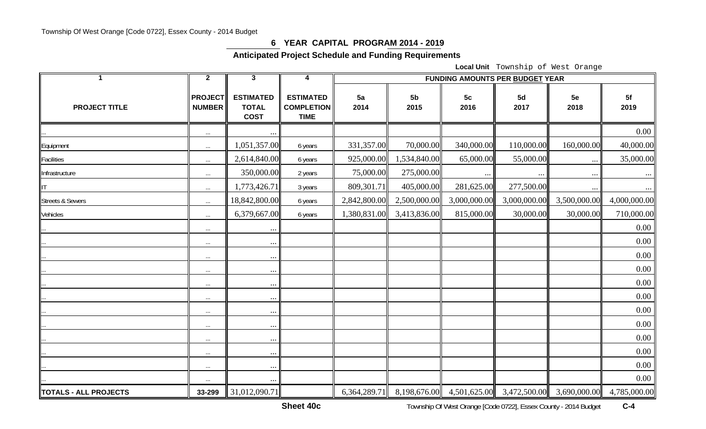#### **6 YEAR CAPITAL PROGRAM 2014 - 2019**

**Anticipated Project Schedule and Funding Requirements** 

**Local Unit** Township of West Orange

| $\mathbf{1}$                 | $\mathbf{2}$                    | $\mathbf{3}$                                    | 4                                                    | <b>FUNDING AMOUNTS PER BUDGET YEAR</b> |                        |                        |                                                     |              |              |  |  |  |
|------------------------------|---------------------------------|-------------------------------------------------|------------------------------------------------------|----------------------------------------|------------------------|------------------------|-----------------------------------------------------|--------------|--------------|--|--|--|
| <b>PROJECT TITLE</b>         | <b>PROJECT</b><br><b>NUMBER</b> | <b>ESTIMATED</b><br><b>TOTAL</b><br><b>COST</b> | <b>ESTIMATED</b><br><b>COMPLETION</b><br><b>TIME</b> | 5a<br>2014                             | 5 <sub>b</sub><br>2015 | 5 <sub>c</sub><br>2016 | 5d<br>2017                                          | 5e<br>2018   | 5f<br>2019   |  |  |  |
|                              | $\ldots$                        | $\ldots$                                        |                                                      |                                        |                        |                        |                                                     |              | $0.00\,$     |  |  |  |
| Equipment                    | $\ldots$                        | 1,051,357.00                                    | 6 years                                              | 331,357.00                             | 70,000.00              | 340,000.00             | 110,000.00                                          | 160,000.00   | 40,000.00    |  |  |  |
| <b>Facilities</b>            | $\ldots$                        | 2,614,840.00                                    | 6 years                                              | 925,000.00                             | 1,534,840.00           | 65,000.00              | 55,000.00                                           | $\cdots$     | 35,000.00    |  |  |  |
| Infrastructure               | $\ldots$                        | 350,000.00                                      | 2 years                                              | 75,000.00                              | 275,000.00             | $\cdots$               |                                                     | $\cdots$     | $\cdots$     |  |  |  |
|                              | $\ldots$                        | 1,773,426.71                                    | 3 years                                              | 809,301.71                             | 405,000.00             | 281,625.00             | 277,500.00                                          | $\ldots$     | $\cdots$     |  |  |  |
| <b>Streets &amp; Sewers</b>  | $\ldots$                        | 18,842,800.00                                   | 6 years                                              | 2,842,800.00                           | 2,500,000.00           | 3,000,000.00           | 3,000,000.00                                        | 3,500,000.00 | 4,000,000.00 |  |  |  |
| Vehicles                     | $\ldots$                        | 6,379,667.00                                    | 6 years                                              | 1,380,831.00                           | 3,413,836.00           | 815,000.00             | 30,000.00                                           | 30,000.00    | 710,000.00   |  |  |  |
|                              | $\ldots$                        | $\cdots$                                        |                                                      |                                        |                        |                        |                                                     |              | $0.00\,$     |  |  |  |
|                              | $\cdots$                        | $\cdots$                                        |                                                      |                                        |                        |                        |                                                     |              | 0.00         |  |  |  |
|                              | $\cdots$                        | $\cdots$                                        |                                                      |                                        |                        |                        |                                                     |              | 0.00         |  |  |  |
|                              | $\ldots$                        | $\cdots$                                        |                                                      |                                        |                        |                        |                                                     |              | 0.00         |  |  |  |
|                              | $\ldots$                        | $\cdots$                                        |                                                      |                                        |                        |                        |                                                     |              | 0.00         |  |  |  |
|                              | $\ldots$                        | $\cdots$                                        |                                                      |                                        |                        |                        |                                                     |              | 0.00         |  |  |  |
|                              | $\ldots$                        | $\cdots$                                        |                                                      |                                        |                        |                        |                                                     |              | 0.00         |  |  |  |
|                              | $\cdots$                        | $\cdots$                                        |                                                      |                                        |                        |                        |                                                     |              | 0.00         |  |  |  |
|                              | $\cdots$                        | $\cdots$                                        |                                                      |                                        |                        |                        |                                                     |              | 0.00         |  |  |  |
|                              | $\ldots$                        | $\cdots$                                        |                                                      |                                        |                        |                        |                                                     |              | 0.00         |  |  |  |
|                              | $\ldots$                        | $\ldots$                                        |                                                      |                                        |                        |                        |                                                     |              | 0.00         |  |  |  |
|                              | $\ldots$                        | $\ldots$                                        |                                                      |                                        |                        |                        |                                                     |              | $0.00\,$     |  |  |  |
| <b>TOTALS - ALL PROJECTS</b> | 33-299                          | 31,012,090.71                                   |                                                      | 6,364,289.71                           |                        |                        | 8,198,676.00 4,501,625.00 3,472,500.00 3,690,000.00 |              | 4,785,000.00 |  |  |  |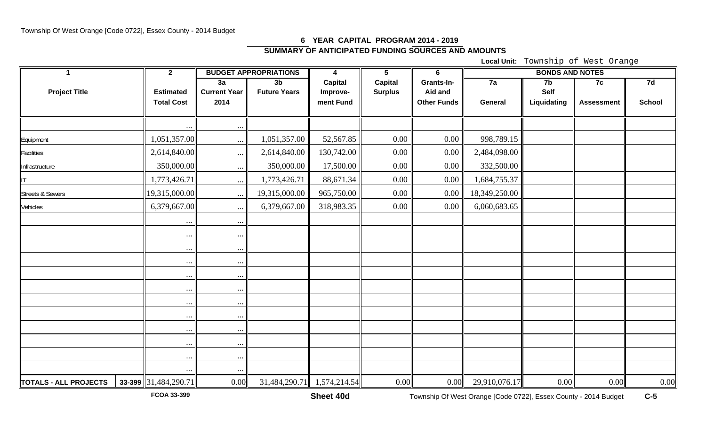### **6 YEAR CAPITAL PROGRAM 2014 - 2019 SUMMARY OF ANTICIPATED FUNDING SOURCES AND AMOUNTS**

**Local Unit:** Township of West Orange

| $\blacktriangleleft$        | $\overline{2}$         |                     | <b>BUDGET APPROPRIATIONS</b> | $\overline{\mathbf{4}}$ | $5\phantom{.0}$ | $6\phantom{1}$     | <b>BONDS AND NOTES</b> |             |                   |               |  |
|-----------------------------|------------------------|---------------------|------------------------------|-------------------------|-----------------|--------------------|------------------------|-------------|-------------------|---------------|--|
|                             |                        | 3a                  | 3 <sub>b</sub>               | Capital                 | <b>Capital</b>  | Grants-In-         | $\overline{7a}$        | 7b          | 7c                | 7d            |  |
| <b>Project Title</b>        | <b>Estimated</b>       | <b>Current Year</b> | <b>Future Years</b>          | Improve-                | <b>Surplus</b>  | Aid and            |                        | Self        |                   |               |  |
|                             | <b>Total Cost</b>      | 2014                |                              | ment Fund               |                 | <b>Other Funds</b> | General                | Liquidating | <b>Assessment</b> | <b>School</b> |  |
|                             |                        |                     |                              |                         |                 |                    |                        |             |                   |               |  |
|                             |                        | $\cdots$            |                              |                         |                 |                    |                        |             |                   |               |  |
| Equipment                   | 1,051,357.00           | $\ldots$            | 1,051,357.00                 | 52,567.85               | 0.00            | 0.00               | 998,789.15             |             |                   |               |  |
| <b>Facilities</b>           | 2,614,840.00           | $\ldots$            | 2,614,840.00                 | 130,742.00              | $0.00\,$        | 0.00               | 2,484,098.00           |             |                   |               |  |
| Infrastructure              | 350,000.00             | $\cdots$            | 350,000.00                   | 17,500.00               | 0.00            | 0.00               | 332,500.00             |             |                   |               |  |
| <b>II</b>                   | 1,773,426.71           | $\cdots$            | 1,773,426.71                 | 88,671.34               | $0.00\,$        | 0.00               | 1,684,755.37           |             |                   |               |  |
| <b>Streets &amp; Sewers</b> | 19,315,000.00          | $\cdots$            | 19,315,000.00                | 965,750.00              | 0.00            | 0.00               | 18,349,250.00          |             |                   |               |  |
| Vehicles                    | 6,379,667.00           | $\cdots$            | 6,379,667.00                 | 318,983.35              | 0.00            | 0.00               | 6,060,683.65           |             |                   |               |  |
|                             | $\ddots$               | $\ddotsc$           |                              |                         |                 |                    |                        |             |                   |               |  |
|                             | $\cdots$               | $\ddotsc$           |                              |                         |                 |                    |                        |             |                   |               |  |
|                             | $\cdots$               | $\cdots$            |                              |                         |                 |                    |                        |             |                   |               |  |
|                             | $\cdots$               | $\cdots$            |                              |                         |                 |                    |                        |             |                   |               |  |
|                             | $\cdots$               | $\cdots$            |                              |                         |                 |                    |                        |             |                   |               |  |
|                             | $\cdots$               | $\ddotsc$           |                              |                         |                 |                    |                        |             |                   |               |  |
|                             | $\cdots$               | $\cdots$            |                              |                         |                 |                    |                        |             |                   |               |  |
|                             | $\ddots$               | $\cdots$            |                              |                         |                 |                    |                        |             |                   |               |  |
|                             | $\cdots$               | $\ddotsc$           |                              |                         |                 |                    |                        |             |                   |               |  |
|                             | $\cdots$               | $\cdots$            |                              |                         |                 |                    |                        |             |                   |               |  |
|                             | $\cdots$               | $\cdots$            |                              |                         |                 |                    |                        |             |                   |               |  |
|                             | $\ldots$               | $\cdots$            |                              |                         |                 |                    |                        |             |                   |               |  |
| TOTALS - ALL PROJECTS       | 33-399 $31,484,290.71$ | 0.00                | 31,484,290.71 1,574,214.54   |                         | 0.00            | 0.00               | 29,910,076.17          | 0.00        | 0.00              | 0.00          |  |

**Sheet 40d**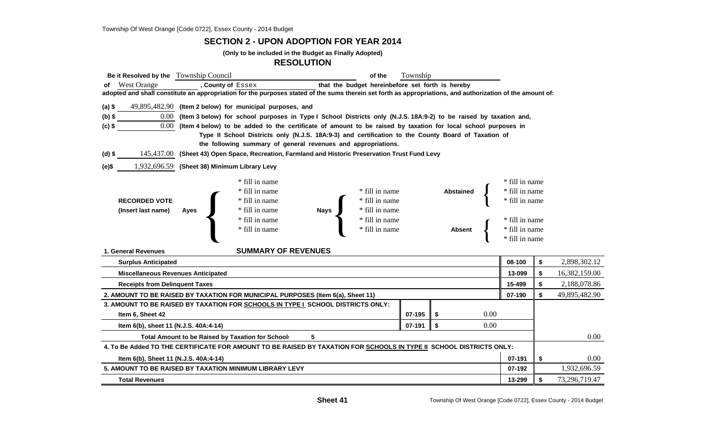#### **SECTION 2 - UPON ADOPTION FOR YEAR 2014**

**(Only to be included in the Budget as Finally Adopted)**

#### **RESOLUTION**

| Be it Resolved by the Township Council    |                                                                                                                                                            |                                                                                                     | of the                           | Township |                  |      |                |    |               |
|-------------------------------------------|------------------------------------------------------------------------------------------------------------------------------------------------------------|-----------------------------------------------------------------------------------------------------|----------------------------------|----------|------------------|------|----------------|----|---------------|
| of West Orange                            | , County of Essex                                                                                                                                          | that the budget hereinbefore set forth is hereby                                                    |                                  |          |                  |      |                |    |               |
|                                           | adopted and shall constitute an appropriation for the purposes stated of the sums therein set forth as appropriations, and authorization of the amount of: |                                                                                                     |                                  |          |                  |      |                |    |               |
| $(a)$ \$                                  | 49,895,482.90 (Item 2 below) for municipal purposes, and                                                                                                   |                                                                                                     |                                  |          |                  |      |                |    |               |
| $(b)$ \$                                  | 0.00 (Item 3 below) for school purposes in Type I School Districts only (N.J.S. 18A:9-2) to be raised by taxation and,                                     |                                                                                                     |                                  |          |                  |      |                |    |               |
| $0.00\,$<br>$(c)$ \$                      | (Item 4 below) to be added to the certificate of amount to be raised by taxation for local school purposes in                                              |                                                                                                     |                                  |          |                  |      |                |    |               |
|                                           |                                                                                                                                                            | Type II School Districts only (N.J.S. 18A:9-3) and certification to the County Board of Taxation of |                                  |          |                  |      |                |    |               |
|                                           |                                                                                                                                                            | the following summary of general revenues and appropriations.                                       |                                  |          |                  |      |                |    |               |
| (d) \$                                    | 145,437.00 (Sheet 43) Open Space, Recreation, Farmland and Historic Preservation Trust Fund Levy                                                           |                                                                                                     |                                  |          |                  |      |                |    |               |
| (e)\$                                     | 1,932,696.59 (Sheet 38) Minimum Library Levy                                                                                                               |                                                                                                     |                                  |          |                  |      |                |    |               |
|                                           | * fill in name                                                                                                                                             |                                                                                                     |                                  |          |                  |      | * fill in name |    |               |
|                                           | * fill in name                                                                                                                                             |                                                                                                     | * fill in name                   |          | <b>Abstained</b> |      | * fill in name |    |               |
| <b>RECORDED VOTE</b>                      | * fill in name<br>* fill in name                                                                                                                           |                                                                                                     |                                  |          |                  |      | * fill in name |    |               |
| (Insert last name)                        | * fill in name<br>Ayes                                                                                                                                     | Nays                                                                                                |                                  |          |                  |      |                |    |               |
|                                           | * fill in name                                                                                                                                             |                                                                                                     | * fill in name<br>* fill in name |          |                  |      | * fill in name |    |               |
|                                           | * fill in name                                                                                                                                             |                                                                                                     | $\hspace{0.1mm}^*$ fill in name  |          | <b>Absent</b>    |      | * fill in name |    |               |
|                                           |                                                                                                                                                            |                                                                                                     |                                  |          |                  |      | * fill in name |    |               |
| 1. General Revenues                       |                                                                                                                                                            | <b>SUMMARY OF REVENUES</b>                                                                          |                                  |          |                  |      |                |    |               |
| <b>Surplus Anticipated</b>                |                                                                                                                                                            |                                                                                                     |                                  |          |                  |      | 08-100         | \$ | 2,898,302.12  |
| <b>Miscellaneous Revenues Anticipated</b> |                                                                                                                                                            |                                                                                                     |                                  |          |                  |      | 13-099         | \$ | 16,382,159.00 |
| <b>Receipts from Delinquent Taxes</b>     |                                                                                                                                                            |                                                                                                     |                                  |          |                  |      | 15-499         | \$ | 2,188,078.86  |
|                                           | 2. AMOUNT TO BE RAISED BY TAXATION FOR MUNICIPAL PURPOSES (Item 6(a), Sheet 11)                                                                            |                                                                                                     |                                  |          |                  |      | 07-190         | \$ | 49,895,482.90 |
|                                           | 3. AMOUNT TO BE RAISED BY TAXATION FOR SCHOOLS IN TYPE I SCHOOL DISTRICTS ONLY:                                                                            |                                                                                                     |                                  |          |                  |      |                |    |               |
| Item 6, Sheet 42                          |                                                                                                                                                            |                                                                                                     |                                  | 07-195   | \$               | 0.00 |                |    |               |
| Item 6(b), sheet 11 (N.J.S. 40A:4-14)     |                                                                                                                                                            |                                                                                                     |                                  | 07-191   | \$               | 0.00 |                |    |               |
|                                           | <b>Total Amount to be Raised by Taxation for School:</b>                                                                                                   | 5                                                                                                   |                                  |          |                  |      |                |    | 0.00          |
|                                           | 4. To Be Added TO THE CERTIFICATE FOR AMOUNT TO BE RAISED BY TAXATION FOR SCHOOLS IN TYPE II SCHOOL DISTRICTS ONLY:                                        |                                                                                                     |                                  |          |                  |      |                |    |               |
| Item 6(b), Sheet 11 (N.J.S. 40A:4-14)     |                                                                                                                                                            |                                                                                                     |                                  |          |                  |      |                |    | 0.00          |
|                                           | 5. AMOUNT TO BE RAISED BY TAXATION MINIMUM LIBRARY LEVY                                                                                                    |                                                                                                     |                                  |          |                  |      | 07-192         |    | 1,932,696.59  |
| <b>Total Revenues</b>                     |                                                                                                                                                            |                                                                                                     |                                  |          |                  |      | 13-299         | \$ | 73,296,719.47 |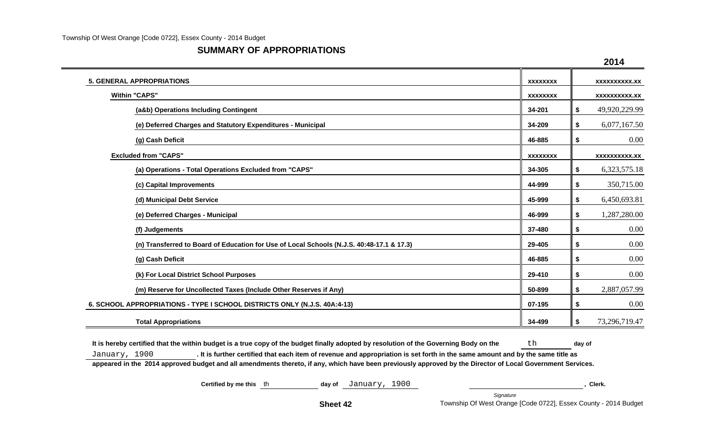#### **SUMMARY OF APPROPRIATIONS**

|                                                                                           |                 | 2014                 |
|-------------------------------------------------------------------------------------------|-----------------|----------------------|
| <b>5. GENERAL APPROPRIATIONS</b>                                                          | <b>XXXXXXXX</b> | <b>XXXXXXXXXX.XX</b> |
| <b>Within "CAPS"</b>                                                                      | <b>XXXXXXXX</b> | xxxxxxxxxx.xx        |
| (a&b) Operations Including Contingent                                                     | 34-201          | 49,920,229.99<br>\$  |
| (e) Deferred Charges and Statutory Expenditures - Municipal                               | 34-209          | 6,077,167.50<br>\$   |
| (g) Cash Deficit                                                                          | 46-885          | 0.00<br>\$           |
| <b>Excluded from "CAPS"</b>                                                               | <b>XXXXXXXX</b> | <b>XXXXXXXXXX.XX</b> |
| (a) Operations - Total Operations Excluded from "CAPS"                                    | 34-305          | 6,323,575.18<br>\$   |
| (c) Capital Improvements                                                                  | 44-999          | 350,715.00<br>\$     |
| (d) Municipal Debt Service                                                                | 45-999          | 6,450,693.81<br>\$   |
| (e) Deferred Charges - Municipal                                                          | 46-999          | 1,287,280.00<br>\$   |
| (f) Judgements                                                                            | 37-480          | 0.00<br>\$           |
| (n) Transferred to Board of Education for Use of Local Schools (N.J.S. 40:48-17.1 & 17.3) | 29-405          | 0.00<br>\$           |
| (g) Cash Deficit                                                                          | 46-885          | 0.00<br>\$           |
| (k) For Local District School Purposes                                                    | 29-410          | 0.00<br>\$           |
| (m) Reserve for Uncollected Taxes (Include Other Reserves if Any)                         | 50-899          | 2,887,057.99<br>\$   |
| 6. SCHOOL APPROPRIATIONS - TYPE I SCHOOL DISTRICTS ONLY (N.J.S. 40A:4-13)                 | 07-195          | 0.00<br>\$           |
| <b>Total Appropriations</b>                                                               | 34-499          | 73,296,719.47<br>\$  |

It is hereby certified that the within budget is a true copy of the budget finally adopted by resolution of the Governing Body on the the the day of January, 1900 **. It is further certified that each item of revenue and appropriation is set forth in the same amount and by the same title as appeared in the 2014 approved budget and all amendments thereto, if any, which have been previously approved by the Director of Local Government Services.**

**Certified by me this** th **day of** January, 1900 **, Clerk.**

**2014**